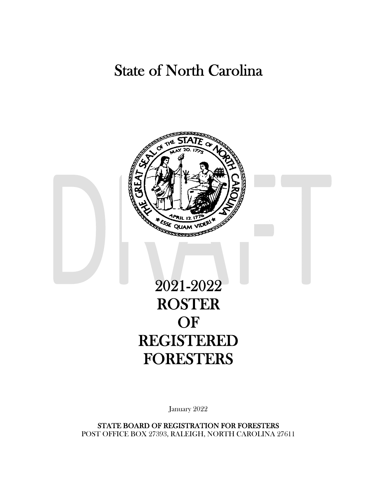## State of North Carolina



## 2021-2022 ROSTER OF REGISTERED FORESTERS

January 2022

STATE BOARD OF REGISTRATION FOR FORESTERS POST OFFICE BOX 27393, RALEIGH, NORTH CAROLINA 27611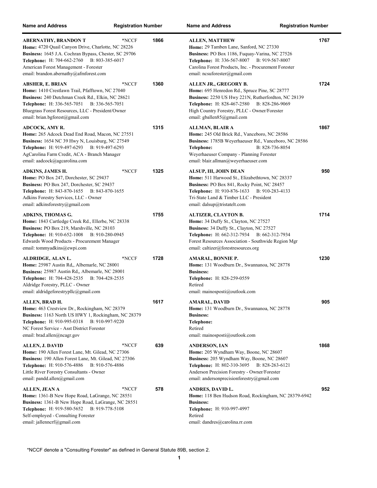| <b>Name and Address</b>                                                                                                                                                                                                                                                     | <b>Registration Number</b> |      | <b>Name and Address</b><br><b>Registration Number</b>                                                                                                                                                                                                                  |      |
|-----------------------------------------------------------------------------------------------------------------------------------------------------------------------------------------------------------------------------------------------------------------------------|----------------------------|------|------------------------------------------------------------------------------------------------------------------------------------------------------------------------------------------------------------------------------------------------------------------------|------|
| <b>ABERNATHY, BRANDON T</b><br>Home: 4720 Quail Canyon Drive, Charlotte, NC 28226<br>Business: 1645 J.A. Cochran Bypass, Chester, SC 29706<br>Telephone: H: 704-662-2760 B: 803-385-6017<br>American Forest Management - Forester<br>email: brandon.abernathy@afmforest.com | *NCCF                      | 1866 | <b>ALLEN, MATTHEW</b><br>Home: 29 Tamben Lane, Sanford, NC 27330<br>Business: PO Box 1186, Fuquay-Varina, NC 27526<br>Telephone: H: 336-567-8007 B: 919-567-8007<br>Carolina Forest Products, Inc. - Procurement Forester<br>email: ncsuforester@gmail.com             | 1767 |
| ABSHER, E. BRIAN<br>Home: 1410 Crestlawn Trail, Pfafftown, NC 27040<br>Business: 240 Dutchman Creek Rd., Elkin, NC 28621<br>Telephone: H: 336-565-7051 B: 336-565-7051<br>Bluegrass Forest Resources, LLC - President/Owner<br>email: brian.bgforest@gmail.com              | *NCCF                      | 1360 | ALLEN JR., GREGORY B.<br>Home: 695 Henredon Rd., Spruce Pine, SC 28777<br>Business: 2250 US Hwy 221N, Rutherfordton, NC 28139<br>Telephone: H: 828-467-2580 B: 828-286-9069<br>High Country Forestry, PLLC - Owner/Forester<br>email: gballen85@gmail.com              | 1724 |
| ADCOCK, AMY R.<br>Home: 265 Adcock Dead End Road, Macon, NC 27551<br><b>Business:</b> 1654 NC 39 Hwy N, Louisburg, NC 27549<br>Telephone: H: 919-497-6293 B: 919-497-6293<br>AgCarolina Farm Credit, ACA - Branch Manager<br>email: aadcock@agcarolina.com                  |                            | 1315 | ALLMAN, BLAIR A<br>Home: 245 Old Brick Rd., Vanceboro, NC 28586<br>Business: 1785B Weyerhaeuser Rd., Vanceboro, NC 28586<br>B: 828-736-8054<br>Telephone:<br>Weyerhaeuser Company - Planning Forester<br>email: blair.allman@weyerhaeuser.com                          | 1867 |
| ADKINS, JAMES H.<br>Home: PO Box 247, Dorchester, SC 29437<br>Business: PO Box 247, Dorchester, SC 29437<br>Telephone: H: 843-870-1655 B: 843-870-1655<br>Adkins Forestry Services, LLC - Owner<br>email: adkinsforestry@gmail.com                                          | *NCCF                      | 1325 | ALSUP, III, JOHN DEAN<br>Home: 511 Harwood St., Elizabethtown, NC 28337<br>Business: PO Box 841, Rocky Point, NC 28457<br>Telephone: H: 910-876-1633 B: 910-283-4133<br>Tri-State Land & Timber LLC - President<br>email: dalsup@tristatelt.com                        | 950  |
| <b>ADKINS, THOMAS G.</b><br>Home: 1843 Cartledge Creek Rd., Ellerbe, NC 28338<br>Business: PO Box 219, Marshville, NC 28103<br><b>Telephone:</b> H: 910-652-1008<br>B: 910-280-0945<br>Edwards Wood Products - Procurement Manager<br>email: tommyadkins@ewpi.com           |                            | 1755 | <b>ALTIZER, CLAYTON B.</b><br>Home: 34 Duffy St., Clayton, NC 27527<br>Business: 34 Duffy St., Clayton, NC 27527<br><b>Telephone:</b> H: 662-312-7934<br>B: 662-312-7934<br>Forest Resources Association - Southwide Region Mgr<br>email: caltizer@forestresources.org | 1714 |
| ALDRIDGE, ALAN L.<br>Home: 25987 Austin Rd,, Albemarle, NC 28001<br>Business: 25987 Austin Rd., Albemarle, NC 28001<br>Telephone: H: 704-428-2535 B: 704-428-2535<br>Aldridge Forestry, PLLC - Owner<br>email: aldridgeforestrypllc@gmail.com                               | *NCCF                      | 1728 | AMARAL, BONNIE P.<br>Home: 131 Woodburn Dr., Swannanoa, NC 28778<br><b>Business:</b><br>Telephone: H: 828-259-0559<br>Retired<br>email: mainosposti@outlook.com                                                                                                        | 1230 |
| ALLEN, BRAD H.<br>Home: 463 Crestview Dr., Rockingham, NC 28379<br>Business: 1163 North US HWY 1, Rockingham, NC 28379<br>Telephone: H: 910-995-0318<br>B: 910-997-9220<br>NC Forest Service - Asst District Forester<br>email: brad.allen@ncagr.gov                        |                            | 1617 | AMARAL, DAVID<br>Home: 131 Woodburn Dr., Swannanoa, NC 28778<br><b>Business:</b><br>Telephone:<br>Retired<br>email: mainosposti@outlook.com                                                                                                                            | 905  |
| <b>ALLEN, J. DAVID</b><br>Home: 190 Allen Forest Lane, Mt. Gilead, NC 27306<br>Business: 190 Allen Forest Lane, Mt. Gilead, NC 27306<br>Telephone: H: 910-576-4886<br>B: 910-576-4886<br>Little River Forestry Consultants - Owner<br>email: pandd.allen@gmail.com          | *NCCF                      | 639  | <b>ANDERSON, IAN</b><br>Home: 205 Wyndham Way, Boone, NC 28607<br>Business: 205 Wyndham Way, Boone, NC 28607<br>Telephone: H: 802-310-3695 B: 828-263-6121<br>Anderson Precision Forestry - Owner/Forester<br>email: andersonprecisionforestry@gmail.com               | 1868 |
| ALLEN, JEAN A<br>Home: 1361-B New Hope Road, LaGrange, NC 28551<br>Business: 1361-B New Hope Road, LaGrange, NC 28551<br>Telephone: H: 919-580-5652 B: 919-778-5108<br>Self-employed - Consulting Forester<br>email: jallenncrf@gmail.com                                   | *NCCF                      | 578  | ANDRES, DAVID L.<br>Home: 118 Ben Hudson Road, Rockingham, NC 28379-6942<br><b>Business:</b><br>Telephone: H: 910-997-4997<br>Retired<br>email: dandres@carolina.rr.com                                                                                                | 952  |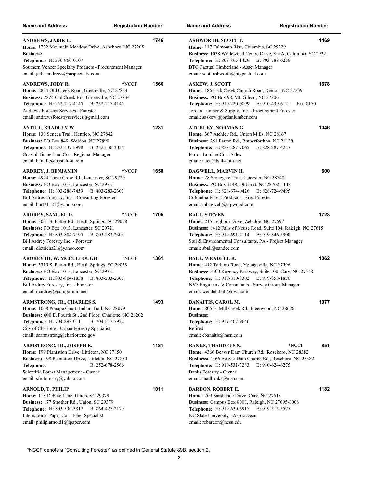| <b>Name and Address</b>                                                                                                                                                                                                                                                           | <b>Registration Number</b> | <b>Name and Address</b>                                                                                                                                                                                                                                                  | <b>Registration Number</b>      |
|-----------------------------------------------------------------------------------------------------------------------------------------------------------------------------------------------------------------------------------------------------------------------------------|----------------------------|--------------------------------------------------------------------------------------------------------------------------------------------------------------------------------------------------------------------------------------------------------------------------|---------------------------------|
| ANDREWS, JADIE L.<br>Home: 1772 Mountain Meadow Drive, Asheboro, NC 27205<br><b>Business:</b><br>Telephone: H: 336-960-0107<br>Southern Veneer Specialty Products - Procurement Manager<br>email: jadie.andrews@suspecialty.com                                                   | 1746                       | <b>ASHWORTH, SCOTT T.</b><br>Home: 117 Falmouth Rise, Columbia, SC 29229<br>Business: 1038 Wildewood Centre Drive, Ste A, Columbia, SC 2922<br><b>Telephone:</b> H: 803-865-1429<br>BTG Pactual Timberland - Asset Manager<br>email: scott.ashworth@btgpactual.com       | 1469<br>B: 803-788-6256         |
| <b>ANDREWS, JODY R.</b><br>Home: 2824 Old Creek Road, Greenville, NC 27834<br>Business: 2824 Old Creek Rd., Greenville, NC 27834<br>Telephone: H: 252-217-4145 B: 252-217-4145<br>Andrews Forestry Services - Forester<br>email: andrewsforestryservices@gmail.com                | 1566<br>*NCCF              | <b>ASKEW, J. SCOTT</b><br>Home: 186 Lick Creek Church Road, Denton, NC 27239<br>Business: PO Box 98, Mt. Gilead, NC 27306<br>Telephone: H: 910-220-0899 B: 910-439-6121<br>Jordan Lumber & Supply, Inc. - Procurement Forester<br>email: saskew@jordanlumber.com         | 1678<br>Ext: 8170               |
| <b>ANTILL, BRADLEY W.</b><br>Home: 130 Seneca Trail, Henrico, NC 27842<br>Business: PO Box 849, Weldon, NC 27890<br>Telephone: H: 252-537-5998<br>B: 252-536-3055<br>Coastal Timberland Co. - Regional Manager<br>email: bantill@coastalusa.com                                   | 1231                       | ATCHLEY, NORMAN G.<br>Home: 367 Atchley Rd., Union Mills, NC 28167<br>Business: 251 Parton Rd., Rutherfordton, NC 28139<br>Telephone: H: 828-287-7065<br>Parton Lumber Co. - Sales<br>email: naca@bellsouth.net                                                          | 1046<br>B: 828-287-4257         |
| ARDREY, J. BENJAMIN<br>Home: 4944 Three Crow Rd., Lancaster, SC 29720<br>Business: PO Box 1013, Lancaster, SC 29721<br><b>Telephone:</b> H: 803-286-7459<br>B: 803-283-2303<br>Bill Ardrey Forestry, Inc. - Consulting Forester<br>email: burt21 $21$ $\omega$ yahoo.com          | 1658<br>*NCCF              | BAGWELL, MARVIN H.<br>Home: 28 Stonegate Trail, Leicester, NC 28748<br>Business: PO Box 1148, Old Fort, NC 28762-1148<br>Telephone: H: 828-674-0426 B: 828-724-9495<br>Columbia Forest Products - Area Forester<br>email: mbagwell@cfpwood.com                           | 600                             |
| ARDREY, SAMUEL D.<br>Home: 3001 S. Potter Rd., Heath Springs, SC 29058<br>Business: PO Box 1013, Lancaster, SC 29721<br><b>Telephone:</b> H: 803-804-7195<br>B: 803-283-2303<br>Bill Ardrey Forestry Inc. - Forester<br>email: dietricha21@yahoo.com                              | 1705<br>*NCCF              | <b>BALL, STEVEN</b><br>Home: 215 Leghorn Drive, Zebulon, NC 27597<br>Business: 8412 Falls of Neuse Road, Suite 104, Raleigh, NC 27615<br>Telephone: H: 919-691-2114 B: 919-846-5900<br>Soil & Environmental Consultants, PA - Project Manager<br>email: sball@sandec.com | 1723                            |
| <b>ARDREY III, W. MCCULLOUGH</b><br>Home: 3315 S. Potter Rd., Heath Springs, SC 29058<br>Business: PO Box 1013, Lancaster, SC 29721<br>Telephone: H: 803-804-1838 B: 803-283-2303<br>Bill Ardrey Forestry, Inc. - Forester<br>email: mardrey@comporium.net                        | 1361<br>*NCCF              | <b>BALL, WENDELL R.</b><br>Home: 412 Tarboro Road, Youngsville, NC 27596<br>Business: 3300 Regency Parkway, Suite 100, Cary, NC 27518<br>Telephone: H: 919-810-8302 B: 919-858-1876<br>NV5 Engineers & Consultants - Survey Group Manager<br>email: wendell.ball@nv5.com | 1062                            |
| ARMSTRONG, JR., CHARLES S.<br>Home: 1008 Ponape Court, Indian Trail, NC 28079<br>Business: 600 E. Fourth St., 2nd Floor, Charlotte, NC 28202<br>Telephone: H: 704-893-0111 B: 704-517-7922<br>City of Charlotte - Urban Forestry Specialist<br>email: scarmstrong@charlottenc.gov | 1493                       | <b>BANAITIS, CAROL M.</b><br>Home: 805 E. Mill Creek Rd., Fleetwood, NC 28626<br><b>Business:</b><br>Telephone: H: 919-407-9646<br>Retired<br>email: cbanaitis@msn.com                                                                                                   | 1077                            |
| ARMSTRONG, JR., JOSEPH E.<br>Home: 199 Plantation Drive, Littleton, NC 27850<br><b>Business: 199 Plantation Drive, Littleton, NC 27850</b><br>B: 252-678-2566<br>Telephone:<br>Scientific Forest Management - Owner<br>email: sfmforestry@yahoo.com                               | 1181                       | <b>BANKS, THADDEUS N.</b><br>Home: 4366 Beaver Dam Church Rd., Roseboro, NC 28382<br>Business: 4366 Beaver Dam Church Rd., Roseboro, NC 28382<br><b>Telephone:</b> H: 910-531-3283<br>Banks Forestry - Owner<br>email: thadbanks@msn.com                                 | *NCCF<br>851<br>B: 910-624-6275 |
| <b>ARNOLD, T. PHILIP</b><br>Home: 118 Debbie Lane, Union, SC 29379<br>Business: 177 Strother Rd., Union, SC 29379<br><b>Telephone:</b> H: 803-530-3817<br>B: 864-427-2179<br>International Paper Co. - Fiber Specialist<br>email: philip.arnold1@ipaper.com                       | 1011                       | <b>BARDON, ROBERT E.</b><br>Home: 209 Sarabande Drive, Cary, NC 27513<br>Business: Campus Box 8008, Raleigh, NC 27695-8008<br><b>Telephone:</b> H: 919-630-6917<br>NC State University - Assoc Dean<br>email: rebardon@ncsu.edu                                          | 1182<br>B: 919-515-5575         |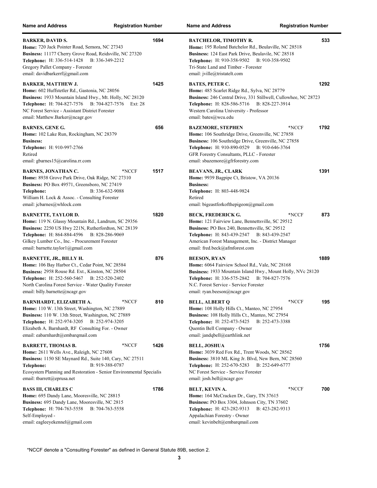| <b>Name and Address</b>                                                                                                                                                                                                                                                            | <b>Registration Number</b> | <b>Name and Address</b>                                                                                                                                                                                                                                                 | <b>Registration Number</b> |
|------------------------------------------------------------------------------------------------------------------------------------------------------------------------------------------------------------------------------------------------------------------------------------|----------------------------|-------------------------------------------------------------------------------------------------------------------------------------------------------------------------------------------------------------------------------------------------------------------------|----------------------------|
| BARKER, DAVID S.<br>Home: 720 Jack Pointer Road, Semora, NC 27343<br>Business: 11177 Cherry Grove Road, Reidsville, NC 27320<br><b>Telephone:</b> H: 336-514-1428<br>B: 336-349-2212<br>Gregory Pallet Company - Forester<br>email: davidbarkerrf@gmail.com                        | 1694                       | <b>BATCHELOR, TIMOTHY R.</b><br>Home: 195 Roland Batchelor Rd., Beulaville, NC 28518<br>Business: 124 East Park Drive, Beulavile, NC 28518<br><b>Telephone:</b> H: 910-358-9502 B: 910-358-9502<br>Tri-State Land and Timber - Forester<br>email: jville@tristatelt.com | 533                        |
| <b>BARKER, MATTHEW J.</b><br><b>Home:</b> 602 Huffstetler Rd., Gastonia, NC 28056<br>Business: 1933 Mountain Island Hwy., Mt. Holly, NC 28120<br>Telephone: H: 704-827-7576 B: 704-827-7576<br>NC Forest Service - Assistant District Forester<br>email: Matthew.Barker@ncagr.gov  | 1425<br>Ext: 28            | <b>BATES, PETER C.</b><br>Home: 485 Scarlet Ridge Rd., Sylva, NC 28779<br>Business: 246 Central Drive, 331 Stillwell, Cullowhee, NC 28723<br>Telephone: H: 828-586-5716 B: 828-227-3914<br>Western Carolina University - Professor<br>email: bates@wcu.edu              | 1292                       |
| <b>BARNES, GENE G.</b><br><b>Home:</b> 102 Lake Run, Rockingham, NC 28379<br><b>Business:</b><br>Telephone: H: 910-997-2766<br>Retired<br>email: gbarnes15@carolina.rr.com                                                                                                         | 656                        | <b>BAZEMORE, STEPHEN</b><br>Home: 106 Southridge Drive, Greenville, NC 27858<br>Business: 106 Southridge Drive, Greenville, NC 27858<br>Telephone: H: 910-890-0529 B: 910-646-3764<br>GFR Forestry Consultants, PLLC - Forester<br>email: sbazemore@gfrforestry.com     | 1792<br>*NCCF              |
| <b>BARNES, JONATHAN C.</b><br>Home: 8938 Grove Park Drive, Oak Ridge, NC 27310<br>Business: PO Box 49571, Greensboro, NC 27419<br>B: 336-632-9088<br>Telephone:<br>William H. Lock & Assoc. - Consulting Forester<br>email: jcbarnes@whlock.com                                    | 1517<br>*NCCF              | <b>BEAVANS, JR., CLARK</b><br>Home: 9939 Bagpipe Ct, Bristow, VA 20136<br><b>Business:</b><br>Telephone: H: 803-448-9824<br>Retired<br>email: bigeastforkofthepigeon@gmail.com                                                                                          | 1391                       |
| <b>BARNETTE, TAYLOR D.</b><br>Home: 119 N. Glassy Mountain Rd., Landrum, SC 29356<br>Business: 2250 US Hwy 221N, Rutherfordton, NC 28139<br>Telephone: H: 864-884-4596 B: 828-286-9069<br>Gilkey Lumber Co., Inc. - Procurement Forester<br>email: barnette.taylor1@gmail.com      | 1820                       | <b>BECK, FREDERICK G.</b><br>Home: 121 Fairview Lane, Bennettsville, SC 29512<br>Business: PO Box 240, Bennettsville, SC 29512<br>Telephone: H: 843-439-2547 B: 843-439-2547<br>American Forest Management, Inc. - District Manager<br>email: fred.beck@afmforest.com   | *NCCF<br>873               |
| <b>BARNETTE, JR., BILLY H.</b><br>Home: 106 Bay Harbor Ct., Cedar Point, NC 28584<br>Business: 2958 Rouse Rd. Ext., Kinston, NC 28504<br>Telephone: H: 252-560-5467 B: 252-520-2402<br>North Carolina Forest Service - Water Quality Forester<br>email: billy.barnette@ncagr.gov   | 876                        | <b>BEESON, RYAN</b><br>Home: 6064 Fairview School Rd., Vale, NC 28168<br>Business: 1933 Mountain Island Hwy., Mount Holly, NVc 28120<br>Telephone: H: 336-575-2842 B: 704-827-7576<br>N.C. Forest Service - Service Forester<br>email: ryan.beeson@ncagr.gov            | 1889                       |
| BARNHARDT, ELIZABETH A.<br>Home: 110 W. 13th Street, Washington, NC 27889<br>Business: 110 W. 13th Street, Washington, NC 27889<br><b>Telephone:</b> H: 252-974-3205<br>B: 252-974-3205<br>Elizabeth A. Barnhardt, RF Consulting For. - Owner<br>email: eabarnhardt@embarqmail.com | 810<br>*NCCF               | <b>BELL, ALBERT Q</b><br>Home: 108 Holly Hills Ct., Manteo, NC 27954<br>Business: 108 Holly Hills Ct., Manteo, NC 27954<br><b>Telephone:</b> H: 252-473-5425<br>B: 252-473-3388<br>Quentin Bell Company - Owner<br>email: jandqbell@earthlink.net                       | 195<br>*NCCF               |
| <b>BARRETT, THOMAS B.</b><br>Home: 2611 Wells Ave., Raleigh, NC 27608<br>Business: 1150 SE Maynard Rd., Suite 140, Cary, NC 27511<br>B: 919-388-0787<br>Telephone:<br>Ecosystem Planning and Restoration - Senior Environmental Specialis<br>email: tbarrett@eprusa.net            | *NCCF<br>1426              | <b>BELL, JOSHUA</b><br>Home: 3039 Red Fox Rd., Trent Woods, NC 28562<br>Business: 3810 ML King Jr. Blvd, New Bern, NC 28560<br><b>Telephone:</b> H: 252-670-5283<br>B: 252-649-6777<br>NC Forest Service - Service Forester<br>email: josh.bell@ncagr.gov               | 1756                       |
| <b>BASS III, CHARLES C</b><br>Home: 695 Dandy Lane, Mooresville, NC 28815<br>Business: 695 Dandy Lane, Mooresville, NC 2815<br>Telephone: H: 704-763-5558<br>B: 704-763-5558<br>Self-Employed -<br>email: eagleeyekennel@gmail.com                                                 | 1786                       | BELT, KEVIN A.<br>Home: 164 McCracken Dr., Gary, TN 37615<br>Business: PO Box 3304, Johnson City, TN 37602<br><b>Telephone:</b> H: 423-282-9313<br>B: 423-282-9313<br>Appalachian Forestry - Owner<br>email: kevinbelt@embarqmail.com                                   | 700<br>*NCCF               |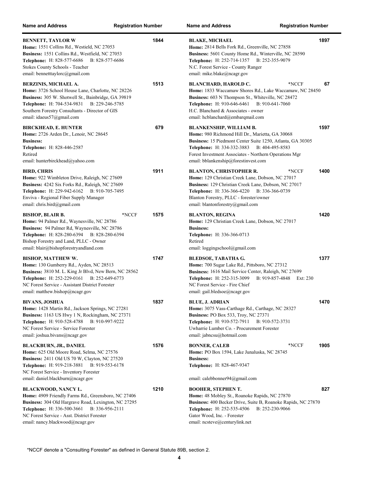| <b>Name and Address</b>                                                                                                                                                                                                                                                         | <b>Registration Number</b> | <b>Name and Address</b>                                                                                                                                                                                                                                                                                   | <b>Registration Number</b> |
|---------------------------------------------------------------------------------------------------------------------------------------------------------------------------------------------------------------------------------------------------------------------------------|----------------------------|-----------------------------------------------------------------------------------------------------------------------------------------------------------------------------------------------------------------------------------------------------------------------------------------------------------|----------------------------|
| <b>BENNETT, TAYLOR W</b><br>Home: 1551 Collins Rd., Westield, NC 27053<br>Business: 1551 Collins Rd., Westfield, NC 27053<br>Telephone: H: 828-577-6686<br>B: 828-577-6686<br>Stokes County Schools - Teacher<br>email: bennetttaylorc@gmail.com                                | 1844                       | <b>BLAKE, MICHAEL</b><br>Home: 2814 Bells Fork Rd., Greenville, NC 27858<br>Business: 5601 County Home Rd., Winterville, NC 28590<br>Telephone: H: 252-714-1357 B: 252-355-9079<br>N.C. Forest Service - County Ranger<br>email: mike.blake@ncagr.gov                                                     | 1897                       |
| <b>BERZINIS, MICHAEL A.</b><br>Home: 3726 School House Lane, Charlotte, NC 28226<br>Business: 305 W. Shotwell St., Bainbridge, GA 39819<br><b>Telephone:</b> H: 704-534-9831<br>B: 229-246-5785<br>Southern Forestry Consultants - Director of GIS<br>email: idaeus57@gmail.com | 1513                       | <b>BLANCHARD, HAROLD C.</b><br>*NCCF<br>Home: 1833 Waccamaw Shores Rd., Lake Waccamaw, NC 28450<br>Business: 603 N Thompson St., Whiteville, NC 28472<br>Telephone: H: 910-646-6461 B: 910-641-7060<br>H.C. Blanchard & Associates - owner<br>email: hcblanchard@embarqmail.com                           | 67                         |
| <b>BIRCKHEAD, E. HUNTER</b><br>Home: 2726 Arden Dr., Lenoir, NC 28645<br><b>Business:</b><br>Telephone: H: 828-446-2587<br>Retired<br>email: hunterbirckhead@yahoo.com                                                                                                          | 679                        | <b>BLANKENSHIP, WILLIAM B.</b><br>Home: 980 Richmond Hill Dr., Marietta, GA 30068<br>Business: 15 Piedmont Center Suite 1250, Atlanta, GA 30305<br><b>Telephone:</b> H: 334-332-3883<br>B: 404-495-8583<br>Forest Investment Associates - Northern Operations Mgr<br>email: bblankenship@forestinvest.com | 1597                       |
| <b>BIRD, CHRIS</b><br>Home: 922 Wimbleton Drive, Raleigh, NC 27609<br>Business: 4242 Six Forks Rd., Raleigh, NC 27609<br>Telephone: H: 229-942-6162<br>B: 910-705-7495<br>Enviva - Regional Fiber Supply Manager<br>email: chris.bird@gmail.com                                 | 1911                       | <b>BLANTON, CHRISTOPHER R.</b><br>*NCCF<br>Home: 129 Christian Creek Lane, Dobson, NC 27017<br>Business: 129 Christian Creek Lane, Dobson, NC 27017<br>Telephone: H: 336-366-4220<br>B: 336-366-0739<br>Blanton Forestry, PLLC - forester/owner<br>email: blantonforestry@gmail.com                       | 1400                       |
| <b>BISHOP, BLAIR B.</b><br>Home: 94 Palmer Rd., Waynesville, NC 28786<br>Business: 94 Palmer Rd, Waynesville, NC 28786<br>Telephone: H: 828-280-6394 B: 828-280-6394<br>Bishop Forestry and Land, PLLC - Owner<br>email: blair@bishopforestryandland.com                        | *NCCF<br>1575              | <b>BLANTON, REGINA</b><br>Home: 129 Christian Creek Lane, Dobson, NC 27017<br><b>Business:</b><br>Telephone: H: 336-366-0713<br>Retired<br>email: loggingschool@gmail.com                                                                                                                                 | 1420                       |
| <b>BISHOP, MATTHEW W.</b><br>Home: 130 Gumberry Rd., Ayden, NC 28513<br>Business: 3810 M. L. King Jr Blvd, New Bern, NC 28562<br>Telephone: H: 252-229-0161<br>B: 252-649-6773<br>NC Forest Service - Assistant District Forester<br>email: matthew.bishop@ncagr.gov            | 1747                       | <b>BLEDSOE, TABATHA G.</b><br>Home: 700 Sugar Lake Rd., Pittsboro, NC 27312<br>Business: 1616 Mail Service Center, Raleigh, NC 27699<br><b>Telephone:</b> H: 252-315-3099<br>B: 919-857-4848<br>NC Forest Service - Fire Chief<br>email: gail.bledsoe@ncagr.gov                                           | 1377<br>Ext: 230           |
| <b>BIVANS, JOSHUA</b><br>Home: 1428 Martin Rd., Jackson Springs, NC 27281<br>Business: 1163 US Hwy 1 N, Rockingham, NC 27371<br><b>Telephone:</b> H: 910-528-4788<br>B: 910-997-9222<br>NC Forest Service - Service Forester<br>email: joshua.bivans@ncagr.gov                  | 1837                       | <b>BLUE, J. ADRIAN</b><br>Home: 3075 Vass-Carthage Rd., Carthage, NC 28327<br><b>Business: PO Box 533, Troy, NC 27371</b><br><b>Telephone:</b> H: 910-572-7911<br>B: 910-572-3731<br>Uwharrie Lumber Co. - Procurement Forester<br>email: jabncsu@hotmail.com                                             | 1470                       |
| <b>BLACKBURN, JR., DANIEL</b><br>Home: 625 Old Moore Road, Selma, NC 27576<br>Business: 2411 Old US 70 W, Clayton, NC 27520<br><b>Telephone:</b> H: 919-218-3881<br>B: 919-553-6178<br>NC Forest Service - Inventory Forester<br>email: daniel.blackburn@ncagr.gov              | 1576                       | <b>BONNER, CALEB</b><br>*NCCF<br>Home: PO Box 1594, Lake Junaluska, NC 28745<br><b>Business:</b><br>Telephone: H: 828-467-9347<br>email: calebbonner94@gmail.com                                                                                                                                          | 1905                       |
| <b>BLACKWOOD, NANCY L.</b><br>Home: 4909 Friendly Farms Rd., Greensboro, NC 27406<br>Business: 304 Old Hargrave Road, Lexington, NC 27295<br>B: 336-956-2111<br>Telephone: H: 336-500-3661<br>NC Forest Service - Asst. District Forester<br>email: nancy.blackwood@ncagr.gov   | 1210                       | <b>BOOHER, STEPHEN T.</b><br>Home: 48 Mobley St., Roanoke Rapids, NC 27870<br>Business: 400 Becker Drive, Suite B, Roanoke Rapids, NC 27870<br>Telephone: H: 252-535-4506<br>B: 252-230-9066<br>Gator Wood, Inc. - Forester<br>email: ncsteve@centurylink.net                                             | 827                        |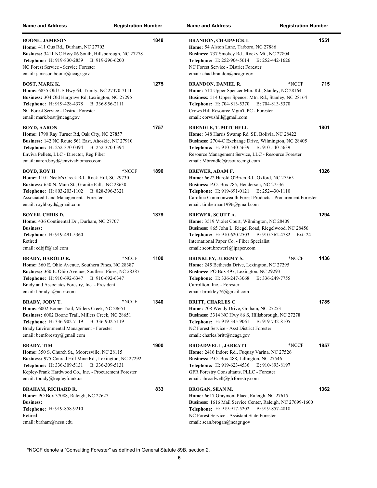| <b>Name and Address</b>                                                                                                                                                                                                                                                          | <b>Registration Number</b> | <b>Name and Address</b>                                                                                                                                                                                                                                                           | <b>Registration Number</b>         |
|----------------------------------------------------------------------------------------------------------------------------------------------------------------------------------------------------------------------------------------------------------------------------------|----------------------------|-----------------------------------------------------------------------------------------------------------------------------------------------------------------------------------------------------------------------------------------------------------------------------------|------------------------------------|
| <b>BOONE, JAMESON</b><br>Home: 411 Gus Rd., Durham, NC 27703<br>Business: 3411 NC Hwy 86 South, Hillsborough, NC 27278<br>Telephone: H: 919-830-2859 B: 919-296-6200<br>NC Forest Service - Service Forester<br>email: jameson.boone@ncagr.gov                                   | 1848                       | <b>BRANDON, CHADWICK L</b><br>Home: 54 Alston Lane, Tarboro, NC 27886<br>Business: 737 Smokey Rd., Rocky Mt., NC 27804<br>Telephone: H: 252-904-5614 B: 252-442-1626<br>NC Forest Service - District Forester<br>email: chad.brandon@ncagr.gov                                    | 1551                               |
| BOST, MARK K.<br>Home: 6835 Old US Hwy 64, Trinity, NC 27370-7111<br>Business: 304 Old Hargrave Rd, Lexington, NC 27295<br><b>Telephone:</b> H: 919-428-4378 B: 336-956-2111<br>NC Forest Service - District Forester<br>email: mark.bost@ncagr.gov                              | 1275                       | <b>BRANDON, DANIEL R.</b><br>Home: 514 Upper Spencer Mtn. Rd., Stanley, NC 28164<br>Business: 514 Upper Spencer Mtn. Rd., Stanley, NC 28164<br>Telephone: H: 704-813-5370 B: 704-813-5370<br>Crows Hill Resource Mgm't, PC - Forester<br>email: corvushill@gmail.com              | 715<br>*NCCF                       |
| <b>BOYD, AARON</b><br>Home: 1790 Ray Turner Rd, Oak City, NC 27857<br>Business: 142 NC Route 561 East, Ahoskie, NC 27910<br>Telephone: H: 252-370-0394 B: 252-370-0394<br>Enviva Pellets, LLC - Director, Reg Fiber<br>email: aaron.boyd@envivabiomass.com                       | 1757                       | <b>BRENDLE, T. MITCHELL</b><br>Home: 348 Harris Swamp Rd. SE, Bolivia, NC 28422<br>Business: 2704-C Exchange Drive, Wilmington, NC 28405<br>Telephone: H: 910-540-5639 B: 910-540-5639<br>Resource Management Service, LLC - Resource Forester<br>email: Mbrendle@resourcemgt.com | 1801                               |
| BOYD, ROY H<br>Home: 1101 Neely's Creek Rd., Rock Hill, SC 29730<br>Business: 650 N. Main St., Granite Falls, NC 28630<br>Telephone: H: 803-203-1102<br>B: 828-396-3321<br>Associated Land Management - Forester<br>email: royhboyd@gmail.com                                    | 1890<br>*NCCF              | <b>BREWER, ADAM F.</b><br>Home: 6622 Harold O'Brien Rd., Oxford, NC 27565<br>Business: P.O. Box 785, Henderson, NC 27536<br>Telephone: H: 919-691-0121 B: 252-430-1110<br>Carolina Commonwealth Forest Products - Procurement Forester<br>email: timberman1996@gmail.com          | 1326                               |
| <b>BOYER, CHRIS D.</b><br>Home: 436 Continental Dr., Durham, NC 27707<br><b>Business:</b><br>Telephone: H: 919-491-5360<br>Retired<br>email: cdbjff@aol.com                                                                                                                      | 1379                       | <b>BREWER, SCOTT A.</b><br>Home: 3519 Violet Court, Wilmington, NC 28409<br>Business: 865 John L. Riegel Road, Riegelwood, NC 28456<br><b>Telephone:</b> H: 910-620-2503<br>International Paper Co. - Fiber Specialist<br>email: scott.brewer1@ipaper.com                         | 1294<br>B: 910-362-4782<br>Ext: 24 |
| <b>BRADY, HAROLD R.</b><br>Home: 360 E. Ohio Avenue, Southern Pines, NC 28387<br>Business: 360 E. Ohio Avenue, Southern Pines, NC 28387<br>Telephone: H: 910-692-6347 B: 910-692-6347<br>Brady and Associates Forestry, Inc. - President<br>email: hbrady1@nc.rr.com             | 1100<br>*NCCF              | <b>BRINKLEY, JEREMY S.</b><br>Home: 245 Bethesda Drive, Lexington, NC 27295<br>Business: PO Box 497, Lexington, NC 29293<br>Telephone: H: 336-247-3068<br>Carrollton, Inc. - Forester<br>email: brinkley76@gmail.com                                                              | 1436<br>*NCCF<br>B: 336-249-7755   |
| BRADY, JODY T.<br><b>Home:</b> 6002 Boone Trail, Millers Creek, NC 28651<br>Business: 6002 Boone Trail, Millers Creek, NC 28651<br>Telephone: H: 336-902-7119 B: 336-902-7119<br>Brady Environmental Management - Forester<br>email: bemforestry@gmail.com                       | *NCCF<br>1340              | <b>BRITT, CHARLES C</b><br>Home: 708 Wendy Drive, Graham, NC 27253<br>Business: 3314 NC Hwy 86 S, Hillsborough, NC 27278<br>Telephone: H: 919-345-9061<br>NC Forest Service - Asst District Forester<br>email: charles.britt@ncagr.gov                                            | 1785<br>B: 919-732-8105            |
| <b>BRADY, TIM</b><br>Home: 350 S. Church St., Mooresville, NC 28115<br>Business: 975 Conrad Hill Mine Rd., Lexington, NC 27292<br>B: 336-309-5131<br><b>Telephone:</b> H: 336-309-5131<br>Kepley-Frank Hardwood Co., Inc. - Procurement Forester<br>email: tbrady@kepleyfrank.us | 1900                       | <b>BROADWELL, JARRATT</b><br>Home: 2416 Indore Rd., Fuquay Varina, NC 27526<br>Business: P.O. Box 488, Lillington, NC 27546<br><b>Telephone:</b> H: 919-623-4536<br>GFR Forestry Consultants, PLLC - Forester<br>email: jbroadwell@gfrforestry.com                                | *NCCF<br>1857<br>B: 910-893-8197   |
| <b>BRAHAM, RICHARD R.</b><br>Home: PO Box 37088, Raleigh, NC 27627<br><b>Business:</b><br>Telephone: H: 919-858-9210<br>Retired<br>email: braham@ncsu.edu                                                                                                                        | 833                        | BROGAN, SEAN M.<br>Home: 6617 Graymont Place, Raleigh, NC 27615<br>Business: 1616 Mail Service Center, Raleigh, NC 27699-1600<br><b>Telephone:</b> H: 919-917-5202<br>NC Forest Service - Assistant State Forester<br>email: sean.brogan@ncagr.gov                                | 1362<br>B: 919-857-4818            |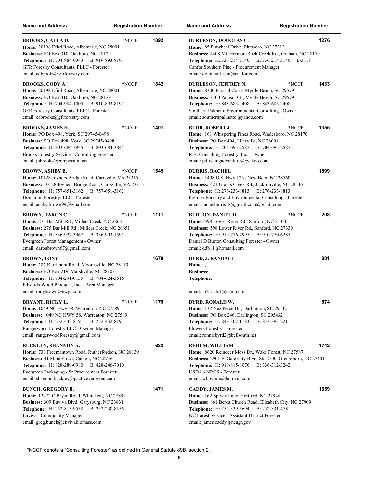| <b>Name and Address</b>                                                                                                                                                                                                                                      | <b>Registration Number</b> |      | <b>Name and Address</b>                                                                                                                                                                                                                                                                        | <b>Registration Number</b> |
|--------------------------------------------------------------------------------------------------------------------------------------------------------------------------------------------------------------------------------------------------------------|----------------------------|------|------------------------------------------------------------------------------------------------------------------------------------------------------------------------------------------------------------------------------------------------------------------------------------------------|----------------------------|
| <b>BROOKS, CAELA D.</b><br>Home: 20198 Efird Road, Albemarle, NC 28001<br>Business: PO Box 310, Oakboro, NC 28129<br><b>Telephone:</b> H: 704-984-0343<br>B: 919-893-8197<br>GFR Forestry Consultants, PLLC - Forester<br>email: cdbrooks@gfrforestry.com    | *NCCF                      | 1892 | <b>BURLESON, DOUGLAS C.</b><br>Home: 85 Pinwheel Drive, Pittsboro, NC 27312<br>Business: 4408 Mt. Hermon-Rock Creek Rd., Graham, NC 28170<br><b>Telephone:</b> H: 336-214-3140<br>B: 336-214-3140<br>Canfor Southern Pine - Procurement Manager<br>email: doug.burleson@canfor.com             | 1276<br>Ext: 18            |
| <b>BROOKS, CODY A</b><br>Home: 20198 Efird Road, Albemarle, NC 28001<br>Business: PO Box 310, Oakboro, NC 28129<br>Telephone: H: 704-984-1005 B: 910-893-8197<br>GFR Forestry Consultants, PLLC - Forester<br>email: cabrooks@gfrforestry.com                | *NCCF                      | 1842 | <b>BURLESON, JEFFREY N.</b><br>*NCCF<br>Home: 8300 Parasol Court, Myrtle Beach, SC 29579<br>Business: 8300 Parasol Ct., Myrtle Beach, SC 29579<br><b>Telephone:</b> H: 843-685-2408 B: 843-685-2408<br>Southern Palmetto Environmental Consulting - Owner<br>email: southernpalmetto@yahoo.com | 1433                       |
| <b>BROOKS, JAMES H.</b><br>Home: PO Box 498, York, SC 29745-0498<br>Business: PO Box 498, York, SC 29745-0498<br>Telephone: H: 803-684-3845 B: 803-684-3845<br>Brooks Forestry Service - Consulting Forester<br>email: jhbrooks@comporium.net                | *NCCF                      | 1401 | <b>BURR, ROBERT J</b><br>*NCCF<br>Home: 161 Whispering Pines Road, Wadesboro, NC 28170<br>Business: PO Box 494, Lilesville, NC 28091<br>Telephone: H: 704-695-2587<br>B: 704-695-2587<br>R.B. Consulting Forestry, Inc. - Owner<br>email: pdfishingadventures@yahoo.com                        | 1355                       |
| <b>BROWN, ASHBY B.</b><br>Home: 10128 Joyners Bridge Road, Carrsville, VA 23315<br>Business: 10128 Joyners Bridge Road, Carrsville, VA 23315<br><b>Telephone:</b> H: 757-651-3162<br>Dominion Forestry, LLC - Forester<br>email: ashby.brown99@gmail.com     | *NCCF<br>B: 757-651-3162   | 1545 | <b>BURRIS, RACHEL</b><br>Home: 1408 U.S. Hwy 17N, New Bern, NC 28560<br>Business: 421 Grants Creek Rd., Jacksonville, NC 28546<br>Telephone: H: 276-233-8813<br>B: 276-233-8813<br>Premier Forestry and Environmental Consulting - Forester<br>email: rachelburris18@gmail.com@gmail.com       | 1899                       |
| <b>BROWN, DARON C.</b><br>Home: 275 Bar Mill Rd., Millers Creek, NC 28651<br>Business: 275 Bar Mill Rd., Millers Creek, NC 28651<br><b>Telephone:</b> H: 336-927-3967<br>Evergreen Forest Management - Owner<br>email: daronbrown67@gmail.com                | *NCCF<br>B: 336-903-1595   | 1111 | *NCCF<br><b>BURTON, DANIEL D.</b><br>Home: 598 Lower River Rd., Sanford, NC 27330<br>Business: 598 Lower River Rd., Sanford, NC 27330<br><b>Telephone:</b> H: 919-776-7995<br>B: 910-770-6285<br>Daniel D Burton Consulting Forester - Owner<br>email: ddb11@hotmail.com                       | 208                        |
| <b>BROWN, TONY</b><br>Home: 287 Karrimont Road, Mooresville, NC 28115<br>Business: PO Box 219, Marshville, NC 28103<br><b>Telephone:</b> H: 704-291-0135<br>Edwards Wood Products, Inc. - Area Manager<br>email: tonybrown@ewpi.com                          | B: 704-624-3616            | 1679 | <b>BYRD, J. RANDALL</b><br>Home: $, ,$<br><b>Business:</b><br>Telephone:<br>email: jb21ncbrf@mail.com                                                                                                                                                                                          | 881                        |
| <b>BRYANT, RICKY L.</b><br>Home: 1049 NC Hwy 58, Warrenton, NC 27589<br>Business: 1049 NC HWY 58, Warrenton, NC 27589<br><b>Telephone:</b> H: 252-432-8191<br>Rangerwood Forestry LLC - Owner, Manager<br>email: rangerwoodforestry@gmail.com                | *NCCF<br>B: 252-432-8191   | 1179 | <b>BYRD, RONALD W.</b><br>Home: 132 Nez Perce Dr., Darlington, SC 29532<br>Business: PO Box 246, Darlington, SC 295432<br>Telephone: H: 843-307-1183<br>B: 843-393-2211<br>Flowers Forestry - Forester<br>email: ronniebyrd2@bellsouth.net                                                     | 874                        |
| <b>BUCKLEY, SHANNON A.</b><br>Home: 730 Freemantown Road, Rutherfordton, NC 28139<br>Business: 41 Main Street, Canton, NC 28716<br>Telephone: H: 828-289-0980<br>Evergreen Packaging - Sr Procurement Forester<br>email: shannon.buckley@pactivevergreen.com | B: 828-246-7010            | 633  | <b>BYRUM, WILLIAM</b><br>Home: 8620 Reindeer Moss Dr., Wake Forest, NC 27587<br>Business: 2901 E. Gate City Blvd, Ste 2100, Greensboro, NC 27401<br>Telephone: H: 919-815-8076<br>B: 336-312-3242<br><b>USDA - NRCS - Forester</b><br>email: wbbyrum@hotmail.com                               | 1742                       |
| <b>BUNCH, GREGORY B.</b><br>Home: 12472 O'Bryan Road, Whitakers, NC 27891<br>Business: 309 Enviva Blvd, Garysburg, NC 23831<br><b>Telephone:</b> H: 252-813-9558<br>Enviva - Commodity Manager<br>email: greg.bunch@envivabiomass.com                        | B: 252-230-8156            | 1471 | CADDY, JAMES M.<br>Home: 162 Spivey Lane, Hertford, NC 27944<br>Business: 861 Berea Church Road, Elizabeth City, NC 27909<br>Telephone: H: 252-339-5694<br>B: 252-331-4781<br>NC Forest Service - Assistant District Forester<br>email: james.caddy@ncagr.gov                                  | 1659                       |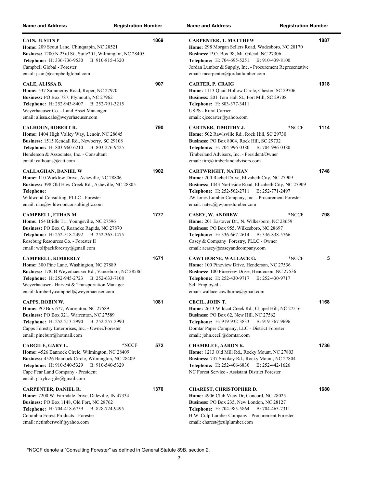| <b>Name and Address</b>                                                                                                                                                                                                                                                   | <b>Registration Number</b> | <b>Name and Address</b>                                                                                                                                                                                                                                                                           | <b>Registration Number</b>       |
|---------------------------------------------------------------------------------------------------------------------------------------------------------------------------------------------------------------------------------------------------------------------------|----------------------------|---------------------------------------------------------------------------------------------------------------------------------------------------------------------------------------------------------------------------------------------------------------------------------------------------|----------------------------------|
| <b>CAIN, JUSTIN P</b><br>Home: 209 Scout Lane, Chinquapin, NC 28521<br>Business: 1200 N 23rd St., Suite201, Wilmington, NC 28405<br>B: 910-815-4320<br><b>Telephone:</b> H: 336-736-9530<br>Campbell Global - Forester<br>email: jcain@campbellglobal.com                 | 1869                       | <b>CARPENTER, T. MATTHEW</b><br>Home: 298 Morgan Sellers Road, Wadesboro, NC 28170<br>Business: P.O. Box 98, Mt. Gilead, NC 27306<br><b>Telephone:</b> H: 704-695-5251<br>Jordan Lumber & Supply, Inc. - Procurement Representative<br>email: mcarpenter@jordanlumber.com                         | 1887<br>B: 910-439-8100          |
| CALE, ALISSA B.<br>Home: 537 Summerby Road, Roper, NC 27970<br>Business: PO Box 787, Plymouth, NC 27962<br><b>Telephone:</b> H: 252-943-8407<br>B: 252-791-3215<br>Weyerhaeuser Co. - Land Asset Mananger<br>email: alissa.cale@weyerhaeuser.com                          | 907                        | <b>CARTER, P. CRAIG</b><br>Home: 1113 Quail Hollow Circle, Chester, SC 29706<br>Business: 201 Tom Hall St., Fort Mill, SC 29708<br>Telephone: H: 803-377-3411<br>USPS - Rural Carrier<br>email: cjcecarter@yahoo.com                                                                              | 1018                             |
| <b>CALHOUN, ROBERT R.</b><br><b>Home:</b> 1404 High Valley Way, Lenoir, NC 28645<br>Business: 1515 Kendall Rd., Newberry, SC 29108<br>Telephone: H: 803-960-6210 B: 803-276-9425<br>Henderson & Associates, Inc. - Consultant<br>email: calhouns@catt.com                 | 790                        | <b>CARTNER, TIMOTHY J.</b><br><b>Home:</b> 502 Rawlsville Rd., Rock Hill, SC 29730<br>Business: PO Box 8004, Rock Hill, SC 29732<br><b>Telephone:</b> H: 704-996-0380<br>Timberland Advisors, Inc. - President/Owner<br>email: tim@timberlandadvisors.com                                         | 1114<br>*NCCF<br>B: 704-996-0380 |
| <b>CALLAGHAN, DANIEL W</b><br>Home: 110 Wicklow Drive, Asheville, NC 28806<br><b>Business:</b> 398 Old Haw Creek Rd., Asheville, NC 28805<br>Telephone:<br>Wildwood Consulting, PLLC - Forester<br>email: dan@wildwoodconsultingllc.com                                   | 1902                       | <b>CARTWRIGHT, NATHAN</b><br><b>Home:</b> 200 Rachel Drive, Elizabeth City, NC 27909<br><b>Business:</b> 1443 Northside Road, Elizabeth City, NC 27909<br>Telephone: H: 252-562-2711<br>JW Jones Lumber Company, Inc. - Procurement Forester<br>email: $n \text{atec}(\hat{a})$ iwjoneslumber.com | 1748<br>B: 252-771-2497          |
| CAMPBELL, ETHAN M.<br>Home: 154 Bridle Tr., Youngsville, NC 27596<br>Business: PO Box C, Roanoke Rapids, NC 27870<br><b>Telephone:</b> H: 252-518-2492<br>B: 252-365-1475<br>Roseburg Resources Co. - Forester II<br>email: wolfpackforestry@gmail.com                    | 1777                       | <b>CASEY, W. ANDREW</b><br><b>Home:</b> 201 Eastover Dr., N. Wilkesboro, NC 28659<br>Business: PO Box 955, Wilkesboro, NC 28697<br>Telephone: H: 336-667-2614 B: 336-838-5766<br>Casey & Company Forestry, PLLC - Owner<br>email: acasey@caseyandcompany.com                                      | *NCCF<br>798                     |
| CAMPBELL, KIMBERLY<br>Home: 300 Pine Lane, Washington, NC 27889<br>Business: 1785B Weyerhaeuser Rd., Vanceboro, NC 28586<br>Telephone: H: 252-945-2723<br>B: 252-633-7108<br>Weyerhaeuser - Harvest & Transportation Manager<br>email: kimberly.campbell@weyerhaeuser.com | 1671                       | CAWTHORNE, WALLACE G.<br>Home: 100 Pineview Drive, Henderson, NC 27536<br>Business: 100 Pineview Drive, Henderson, NC 27536<br>Telephone: H: 252-430-9717<br>Self Employed -<br>email: wallace.cawthorne@gmail.com                                                                                | *NCCF<br>5<br>B: 252-430-9717    |
| CAPPS, ROBIN W.<br>Home: PO Box 677, Warrenton, NC 27589<br>Business: PO Box 321, Warrenton, NC 27589<br><b>Telephone:</b> H: 252-213-2990<br>B: 252-257-2990<br>Capps Forestry Enterprises, Inc. - Owner/Forester<br>email: pineburr@hotmail.com                         | 1081                       | CECIL, JOHN T.<br>Home: 2613 Wildcat Creek Rd., Chapel Hill, NC 27516<br>Business: PO Box 62, New Hill, NC 27562<br><b>Telephone:</b> H: 919-932-3833<br>Domtar Paper Company, LLC - District Forester<br>email: john.cecil@domtar.com                                                            | 1168<br>B: 919-367-9696          |
| CARGILE, GARY L.<br>Home: 4526 Bannock Circle, Wilmington, NC 28409<br>Business: 4526 Bannock Circle, Wilmington, NC 28409<br><b>Telephone:</b> H: 910-540-5329<br>B: 910-540-5329<br>Cape Fear Land Company - President<br>email: garylcargile@gmail.com                 | *NCCF<br>572               | <b>CHAMBLEE, AARON K.</b><br>Home: 1213 Old Mill Rd., Rocky Mount, NC 27803<br>Business: 737 Smokey Rd., Rocky Mount, NC 27804<br><b>Telephone:</b> H: 252-406-6830<br>NC Forest Service - Assistant District Forester                                                                            | 1736<br>B: 252-442-1626          |
| <b>CARPENTER, DANIEL R.</b><br>Home: 7200 W. Farmdale Drive, Daleville, IN 47334<br>Business: PO Box 1148, Old Fort, NC 28762<br><b>Telephone:</b> H: 704-418-6759<br>B: 828-724-9495<br>Columbia Forest Products - Forester<br>email: nctimberwolf@yahoo.com             | 1370                       | <b>CHAREST, CHRISTOPHER D.</b><br>Home: 4906 Club View Dr, Concord, NC 28025<br>Business: PO Box 235, New London, NC 28127<br><b>Telephone:</b> H: 704-985-5864<br>H.W. Culp Lumber Company - Procurement Forester<br>email: charest@culplumber.com                                               | 1680<br>B: 704-463-7311          |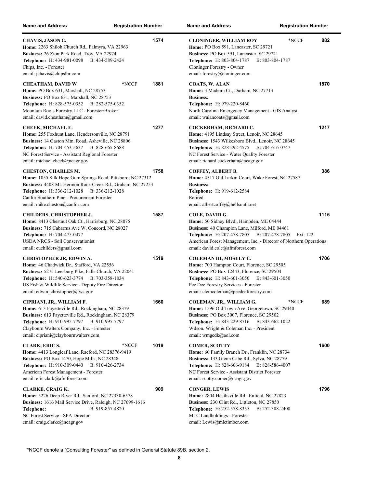| <b>Name and Address</b>                                                                                                                                                                                                                                                                         | <b>Registration Number</b> |      | <b>Name and Address</b>                                                                                                                                                                                                                                               | <b>Registration Number</b> |
|-------------------------------------------------------------------------------------------------------------------------------------------------------------------------------------------------------------------------------------------------------------------------------------------------|----------------------------|------|-----------------------------------------------------------------------------------------------------------------------------------------------------------------------------------------------------------------------------------------------------------------------|----------------------------|
| CHAVIS, JASON C.<br>Home: 2263 Shiloh Church Rd., Palmyra, VA 22963<br>Business: 26 Zion Park Road, Troy, VA 22974<br>Telephone: H: 434-981-0098<br>B: 434-589-2424<br>Chips, Inc. - Forester<br>email: jchavis@chipslbr.com                                                                    |                            | 1574 | <b>CLONINGER, WILLIAM ROY</b><br>Home: PO Box 591, Lancaster, SC 29721<br>Business: PO Box 591, Lancaster, SC 29721<br>Telephone: H: 803-804-1787<br>B: 803-804-1787<br>Cloninger Forestry - Owner<br>email: forestry@cloninger.com                                   | *NCCF<br>882               |
| CHEATHAM, DAVID W<br>Home: PO Box 631, Marshall, NC 28753<br>Business: PO Box 631, Marshall, NC 28753<br><b>Telephone:</b> H: 828-575-0352 B: 282-575-0352<br>Mountain Roots Forestry, LLC - Forester/Broker<br>email: david.cheatham@gmail.com                                                 | *NCCF                      | 1881 | <b>COATS, W. ALAN</b><br>Home: 3 Madeira Ct., Durham, NC 27713<br><b>Business:</b><br>Telephone: H: 979-220-8460<br>North Carolina Emergency Management - GIS Analyst<br>email: walancoats@gmail.com                                                                  | 1870                       |
| CHEEK, MICHAEL E.<br>Home: 255 Foxhunt Lane, Hendersonville, NC 28791<br>Business: 14 Gaston Mtn. Road, Asheville, NC 28806<br><b>Telephone:</b> H: 704-453-5637<br>B: 828-665-8688<br>NC Forest Service - Assistant Regional Forester<br>email: michael.cheek@ncagr.gov                        |                            | 1277 | COCKERHAM, RICHARD C.<br>Home: 4195 Lindsay Street, Lenoir, NC 28645<br>Business: 1543 Wilkesboro Blvd., Lenoir, NC 28645<br><b>Telephone:</b> H: 828-292-4575<br>B: 704-616-0747<br>NC Forest Service - Water Quality Forester<br>email: richard.cockerham@ncagr.gov | 1217                       |
| <b>CHESTON, CHARLES M.</b><br>Home: 1055 Silk Hope Gum Springs Road, Pittsboro, NC 27312<br>Business: 4408 Mt. Hermon Rock Creek Rd., Graham, NC 27253<br><b>Telephone:</b> H: 336-212-1028<br>B: 336-212-1028<br>Canfor Southern Pine - Procurement Forester<br>email: mike.cheston@canfor.com |                            | 1758 | COFFEY, ALBERT B.<br>Home: 4517 Old Larkin Court, Wake Forest, NC 27587<br><b>Business:</b><br>Telephone: H: 919-612-2584<br>Retired<br>email: albertcoffey@bellsouth.net                                                                                             | 386                        |
| <b>CHILDERS, CHRISTOPHER J.</b><br>Home: 8413 Chestnut Oak Ct., Harrisburg, NC 28075<br>Business: 715 Cabarrus Ave W, Concord, NC 28027<br><b>Telephone:</b> H: 704-475-0477<br><b>USDA NRCS - Soil Conservationist</b><br>email: cuchilders@gmail.com                                          |                            | 1587 | COLE, DAVID G.<br>Home: 50 Sidney Blvd., Hampden, ME 04444<br>Business: 40 Champion Lane, Milford, ME 04461<br>Telephone: H: 207-478-7805<br>B: 207-478-7805<br>American Forest Management, Inc. - Director of Northern Operations<br>email: david.cole@afmforest.com | 1115<br>Ext: 122           |
| <b>CHRISTOPHER JR, EDWIN A.</b><br>Home: 46 Chadwick Dr., Stafford, VA 22556<br>Business: 5275 Leesburg Pike, Falls Church, VA 22041<br>Telephone: H: 540-623-3774 B: 703-358-1834<br>US Fish & Wildlife Service - Deputy Fire Director<br>email: edwin christopher@fws.gov                     |                            | 1519 | COLEMAN III, MOSELY C.<br>Home: 700 Hampton Court, Florence, SC 29505<br>Business: PO Box 12443, Florence, SC 29504<br><b>Telephone:</b> H: 843-601-3050<br>B: 843-601-3050<br>Pee Dee Forestry Services - Forester<br>email: clemcoleman@peedeeforestry.com          | 1706                       |
| CIPRIANI, JR., WILLIAM F.<br>Home: 613 Fayetteville Rd., Rockingham, NC 28379<br>Business: 613 Fayetteville Rd., Rockingham, NC 28379<br>Telephone: H: 910-995-7797 B: 910-995-7797<br>Claybourn Walters Company, Inc. - Forester<br>email: cipriani@claybournwalters.com                       |                            | 1660 | COLEMAN, JR., WILLIAM G.<br>Home: 1596 Old Town Ave, Georgetown, SC 29440<br>Business: PO Box 3007, Florence, SC 29502<br><b>Telephone:</b> H: 843-229-8716<br>B: 843-662-1022<br>Wilson, Wright & Coleman Inc. - President<br>email: wmgcdk@aol.com                  | 689<br>*NCCF               |
| <b>CLARK, ERIC S.</b><br>Home: 4413 Longleaf Lane, Raeford, NC 28376-9419<br>Business: PO Box 1470, Hope Mills, NC 28348<br>Telephone: H: 910-309-0440<br>B: 910-426-2734<br>American Forest Management - Forester<br>email: eric.clark@afmforest.com                                           | *NCCF                      | 1019 | <b>COMER, SCOTTY</b><br>Home: 60 Family Branch Dr., Franklin, NC 28734<br>Business: 133 Glenn Cabe Rd., Sylva, NC 28779<br><b>Telephone: H: 828-606-9184</b><br>B: 828-586-4007<br>NC Forest Service - Assistant District Forester<br>email: scotty.comer@ncagr.gov   | 1600                       |
| CLARKE, CRAIG K.<br>Home: 5226 Deep River Rd., Sanford, NC 27330-6578<br>Business: 1616 Mail Service Drive, Raleigh, NC 27699-1616<br>B: 919-857-4820<br>Telephone:<br>NC Forest Service - SPA Director<br>email: craig.clarke@ncagr.gov                                                        |                            | 909  | <b>CONGER, LEWIS</b><br>Home: 2804 Heathsville Rd., Enfield, NC 27823<br>Business: 230 Clint Rd., Littleton, NC 27850<br>Telephone: H: 252-578-8355<br>B: 252-308-2408<br>MLC Landholdings - Forester<br>email: Lewis@mlctimber.com                                   | 1796                       |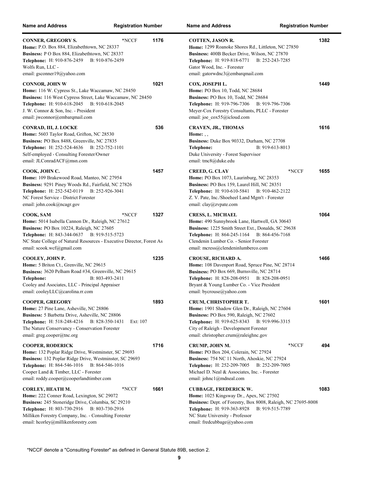| <b>Name and Address</b>                                                                                                                                                                                                                                                        | <b>Registration Number</b>  |      | Nar                             |
|--------------------------------------------------------------------------------------------------------------------------------------------------------------------------------------------------------------------------------------------------------------------------------|-----------------------------|------|---------------------------------|
| <b>CONNER, GREGORY S.</b><br>Home: P.O. Box 884, Elizabethtown, NC 28337<br>Business: P O Box 884, Elizabethtown, NC 28337<br>Telephone: H: 910-876-2459 B: 910-876-2459<br>Wolfs Run, LLC -<br>email: gsconner19@yahoo.com                                                    | *NCCF                       | 1176 | CC<br>H<br>Bu<br>Te<br>Gа<br>em |
| <b>CONNOR, JOHN W</b><br>Home: 116 W. Cypress St., Lake Waccamaw, NC 28450<br><b>Business:</b> 116 West Cypress Street, Lake Waccamaw, NC 28450<br><b>Telephone:</b> H: 910-618-2045<br>J. W. Connor & Son, Inc. - President<br>email: jwconnor@embarqmail.com                 | B: 910-618-2045             | 1021 | C0<br>H<br>Bυ<br>Te<br>М<br>em  |
| CONRAD, III, J. LOCKE<br>Home: 5603 Taylor Road, Grifton, NC 28530<br>Business: PO Box 8488, Greenville, NC 27835<br><b>Telephone:</b> H: 252-524-4636<br>Self-employed - Consulting Forester/Owner<br>email: JLConradACF@msn.com                                              | B: 252-752-1101             | 536  | CI<br>H<br>Βu<br>Te<br>Dι<br>em |
| COOK, JOHN C.<br>Home: 109 Brakewood Road, Manteo, NC 27954<br><b>Business:</b> 9291 Piney Woods Rd., Fairfield, NC 27826<br>Telephone: H: 252-542-0119 B: 252-926-3041<br>NC Forest Service - District Forester<br>email: john.cook@ncagr.gov                                 |                             | 1457 | CI<br>H<br>Bυ<br>Te<br>Z.<br>em |
| COOK, SAM<br><b>Home:</b> 5014 Isabella Cannon Dr., Raleigh, NC 27612<br>Business: PO Box 10224, Raleigh, NC 27605<br><b>Telephone:</b> H: 843-344-0637 B: 919-515-5723<br>NC State College of Natural Resources - Executive Director, Forest As<br>email: scook.wcf@gmail.com | *NCCF                       | 1327 | CI<br>H<br>Βu<br>Te<br>Cl<br>em |
| COOLEY, JOHN P.<br>Home: 5 Briton Ct., Grenville, NC 29615<br><b>Business:</b> 3620 Pelham Road #34, Greenville, NC 29615<br>Telephone:<br>Cooley and Asociates, LLC - Principal Appraiser<br>email: cooleyLLC@carolina.rr.com                                                 | B: 803-493-2411             | 1235 | CI<br>H<br>Βu<br>Te<br>Br<br>em |
| <b>COOPER, GREGORY</b><br>Home: 27 Pine Lane, Asheville, NC 28806<br>Business: 5 Barbetta Drive, Asheville, NC 28806<br><b>Telephone:</b> H: 518-248-4216<br>The Nature Conservancy - Conservation Forester<br>email: greg.cooper@tnc.org                                      | B: 828-350-1431<br>Ext: 107 | 1893 | CI<br>H<br>Βu<br>Te<br>Ci<br>em |
| <b>COOPER, RODERICK</b><br>Home: 132 Poplar Ridge Drive, Westminster, SC 29693<br>Business: 132 Poplar Ridge Drive, Westminster, SC 29693<br>Telephone: H: 864-546-1016 B: 864-546-1016<br>Cooper Land & Timber, LLC - Forester<br>email: roddy.cooper@cooperlandtimber.com    |                             | 1716 | CI<br>H<br>Βu<br>Тe<br>Mi<br>em |
| CORLEY, HEATH M.<br>Home: 222 Conner Road, Lexington, SC 29072<br>Business: 245 Stoneridge Drive, Columbia, SC 29210<br>Telephone: H: 803-730-2916 B: 803-730-2916<br>Milliken Forestry Company, Inc. - Consulting Forester<br>email: hcorley@millikenforestry.com             | *NCCF                       | 1661 | Cl<br>H<br>Βu<br>Тe<br>N(<br>em |

| lame and Address                                                                                                                                                                                                                                                | <b>Registration Number</b> |
|-----------------------------------------------------------------------------------------------------------------------------------------------------------------------------------------------------------------------------------------------------------------|----------------------------|
| COTTEN, JASON R.<br>Home: 1299 Roanoke Shores Rd., Littleton, NC 27850<br>Business: 400B Becker Drive, Wilson, NC 27870<br>Telephone: H: 919-818-6771 B: 252-243-7285<br>Gator Wood, Inc. - Forester<br>email: gatorwdnc3@embarqmail.com                        | 1382                       |
| COX, JOSEPH L.<br>Home: PO Box 10, Todd, NC 28684<br>Business: PO Box 10, Todd, NC 28684<br>Telephone: H: 919-796-7306 B: 919-796-7306<br>Meyer-Cox Forestry Consultants, PLLC - Forester<br>email: joe cox55@icloud.com                                        | 1449                       |
| CRAVEN, JR., THOMAS<br>Home: $\ldots$<br>Business: Duke Box 90332, Durham, NC 27708<br>B: 919-613-8013<br>Telephone:<br>Duke University - Forest Supervisor<br>email: tmc8@duke.edu                                                                             | 1616                       |
| CREED, G. CLAY<br>Home: PO Box 1073, Laurinburg, NC 28353<br>Business: PO Box 159, Laurel Hill, NC 28351<br>Telephone: H: 910-610-5841 B: 910-462-2122<br>Z. V. Pate, Inc./Shoeheel Land Mgm't - Forester<br>email: clay@zvpate.com                             | *NCCF<br>1655              |
| CRESS, L. MICHAEL<br>Home: 490 Sunnybrook Lane, Hartwell, GA 30643<br><b>Business:</b> 1225 Smith Street Ext., Donalds, SC 29638<br>Telephone: H: 864-245-1164 B: 864-456-7168<br>Clendenin Lumber Co. - Senior Forester<br>email: mcress@clendeninlumberco.com | 1064                       |
| CROUSE, RICHARD A.<br>Home: 108 Davenport Road, Spruce Pine, NC 28714<br><b>Business:</b> PO Box 669, Burnsville, NC 28714<br>Telephone: H: 828-208-0951 B: 828-208-0951<br>Bryant & Young Lumber Co. - Vice President<br>email: bycrouse@yahoo.com             | 1466                       |
| CRUM, CHRISTOPHER T.<br>Home: 1901 Shadow Glen Dr., Raleigh, NC 27604<br>Business: PO Box 590, Raleigh, NC 27602<br><b>Telephone:</b> H: 919-625-8343<br>B: 919-996-3315<br>City of Raleigh - Development Forester<br>email: christopher.crum@raleighnc.gov     | 1601                       |
| CRUMP, JOHN M.<br>Home: PO Box 204, Colerain, NC 27924<br>Business: 754 NC 11 North, Ahoskie, NC 27924<br>Telephone: H: 252-209-7005<br>B: 252-209-7005<br>Michael D. Neal & Associates, Inc. - Forester<br>email: johnc1@mdneal.com                            | *NCCF<br>494               |
| <b>CUBBAGE, FREDERICK W.</b><br>Home: 1025 Kingsway Dr., Apex, NC 27502<br>Business: Dept. of Forestry, Box 8008, Raleigh, NC 27695-8008<br>Telephone: H: 919-363-8928 B: 919-515-7789<br>NC State University - Professor<br>email: fredcubbage@yahoo.com       | 1083                       |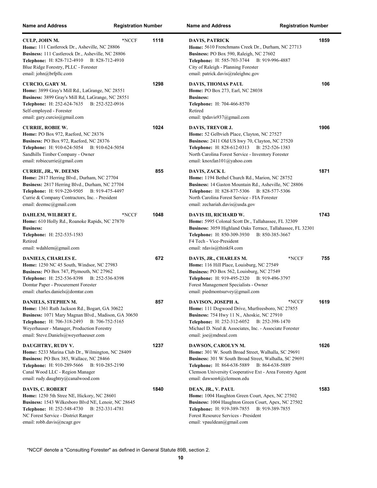| <b>Name and Address</b>                                                                                                                                                                                                                                                    | <b>Registration Number</b> |      | <b>Name and Address</b><br><b>Registration Number</b>                                                                                                                                                                                                                                 |      |
|----------------------------------------------------------------------------------------------------------------------------------------------------------------------------------------------------------------------------------------------------------------------------|----------------------------|------|---------------------------------------------------------------------------------------------------------------------------------------------------------------------------------------------------------------------------------------------------------------------------------------|------|
| CULP, JOHN M.<br>Home: 111 Castlerock Dr., Asheville, NC 28806<br>Business: 111 Castlerock Dr., Asheville, NC 28806<br>Telephone: H: 828-712-4910 B: 828-712-4910<br>Blue Ridge Forestry, PLLC - Forester<br>email: john@brfpllc.com                                       | *NCCF                      | 1118 | <b>DAVIS, PATRICK</b><br>Home: 5610 Frenchmans Creek Dr., Durham, NC 27713<br>Business: PO Box 590, Raleigh, NC 27602<br>Telephone: H: 585-703-3744<br>B: 919-996-4887<br>City of Raleigh - Planning Forester<br>email: patrick.davis@raleighnc.gov                                   | 1859 |
| <b>CURCIO, GARY M.</b><br>Home: 3899 Gray's Mill Rd., LaGrange, NC 28551<br>Business: 3899 Gray's Mill Rd, LaGrange, NC 28551<br><b>Telephone:</b> H: 252-624-7635<br>B: 252-522-0916<br>Self-employed - Forester<br>email: gary.curcio@gmail.com                          |                            | 1298 | <b>DAVIS, THOMAS PAUL</b><br>Home: PO Box 273, Earl, NC 28038<br><b>Business:</b><br>Telephone: H: 704-466-8570<br>Retired<br>email: tpdavis937@gmail.com                                                                                                                             | 106  |
| <b>CURRIE, ROBIE W.</b><br>Home: PO Box 972, Raeford, NC 28376<br>Business: PO Box 972, Raeford, NC 28376<br><b>Telephone:</b> H: 910-624-5054<br>B: 910-624-5054<br>Sandhills Timber Company - Owner<br>email: robiecurrie@gmail.com                                      |                            | 1024 | DAVIS, TREVOR J.<br>Home: 52 Gelbvieh Place, Clayton, NC 27527<br>Business: 2411 Old US hwy 70, Clayton, NC 27520<br>Telephone: H: 828-612-0313 B: 252-526-1383<br>North Carolina Forest Service - Inventory Forester<br>email: knoxfan101@yahoo.com                                  | 1906 |
| <b>CURRIE, JR., W. DEEMS</b><br>Home: 2817 Herring Blvd., Durham, NC 27704<br>Business: 2817 Herring Blvd., Durham, NC 27704<br>Telephone: H: 919-220-9505 B: 919-475-4497<br>Currie & Company Contractors, Inc. - President<br>email: deemsc@gmail.com                    |                            | 855  | DAVIS, ZACK L<br>Home: 1194 Bethel Church Rd., Marion, NC 28752<br>Business: 14 Gaston Mountain Rd., Asheville, NC 28806<br>Telephone: H: 828-877-5306 B: 828-577-5306<br>North Carolina Forest Service - FIA Forester<br>email: zechariah.davis $@$ usda.gov                         | 1871 |
| DAHLEM, WILBERT E.<br>Home: 610 Holly Rd., Roanoke Rapids, NC 27870<br><b>Business:</b><br>Telephone: H: 252-535-1583<br>Retired<br>email: wdahlem@gmail.com                                                                                                               | *NCCF                      | 1048 | DAVIS III, RICHARD W.<br>Home: 5995 Colonal Scott Dr., Tallahassee, FL 32309<br>Business: 3059 Highland Oaks Terrace, Tallahassee, FL 32301<br>Telephone: H: 850-309-3930<br>B: 850-385-3667<br>F4 Tech - Vice-President<br>email: rdavis@thinkf4.com                                 | 1743 |
| <b>DANIELS, CHARLES E.</b><br><b>Home:</b> 1250 NC 45 South, Windsor, NC 27983<br>Business: PO Box 747, Plymouth, NC 27962<br>Telephone: H: 252-536-8398<br>B: 252-536-8398<br>Domtar Paper - Procurement Forester<br>email: charles.daniels@domtar.com                    |                            | 672  | *NCCF<br>DAVIS, JR., CHARLES M.<br>Home: 116 Hill Place, Louisburg, NC 27549<br>Business: PO Box 562, Louisburg, NC 27549<br><b>Telephone:</b> H: 919-495-2320<br>B: 919-496-3797<br>Forest Management Specialists - Owner<br>email: piedmontsurvey@gmail.com                         | 755  |
| DANIELS, STEPHEN M.<br>Home: 1361 Ruth Jackson Rd., Bogart, GA 30622<br>Business: 1071 Mary Magnan Blvd., Madison, GA 30650<br><b>Telephone:</b> H: 706-318-2493<br>B: 706-752-5165<br>Weyerhauser - Manager, Production Forestry<br>email: Steve.Daniels@weyerhaeuser.com |                            | 857  | DAVISON, JOSEPH A.<br>*NCCF<br>Home: 111 Dogwood Drive, Murfreesboro, NC 27855<br><b>Business:</b> 754 Hwy 11 N., Ahoskie, NC 27910<br><b>Telephone:</b> H: 252-312-6052<br>B: 252-398-1470<br>Michael D. Neal & Associates, Inc. - Associate Forester<br>email: joe@mdneal.com       | 1619 |
| DAUGHTRY, RUDY V.<br>Home: 5233 Marina Club Dr., Wilmington, NC 28409<br>Business: PO Box 385, Wallace, NC 28466<br><b>Telephone:</b> H: 910-289-5666<br>B: 910-285-2190<br>Canal Wood LLC - Region Manager<br>email: rudy.daughtry@canalwood.com                          |                            | 1237 | DAWSON, CAROLYN M.<br>Home: 301 W. South Broad Street, Walhalla, SC 29691<br><b>Business:</b> 301 W South Broad Street, Walhalla, SC 29691<br>Telephone: H: 864-638-5889<br>B: 864-638-5889<br>Clemson University Cooperative Ext - Area Forestry Agent<br>email: dawson4@clemson.edu | 1626 |
| <b>DAVIS, C. ROBERT</b><br>Home: 1250 5th Stree NE, Hickory, NC 28601<br>Business: 1543 Wilkesboro Blvd NE, Lenoir, NC 28645<br><b>Telephone:</b> H: 252-548-4730<br>B: 252-331-4781<br>NC Forest Service - District Ranger<br>email: robb.davis@ncagr.gov                 |                            | 1840 | DEAN, JR., V. PAUL<br>Home: 1004 Haughton Green Court, Apex, NC 27502<br>Business: 1004 Haughton Green Court, Apex, NC 27502<br><b>Telephone:</b> H: 919-389-7855<br>B: 919-389-7855<br>Forest Resource Services - President<br>email: vpauldean@gmail.com                            | 1583 |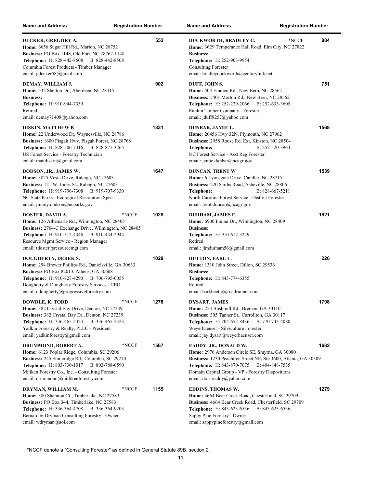| <b>Name and Address</b>                                                                                                                                                                                                                                                               | <b>Registration Number</b> | <b>Name and Address</b>                                                                                                                                                                                                                                                         | <b>Registration Number</b> |
|---------------------------------------------------------------------------------------------------------------------------------------------------------------------------------------------------------------------------------------------------------------------------------------|----------------------------|---------------------------------------------------------------------------------------------------------------------------------------------------------------------------------------------------------------------------------------------------------------------------------|----------------------------|
| DECKER, GREGORY A.<br>Home: 6656 Sugar Hill Rd., Marion, NC 28752<br>Business: PO Box 1148, Old Fort, NC 28762-1148<br>Telephone: H: 828-442-8508<br>B: 828-442-8508<br>Columbia Forest Products - Timber Manager<br>email: gdecker58@gmail.com                                       | 552                        | *NCCF<br>DUCKWORTH, BRADLEY C.<br>Home: 3629 Temperance Hall Road, Elm City, NC 27822<br><b>Business:</b><br>Telephone: H: 252-903-9954<br><b>Consulting Forester</b><br>email: bradleyduckworth@centurylink.net                                                                | 884                        |
| DEMAY, WILLIAM J.<br>Home: 532 Shelton Dr., Aberdeen, NC 28315<br><b>Business:</b><br>Telephone: H: 910-944-7359<br>Retired<br>email: demay71408@yahoo.com                                                                                                                            | 902                        | DUFF, JOHN S.<br>Home: 504 Emmen Rd., New Bern, NC 28562<br>Business: 5401 Morton Rd., New Bern, NC 28562<br>Telephone: H: 252-229-2066 B: 252-633-3605<br>Rankin Timber Company - Forester<br>email: jduff8257@yahoo.com                                                       | 751                        |
| <b>DISKIN, MATTHEW B</b><br>Home: 22 Underwood Dr, Waynesville, NC 28786<br>Business: 1600 Pisgah Hwy, Pisgah Forest, NC 28768<br>Telephone: H: 828-506-7316 B: 828-877-3265<br>US Forest Service - Forestry Technician<br>email: mattdiskin@gmail.com                                | 1831                       | DUNBAR, JAMIE L.<br>Home: 20456 Hwy 32N, Plymouth, NC 27962<br>Business: 2958 Rouse Rd. Ext, Kinston, NC 28504<br>B: 252-520-3964<br>Telephone:<br>NC Forest Service - Asst Reg Forester<br>email: jamie.dunbar@ncagr.gov                                                       | 1568                       |
| DODSON, JR., JAMES W.<br>Home: 3825 Vesta Drive, Raleigh, NC 27603<br>Business: 121 W. Jones St., Raleigh, NC 27603<br>Telephone: H: 919-796-7308 B: 919-707-9330<br>NC State Parks - Ecological Restoration Spec.<br>email: jimmy.dodson@ncparks.gov                                 | 1647                       | <b>DUNCAN, TRENT W</b><br>Home: 6 Lyonsgate Drive, Candler, NC 28715<br>Business: 220 Sardis Road, Asheville, NC 28806<br>B: 828-667-5211<br>Telephone:<br>North Carolina Forest Service - District Forester<br>email: trent.duncan@ncagr.gov                                   | 1539                       |
| DOSTER, DAVID A.<br>Home: 126 Albemarle Rd., Wilmington, NC 28405<br>Business: 2704-C Exchange Drive, Wilmington, NC 28405<br>Telephone: H: 910-512-4346 B: 910-444-2944<br>Resource Mgmt Service - Region Manager<br>email: tdoster@resourcemgt.com                                  | *NCCF<br>1028              | DURHAM, JAMES F.<br>Home: 6900 Finian Dr., Wilmington, NC 28409<br><b>Business:</b><br>Telephone: H: 910-612-3229<br>Retired<br>email: jimdurham $56$ @gmail.com                                                                                                                | 1821                       |
| <b>DOUGHERTY, DEREK S.</b><br>Home: 294 Brewer Phillips Rd., Danielsville, GA 30633<br>Business: PO Box 82013, Athens, GA 30608<br><b>Telephone:</b> H: 910-827-4290<br>B: 706-795-0055<br>Dougherty & Dougherty Forestry Services - CEO<br>email: ddougherty@progressiveforestry.com | 1029                       | DUTTON, EARL L.<br>Home: 1310 John Street, Dillon, SC 29536<br><b>Business:</b><br>Telephone: H: 843-774-6355<br>Retired<br>email: barkbeetle@roadrunner.com                                                                                                                    | 226                        |
| DOWDLE, K. TODD<br>Home: 382 Crystal Bay Drive, Denton, NC 27239<br>Business: 382 Crystal Bay Dr., Denton, NC 27239<br>Telephone: H: 336-465-2323 B: 336-465-2323<br>Yadkin Forestry & Realty, PLLC - President<br>email: yadkinforestry@gmail.com                                    | 1278<br>*NCCF              | <b>DYSART, JAMES</b><br>Home: 253 Bushmill Rd., Breman, GA 30110<br>Business: 305 Tanner St., Carrollton, GA 30117<br><b>Telephone:</b> H: 704-652-8436<br>B: 770-743-4080<br>Weyerhaeuser - Silviculture Forester<br>email: jay.dysart@weyerhaeuser.com                        | 1798                       |
| DRUMMOND, ROBERT A.<br>Home: 6123 Poplar Ridge, Columbia, SC 29206<br>Business: 245 Stoneridge Rd., Columbia, SC 29210<br>Telephone: H: 803-730-1017<br>B: 803-788-0590<br>Miliken Forestry Co., Inc. - Consulting Forester<br>email: drummond@millikenforestry.com                   | *NCCF<br>1567              | EADDY, JR., DONALD W.<br>Home: 2976 Anderson Circle SE, Smyrna, GA 30080<br>Business: 1230 Peachtree Street NE, Ste 3600, Atlanta, GA 30309<br>Telephone: H: 843-870-7075<br>B: 404-848-7535<br>Domain Capital Group - VP - Forestry Dispositions<br>email: don eaddy@yahoo.com | 1682                       |
| DRYMAN, WILLIAM M.<br>Home: 380 Shannon Ct., Timberlake, NC 27583<br>Business: PO Box 344, Timberlake, NC 27583<br><b>Telephone:</b> H: 336-364-4708<br>B: 336-364-9203<br>Bernard & Dryman Consulting Forestry - Owner<br>email: wdryman@aol.com                                     | 1155<br>*NCCF              | <b>EDDINS, THOMAS W.</b><br>Home: 4664 Bear Creek Road, Chesterfield, SC 29709<br>Business: 4664 Bear Creek Road, Chesterfield, SC 29709<br>Telephone: H: 843-623-6556<br>B: 843-623-6556<br>Sappy Pine Forestry - Owner<br>email: sappypineforestry@gmail.com                  | 1279                       |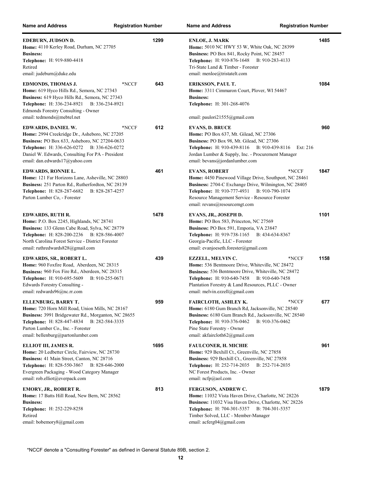| <b>Name and Address</b>                                                                                                                                                                                                                                                 | <b>Registration Number</b> |      | <b>Name and Address</b><br><b>Registration Number</b>                                                                                                                                                                                                                              |      |
|-------------------------------------------------------------------------------------------------------------------------------------------------------------------------------------------------------------------------------------------------------------------------|----------------------------|------|------------------------------------------------------------------------------------------------------------------------------------------------------------------------------------------------------------------------------------------------------------------------------------|------|
| EDEBURN, JUDSON D.<br>Home: 4110 Kerley Road, Durham, NC 27705<br><b>Business:</b><br><b>Telephone:</b> H: 919-880-4418<br>Retired<br>email: judeburn@duke.edu                                                                                                          |                            | 1299 | <b>ENLOE, J. MARK</b><br>Home: 5010 NC HWY 53 W, White Oak, NC 28399<br>Business: PO Box 841, Rocky Point, NC 28457<br>Telephone: H: 910-876-1648 B: 910-283-4133<br>Tri-State Land & Timber - Forester<br>email: menloe@tristatelt.com                                            | 1485 |
| EDMONDS, THOMAS J.<br>Home: 619 Hyco Hills Rd., Semora, NC 27343<br>Business: 619 Hyco Hills Rd., Semora, NC 27343<br>Telephone: H: 336-234-8921<br>B: 336-234-8921<br>Edmonds Forestry Consulting - Owner<br>email: tedmonds@mebtel.net                                | *NCCF                      | 643  | <b>ERIKSSON, PAUL T.</b><br>Home: 3311 Cimmaron Court, Plover, WI 54467<br><b>Business:</b><br><b>Telephone:</b> H: 301-268-4076<br>email: paulori $21555$ @gmail.com                                                                                                              | 1084 |
| EDWARDS, DANIEL W.<br>Home: 2994 Creekridge Dr., Asheboro, NC 27205<br>Business: PO Box 633, Asheboro, NC 27204-0633<br>Telephone: H: 336-626-0272 B: 336-626-0272<br>Daniel W. Edwards, Consulting For PA - President<br>email: dan.edwards17@yahoo.com                | *NCCF                      | 612  | <b>EVANS, D. BRUCE</b><br>Home: PO Box 637, Mt. Gilead, NC 27306<br>Business: PO Box 98, Mt. Gilead, NC 27306<br>Telephone: H: 910-439-8116 B: 910-439-8116<br>Ext: 216<br>Jordan Lumber & Supply, Inc. - Procurement Manager<br>email: bevans@jordanlumber.com                    | 960  |
| EDWARDS, RONNIE L.<br>Home: 121 Far Horizons Lane, Asheville, NC 28803<br>Business: 251 Parton Rd., Rutherfordton, NC 28139<br>Telephone: H: 828-287-6682<br>B: 828-287-4257<br>Parton Lumber Co, - Forester                                                            |                            | 461  | *NCCF<br><b>EVANS, ROBERT</b><br>Home: 4450 Pinewood Village Drive, Southport, NC 28461<br>Business: 2704-C Exchange Drive, Wilmington, NC 28405<br>Telephone: H: 910-777-4931 B: 910-790-1074<br>Resource Management Service - Resource Forester<br>email: revans@resourcemgt.com | 1847 |
| EDWARDS, RUTH R.<br><b>Home:</b> P.O. Box 2245, Highlands, NC 28741<br>Business: 133 Glenn Cabe Road, Sylva, NC 28779<br><b>Telephone:</b> H: 828-200-2236 B: 828-586-4007<br>North Carolina Forest Service - District Forester<br>email: ruthredwards $828$ @gmail.com |                            | 1478 | EVANS, JR., JOSEPH D.<br>Home: PO Box 583, Princeton, NC 27569<br>Business: PO Box 591, Emporia, VA 23847<br><b>Telephone:</b> H: 919-738-1165 B: 434-634-8367<br>Georgia-Pacific, LLC - Forester<br>email: evanjoeseth.forester@gmail.com                                         | 1101 |
| EDWARDS, SR., ROBERT L.<br>Home: 960 Foxfire Road, Aberdeen, NC 28315<br>Business: 960 Fox Fire Rd., Aberdeen, NC 28315<br>Telephone: H: 910-695-5609<br>B: 910-255-0671<br>Edwards Forestry Consulting -<br>email: redwards96@nc.rr.com                                |                            | 439  | *NCCF<br><b>EZZELL, MELVIN C.</b><br>Home: 536 Bentmoore Drive, Whiteville, NC 28472<br>Business: 536 Bentmoore Drive, Whiteville, NC 28472<br>Telephone: H: 910-640-7458 B: 910-640-7458<br>Plantation Forestry & Land Resources, PLLC - Owner<br>email: melvin.ezzell@gmail.com  | 1158 |
| ELLENBURG, BARRY T.<br>Home: 720 Horn Mill Road, Union Mills, NC 28167<br>Business: 3991 Bridgewater Rd., Morganton, NC 28655<br>Telephone: H: 828-447-4834 B: 282-584-3335<br>Parton Lumber Co., Inc. - Forester<br>email: bellenburg@partonlumber.com                 |                            | 959  | FAIRCLOTH, ASHLEY K.<br>*NCCF<br>Home: 6180 Gum Branch Rd, Jacksonville, NC 28540<br>Business: 6180 Gum Branch Rd., Jacksonville, NC 28540<br><b>Telephone:</b> H: 910-376-0462<br>B: 910-376-0462<br>Pine State Forestry - Owner<br>email: akfaircloth62@gmail.com                | 677  |
| ELLIOT III, JAMES R.<br>Home: 20 Ledbetter Circle, Fairview, NC 28730<br>Business: 41 Main Street, Canton, NC 28716<br>B: 828-646-2000<br><b>Telephone:</b> H: 828-550-3867<br>Evergreen Packaging - Wood Category Manager<br>email: rob.elliot@everpack.com            |                            | 1695 | <b>FAULCONER, H. MICHIE</b><br>Home: 929 Bexhill Ct., Greenville, NC 27858<br>Business: 929 Bexhill Ct., Greenville, NC 27858<br><b>Telephone:</b> H: 252-714-2035 B: 252-714-2035<br>NC Forest Products, Inc. - Owner<br>email: $ncfp@aol.com$                                    | 961  |
| EMORY, JR., ROBERT R.<br>Home: 17 Batts Hill Road, New Bern, NC 28562<br><b>Business:</b><br>Telephone: H: 252-229-8258<br>Retired<br>email: bobemory8@gmail.com                                                                                                        |                            | 813  | FERGUSON, ANDREW C.<br>Home: 11032 Vista Haven Drive, Charlotte, NC 28226<br><b>Business:</b> 11032 Visa Haven Drive, Charlotte, NC 28226<br><b>Telephone:</b> H: 704-301-5357<br>B: 704-301-5357<br>Timber Solved, LLC - Member-Manager<br>email: acferg04@gmail.com              | 1879 |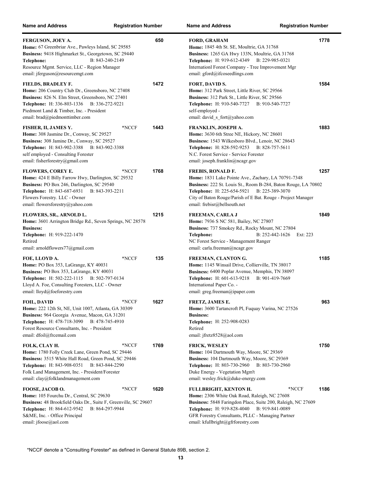| <b>Name and Address</b>                                                                                                                                                                                                                                                     | <b>Registration Number</b> |      | <b>Name and Address</b><br><b>Registration Number</b>                                                                                                                                                                                                                                              |      |
|-----------------------------------------------------------------------------------------------------------------------------------------------------------------------------------------------------------------------------------------------------------------------------|----------------------------|------|----------------------------------------------------------------------------------------------------------------------------------------------------------------------------------------------------------------------------------------------------------------------------------------------------|------|
| FERGUSON, JOEY A.<br>Home: 67 Greenbriar Ave., Pawleys Island, SC 29585<br>Business: 9418 Highmarket St., Georgetown, SC 29440<br>B: 843-240-2149<br>Telephone:<br>Resource Mgmt. Service, LLC - Region Manager<br>email: jferguson@resourcemgt.com                         |                            | 650  | <b>FORD, GRAHAM</b><br>Home: 1845 4th St. SE, Moultrie, GA 31768<br>Business: 1265 GA Hwy 133N, Moultrie, GA 31768<br><b>Telephone:</b> H: 919-612-4349<br>B: 229-985-0321<br>Internationl Forest Company - Tree Improvement Mgr<br>email: gford@ifcoseedlings.com                                 | 1778 |
| FIELDS, BRADLEY F.<br>Home: 206 Country Club Dr., Greensboro, NC 27408<br>Business: 826 N. Elm Street, Greensboro, NC 27401<br><b>Telephone:</b> H: 336-803-1336 B: 336-272-9221<br>Piedmont Land & Timber, Inc. - President<br>email: brad@piedmonttimber.com              |                            | 1472 | FORT, DAVID S.<br>Home: 312 Park Street, Little River, SC 29566<br>Business: 312 Park St., Little River, SC 29566<br><b>Telephone: H: 910-540-7727</b><br>B: 910-540-7727<br>self-employed -<br>email: david s fort@yahoo.com                                                                      | 1584 |
| FISHER, II, JAMES Y.<br>Home: 308 Jasmine Dr., Conway, SC 29527<br>Business: 308 Jamine Dr., Conway, SC 29527<br>Telephone: H: 843-902-3388<br>B: 843-902-3388<br>self employed - Consulting Forester<br>email: fisherforestry@gmail.com                                    | *NCCF                      | 1443 | FRANKLIN, JOSEPH A.<br>Home: 3630 6th Stree NE, Hickory, NC 28601<br>Business: 1543 Wilkesboro Blvd., Lenoir, NC 28643<br><b>Telephone:</b> H: 828-592-9253<br>B: 828-757-5611<br>N.C. Forest Service - Service Forester<br>email: joseph.franklin@ncagr.gov                                       | 1883 |
| <b>FLOWERS, COREY E.</b><br>Home: 424 E Billy Farrow Hwy, Darlington, SC 29532<br>Business: PO Box 246, Darlington, SC 29540<br>Telephone: H: 843-687-6931 B: 843-393-2211<br>Flowers Forestry. LLC - Owner<br>email: flowersforestry@yahoo.com                             | *NCCF                      | 1768 | <b>FREBIS, RONALD F.</b><br>Home: 1831 Lake Pointe Ave., Zachary, LA 70791-7348<br>Business: 222 St. Louis St., Room B-284, Baton Rouge, LA 70802<br>Telephone: H: 225-654-5921<br>B: 225-389-3070<br>City of Baton Rouge/Parish of E Bat. Rouge - Project Manager<br>email: frebisr@bellsouth.net | 1257 |
| FLOWERS, SR., ARNOLD L.<br>Home: 3601 Arrington Bridge Rd., Seven Springs, NC 28578<br><b>Business:</b><br>Telephone: H: 919-222-1470<br>Retired<br>email: arnoldflowers77@gmail.com                                                                                        |                            | 1215 | <b>FREEMAN, CARLA J</b><br>Home: 7936 S NC 581, Bailey, NC 27807<br>Business: 737 Smokey Rd., Rocky Mount, NC 27804<br>B: 252-442-1626<br>Ext: 223<br>Telephone:<br>NC Forest Service - Management Ranger<br>email: carla.freeman@ncagr.gov                                                        | 1849 |
| FOE, LLOYD A.<br>Home: PO Box 353, LaGrange, KY 40031<br>Business: PO Box 353, LaGrange, KY 40031<br><b>Telephone:</b> H: 502-222-1115<br>B: 502-797-0134<br>Lloyd A. Foe, Consulting Foresters, LLC - Owner<br>email: lloyd@foeforestry.com                                | *NCCF                      | 135  | FREEMAN, CLANTON G.<br>Home: 1145 Winsail Drive, Collierville, TN 38017<br>Business: 6400 Poplar Avenue, Memphis, TN 38097<br>Telephone: H: 601-613-9218<br>B: 901-419-7669<br>International Paper Co. -<br>email: greg.freeman@ipaper.com                                                         | 1185 |
| <b>FOIL, DAVID</b><br><b>Home:</b> 222 12th St, NE, Unit 1007, Atlanta, GA 30309<br>Business: 964 Georgia Avenue, Macon, GA 31201<br>Telephone: H: 478-718-3090<br>B: 478-745-4910<br>Forest Resource Consultants, Inc. - President<br>email: dfoil@frcemail.com            | *NCCF                      | 1627 | FRETZ, JAMES E.<br>Home: 3600 Tartancroft Pl, Fuquay Varina, NC 27526<br><b>Business:</b><br>Telephone: H: 252-908-0283<br>Retired<br>email: jfretz8528@aol.com                                                                                                                                    | 963  |
| FOLK, CLAY H.<br>Home: 1780 Folly Creek Lane, Green Pond, SC 29446<br>Business: 3515 White Hall Road, Green Pond, SC 29446<br><b>Telephone:</b> H: 843-908-0351<br>B: 843-844-2290<br>Folk Land Management, Inc. - President/Forester<br>email: clay@folklandmanagement.com | *NCCF                      | 1769 | <b>FRICK, WESLEY</b><br>Home: 104 Dartmouth Way, Moore, SC 29369<br>Business: 104 Dartmouth Way, Moore, SC 29369<br><b>Telephone:</b> H: 803-730-2960<br>B: 803-730-2960<br>Duke Energy - Vegetation Mgm't<br>email: wesley.frick@duke-energy.com                                                  | 1750 |
| FOOSE, JACOB O.<br>Home: 105 Fourchu Dr., Central, SC 29630<br>Business: 48 Brookfield Oaks Dr., Suite F, Greenville, SC 29607<br>Telephone: H: 864-612-9542<br>B: 864-297-9944<br>S&ME, Inc. - Office Principal<br>email: jfoose@aol.com                                   | *NCCF                      | 1620 | FULLBRIGHT, KENTON H.<br>*NCCF<br>Home: 2306 White Oak Road, Raleigh, NC 27608<br>Business: 5848 Faringdon Place, Suite 200, Raleigh, NC 27609<br>B: 919-841-0089<br>Telephone: H: 919-828-4040<br>GFR Forestry Consultants, PLLC - Managing Partner<br>email: kfullbright@gfrforestry.com         | 1186 |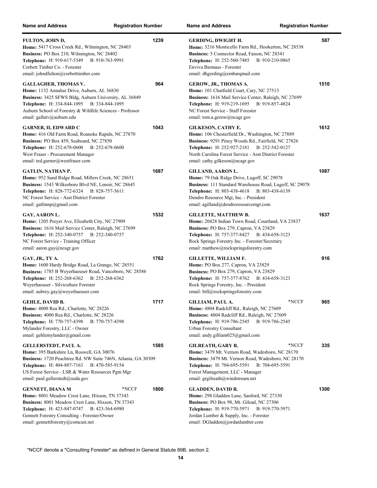| <b>Name and Address</b>                                                                                                                                                                                                                                                              | <b>Registration Number</b> | Name a                                                                        |
|--------------------------------------------------------------------------------------------------------------------------------------------------------------------------------------------------------------------------------------------------------------------------------------|----------------------------|-------------------------------------------------------------------------------|
| FULTON, JOHN D,<br>Home: 5417 Cross Creek Rd., Wilmington, NC 28403<br>Business: PO Box 210, Wilmington, NC 28402<br>Telephone: H: 910-617-5349 B: 910-763-9991<br>Corbett Timber Co. - Forester<br>email: johndfulton@corbetttimber.com                                             | 1239                       | <b>GERD</b><br>Home:<br><b>Busine</b><br>Teleph<br>Enviva<br>email:           |
| <b>GALLAGHER, THOMAS V.</b><br>Home: 1132 Annalue Drive, Auburn, AL 36830<br>Business: 3425 SFWS Bldg, Auburn University, AL 36849<br><b>Telephone:</b> H: 334-844-1095<br>B: 334-844-1095<br>Auburn School of Forestry & Wildlife Sciences - Professor<br>email: gallatv@auburn.edu | 964                        | <b>GERO</b><br>Home:<br><b>Busine</b><br><b>Teleph</b><br>NC For<br>email: t  |
| <b>GARNER, II, EDWARD C</b><br>Home: 416 Old Farm Road, Roanoke Rapids, NC 27870<br>Business: PO Box 459, Seaboard, NC 27850<br><b>Telephone:</b> H: 252-678-0600<br>B: 252-678-0600<br>West Fraser - Procurement Manager<br>email: ted.garner@westfraser.com                        | 1043                       | <b>GILKI</b><br>Home:<br><b>Busine</b><br>Teleph<br>North (<br>email:         |
| <b>GATLIN, NATHAN P.</b><br>Home: 952 Sand Ridge Road, Millers Creek, NC 28651<br>Business: 1543 Wilkesboro Blvd NE, Lenoir, NC 28645<br><b>Telephone:</b> H: 828-772-6324 B: 828-757-5611<br>NC Forest Service - Asst District Forester<br>email: gatlinnp@gmail.com                | 1687                       | <b>GILLA</b><br>Home:<br><b>Busine</b><br>Teleph<br>Dendro<br>email:          |
| GAY, AARON L.<br>Home: 1205 Preyer Ave, Elizabeth City, NC 27909<br>Business: 1616 Mail Service Center, Raleigh, NC 27699<br>Telephone: H: 252-340-0757 B: 252-340-0757<br>NC Forest Service - Training Officer<br>email: aaron.gay@ncagr.gov                                        | 1532                       | <b>GILLE</b><br>Home:<br><b>Busine</b><br><b>Teleph</b><br>Rock S<br>email: 1 |
| GAY, JR., TY A.<br>Home: 1600 Hardy Bridge Road, La Grange, NC 28551<br>Business: 1785 B Weyerhaeuser Road, Vanceboro, NC 28586<br><b>Telephone:</b> H: 252-268-6362<br>B: 252-268-6362<br>Weyerhaeuser - Silviculture Forester<br>email: aubrey.gay@weyerhaeuser.com                | 1762                       | <b>GILLE</b><br>Home:<br><b>Busine</b><br>Teleph<br>Rock S<br>email: l        |
| <b>GEHLE, DAVID B.</b><br>Home: 4000 Rea Rd., Charlotte, NC 28226<br>Business: 4000 Rea Rd., Charlotte, SC 28226<br><b>Telephone: H: 770-757-4398</b><br>B: 770-757-4398<br>Mylander Forestry, LLC - Owner<br>email: gehlemylander@gmail.com                                         | 1717                       | <b>GILLI</b><br>Home:<br><b>Busine</b><br><b>Teleph</b><br>Urban l<br>email:  |
| GELLERSTEDT, PAUL A.<br>Home: 395 Barkshire Ln, Roswell, GA 30076<br>Business: 1720 Peachtree Rd. NW Suite 746N, Atlanta, GA 30309<br>Telephone: H: 404-807-7163 B: 470-585-9154<br>US Forest Service - LSR & Water Resources Pgm Mgr<br>email: paul.gellerstedt@usda.gov            | 1585                       | <b>GILRI</b><br>Home:<br><b>Busine</b><br><b>Teleph</b><br>Forest 1<br>email: |
| <b>GENNETT, DIANA M</b><br>Home: 8001 Meadow Crest Lane, Hixson, TN 37343<br>Business: 8001 Meadow Crest Lane, Hixson, TN 37343<br>Telephone: H: 423-847-0747 B: 423-364-6980<br>Gennett Forestry Consulting - Forester/Owner<br>email: gennettforestry@comcast.net                  | 1800<br>*NCCF              | <b>GLAD</b><br>Home:<br><b>Busine</b><br>Teleph<br>Jordan<br>email: l         |

| <b>Name and Address</b>                                                                                                                                                                                                                                                            | <b>Registration Number</b> |      |
|------------------------------------------------------------------------------------------------------------------------------------------------------------------------------------------------------------------------------------------------------------------------------------|----------------------------|------|
| <b>GERDING, DWIGHT H.</b><br>Home: 3216 Monticello Farm Rd., Hookerton, NC 28538<br>Business: 5 Connector Road, Faison, NC 28341<br>Telephone: H: 252-560-7485<br>B: 910-210-0865<br>Enviva Biomass - Forester<br>email: dhgerding@embarqmail.com                                  |                            | 587  |
| GEROW, JR., THOMAS A.<br>Home: 101 Chatfield Court, Cary, NC 27513<br>Business: 1616 Mail Service Center, Raleigh, NC 27699<br>Telephone: H: 919-219-1695 B: 919-857-4824<br>NC Forest Service - Staff Forester<br>email: tom.a.gerow@ncagr.gov                                    |                            | 1510 |
| <b>GILKESON, CATHY E.</b><br>Home: 106 Chesterfield Dr., Washington, NC 27889<br>Business: 9291 Piney Woods Rd., Fairfield, NC 27826<br>Telephone: H: 252-927-2181<br>B: 252-542-0127<br>North Carolina Forest Service - Asst District Forester<br>email: cathy.gilkeson@ncagr.gov |                            | 1612 |
| GILLAND, AARON L.<br>Home: 79 Oak Ridge Drive, Lugoff, SC 29078<br>Business: 111 Standard Warehouse Road, Lugoff, SC 29078<br>Telephone: H: 803-438-4618<br>B: 803-438-6139<br>Dendro Resource Mgt, Inc. - President<br>email: agilland@dendroresourcemgt.com                      |                            | 1087 |
| <b>GILLETTE, MATTHEW B.</b><br>Home: 20428 Indian Town Road, Courtland, VA 23837<br>Business: PO Box 279, Capron, VA 23829<br>Telephone: H: 757-377-8427 B: 434-658-3123<br>Rock Springs Forestry Inc. - Forester/Secretary<br>email: matthew@rockspringsforestry.com              |                            | 1637 |
| <b>GILLETTE, WILLIAM F.</b><br>Home: PO Box 277, Capron, VA 23829<br>Business: PO Box 279, Capron, VA 23829<br>Telephone: H: 757-377-8762<br>B: 434-658-3123<br>Rock Springs Forestry, Inc. - President<br>email: bill@rockspringsforestry.com                                     |                            | 916  |
| <b>GILLIAM, PAUL A.</b><br>Home: 4804 Radcliff Rd., Raleigh, NC 27609<br>Business: 4804 Radcliff Rd., Raleigh, NC 27609<br><b>Telephone:</b> H: 919-786-2545<br>B: 919-786-2545<br>Urban Forestry Consultant<br>email: andy.gilliam025@gmail.com                                   | *NCCF                      | 965  |
| <b>GILREATH, GARY R.</b><br>Home: 3479 Mt. Vernon Road, Wadesboro, NC 28170<br>Business: 3479 Mt. Vernon Road, Wadesboro, NC 28170<br>B: 704-695-5591<br><b>Telephone:</b> H: 704-695-5591<br>Forest Management, LLC - Manager<br>email: grgilreath@windstream.net                 | *NCCF                      | 335  |
| GLADDEN, DAVID R.<br>Home: 298 Gladden Lane, Sanford, NC 27330<br>Business: PO Box 98, Mt. Gilead, NC 27306<br>Telephone: H: 919-770-5971<br>B: 919-770-5971<br>Jordan Lumber & Supply, Inc. - Forester<br>email: DGladden@jordanlumber.com                                        |                            | 1300 |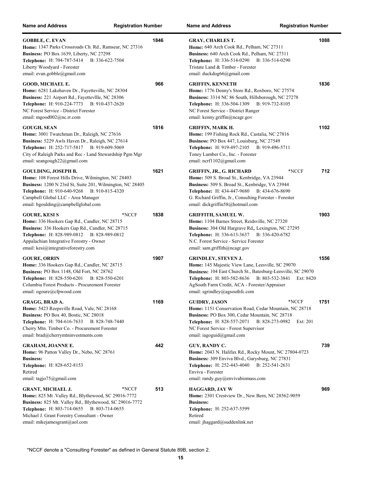| <b>Name and Address</b>                                                                                                                                                                                                                                                           | <b>Registration Number</b> | <b>Name and Address</b><br><b>Registration Number</b>                                                                                                                                                                                                                                                   |      |
|-----------------------------------------------------------------------------------------------------------------------------------------------------------------------------------------------------------------------------------------------------------------------------------|----------------------------|---------------------------------------------------------------------------------------------------------------------------------------------------------------------------------------------------------------------------------------------------------------------------------------------------------|------|
| <b>GOBBLE, C. EVAN</b><br>Home: 1347 Parks Crossroads Ch. Rd., Ramseur, NC 27316<br>Business: PO Box 1639, Liberty, NC 27298<br><b>Telephone: H: 704-787-5414</b><br>B: 336-622-7504<br>Liberty Woodyard - Forester<br>email: evan.gobble@gmail.com                               | 1846                       | <b>GRAY, CHARLES T.</b><br>Home: 640 Arch Cook Rd., Pelham, NC 27311<br><b>Business:</b> 640 Arch Cook Rd., Pelham, NC 27311<br><b>Telephone:</b> H: 336-514-0290<br>B: 336-514-0290<br>Tristate Land & Timber - Forester<br>email: duckdog66@gmail.com                                                 | 1088 |
| GOOD, MICHAEL E.<br>Home: 6281 Lakehaven Dr., Fayetteville, NC 28304<br>Business: 221 Airport Rd., Fayettevllle, NC 28306<br>Telephone: H: 910-224-7773 B: 910-437-2620<br>NC Forest Service - District Forester<br>email: mgood $002$ @nc.rr.com                                 | 966                        | <b>GRIFFIN, KENNETH</b><br>Home: 1776 Denny's Store Rd., Roxboro, NC 27574<br><b>Business:</b> 3314 NC 86 South, Hillsborough, NC 27278<br>Telephone: H: 336-504-1309 B: 919-732-8105<br>NC Forest Service - District Ranger<br>email: kenny.griffin@ncagr.gov                                          | 1836 |
| <b>GOUGH, SEAN</b><br>Home: 3001 Twatchman Dr., Raleigh, NC 27616<br>Business: 5229 Awls Haven Dr., Raleigh, NC 27614<br>Telephone: H: 252-717-5817 B: 919-609-5069<br>City of Raleigh Parks and Rec - Land Stewardship Pgm Mgr<br>email: seangough22@gmail.com                   | 1816                       | GRIFFIN, MARK H.<br>Home: 199 Fishing Rock Rd., Castalia, NC 27816<br>Business: PO Box 447, Louisburg, NC 27549<br>Telephone: H: 919-497-2105 B: 919-496-5711<br>Toney Lumber Co., Inc. - Forester<br>email: ncrf1102@gmail.com                                                                         | 1102 |
| <b>GOULDING, JOSEPH B.</b><br>Home: 108 Forest Hills Drive, Wilmington, NC 28403<br>Business: 1200 N 23rd St, Suite 201, Wilmington, NC 28405<br>Telephone: H: 910-640-9268 B: 910-815-4320<br>Campbell Global LLC - Area Manager<br>email: bgoulding@campbellglobal.com          | 1621                       | <b>GRIFFIN, JR., G. RICHARD</b><br>*NCCF<br>Home: 509 S. Broad St., Kenbridge, VA 23944<br>Business: 509 S. Broad St., Kenbridge, VA 23944<br><b>Telephone:</b> H: 434-447-9680<br>B: 434-676-8690<br>G. Richard Griffin, Jr., Consulting Forester - Forester<br>email: dickgriffin58@hotmail.com       | 712  |
| <b>GOURE, KESI S</b><br>Home: 336 Hookers Gap Rd., Candler, NC 28715<br>Business: 336 Hookers Gap Rd., Candler, NC 28715<br>Telephone: H: 828-989-0812 B: 828-989-0812<br>Appalachian Integrative Forestry - Owner<br>email: kesi@integrativeforestry.com                         | *NCCF<br>1838              | <b>GRIFFITH, SAMUEL W.</b><br>Home: 1104 Barnes Street, Reidsville, NC 27320<br>Business: 304 Old Hargrave Rd., Lexington, NC 27295<br><b>Telephone:</b> H: 336-613-3637<br>B: 336-420-6782<br>N.C. Forest Service - Service Forester<br>email: sam.griffith@ncagr.gov                                  | 1903 |
| <b>GOURE, ORRIN</b><br>Home: 336 Hookers Gap Rd., Candler, NC 28715<br>Business: PO Box 1148, Old Fort, NC 28762<br><b>Telephone:</b> H: 828-550-6201<br>B: 828-550-6201<br>Columbia Forest Products - Procurement Forester<br>email: ogoure@cfpwood.com                          | 1907                       | <b>GRINDLEY, STEVEN J.</b><br>Home: 145 Majestic View Lane, Leesville, SC 29070<br>Business: 104 East Church St., Batesburg-Leesville, SC 29070<br>B: 803-532-3841<br><b>Telephone:</b> H: 803-582-8636<br>Ext: 8420<br>AgSouth Farm Credit, ACA - Forester/Appraiser<br>email: sgrindley@agsouthfc.com | 1556 |
| GRAGG, BRAD A.<br>Home: 5423 Reepsville Road, Vale, NC 28168<br>Business: PO Box 40, Bostic, NC 28018<br><b>Telephone:</b> H: 704-616-7633<br>B: 828-748-7440<br>Cherry Mtn. Timber Co. - Procurement Forester<br>email: brad@cherrymtninvestments.com                            | 1169                       | <b>GUIDRY, JASON</b><br>*NCCF<br>Home: 1151 Conservation Road, Cedar Mountain, NC 28718<br>Business: PO Box 300, Cedar Mountain, NC 28718<br>Telephone: H: 828-557-2071 B: 828-273-0982<br>Ext: 201<br>NC Forest Service - Forest Supervisor<br>email: iagoguid@gmail.com                               | 1751 |
| <b>GRAHAM, JOANNE E.</b><br>Home: 96 Patton Valley Dr., Nebo, NC 28761<br><b>Business:</b><br>Telephone: H: 828-652-8153<br>Retired<br>email: tagjo75@gmail.com                                                                                                                   | 442                        | GUY, RANDY C.<br>Home: 2043 N. Halifax Rd., Rocky Mount, NC 27804-0723<br>Business: 309 Enviva Blvd., Garysburg, NC 27831<br><b>Telephone:</b> H: 252-443-4040<br>B: 252-541-2631<br>Enviva - Forester<br>email: randy.guy@envivabiomass.com                                                            | 739  |
| <b>GRANT, MICHAEL J.</b><br>Home: 825 Mt . Valley Rd., Blythewood, SC 29016-7772<br>Business: 825 Mt. Valley Rd., Blythewood, SC 29016-7772<br><b>Telephone:</b> H: 803-714-0655 B: 803-714-0655<br>Michael J. Grant Forestry Consultant - Owner<br>email: mikejamesgrant@aol.com | 513<br>*NCCF               | <b>HAGGARD, JAY W</b><br>Home: 2301 Crestview Dr., New Bern, NC 28562-9059<br><b>Business:</b><br>Telephone: H: 252-637-5599<br>Retired<br>email: jhaggard@suddenlink.net                                                                                                                               | 969  |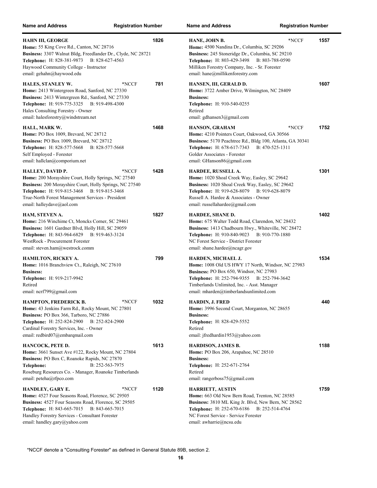| <b>Name and Address</b>                                                                                                                                                                                                                                                   | <b>Registration Number</b> | <b>Name and Address</b><br><b>Registration Number</b>                                                                                                                                                                                                               |      |
|---------------------------------------------------------------------------------------------------------------------------------------------------------------------------------------------------------------------------------------------------------------------------|----------------------------|---------------------------------------------------------------------------------------------------------------------------------------------------------------------------------------------------------------------------------------------------------------------|------|
| HAHN III, GEORGE<br>Home: 55 King Cove Rd., Canton, NC 28716<br>Business: 3307 Walnut Bldg, Freedlander Dr., Clyde, NC 28721<br>Telephone: H: 828-381-9873<br>B: 828-627-4563<br>Haywood Community College - Instructor<br>email: gehahn@haywood.edu                      | 1826                       | *NCCF<br>HANE, JOHN B.<br>Home: 4500 Nandina Dr., Columbia, SC 29206<br>Business: 245 Stoneridge Dr., Columbia, SC 29210<br>Telephone: H: 803-429-3498<br>B: 803-788-0590<br>Milliken Forestry Company, Inc. - Sr. Forester<br>email: hane@millikenforestry.com     | 1557 |
| <b>HALES, STANLEY W.</b><br>Home: 2413 Wintergreen Road, Sanford, NC 27330<br>Business: 2413 Wintergreen Rd., Sanford, NC 27330<br>Telephone: H: 919-775-3325 B: 919-498-4300<br>Hales Consulting Forestry - Owner<br>email: halesforestry@windstream.net                 | 781<br>*NCCF               | HANSEN, III, GERALD D.<br>Home: 3722 Amber Drive, Wilmington, NC 28409<br><b>Business:</b><br>Telephone: H: 910-540-0255<br>Retired<br>email: gdhansen3@gmail.com                                                                                                   | 1607 |
| HALL, MARK W.<br>Home: PO Box 1009, Brevard, NC 28712<br>Business: PO Box 1009, Brevard, NC 28712<br><b>Telephone:</b> H: 828-577-5668<br>B: 828-577-5668<br>Self Employed - Forester<br>email: hallclan@comporium.net                                                    | 1468                       | HANSON, GRAHAM<br>*NCCF<br>Home: 4210 Pointers Court, Oakwood, GA 30566<br>Business: 5170 Peachtree Rd., Bldg 100, Atlanta, GA 30341<br>Telephone: H: 678-617-7343<br>B: 470-525-1311<br>Golder Associates - Forester<br>email: GHanson86@gmail.com                 | 1752 |
| <b>HALLEY, DAVID P.</b><br>Home: 200 Morayshire Court, Holly Springs, NC 27540<br>Business: 200 Morayshire Court, Holly Springs, NC 27540<br>Telephone: H: 919-815-3468 B: 919-815-3468<br>True-North Forest Management Services - President<br>email: halleydave@aol.com | 1428<br>*NCCF              | HARDEE, RUSSELL A.<br>Home: 1020 Shoal Creek Way, Easley, SC 29642<br><b>Business:</b> 1020 Shoal Creek Way, Easley, SC 29642<br><b>Telephone:</b> H: 919-628-8079<br>B: 919-628-8079<br>Russell A. Hardee & Associates - Owner<br>email: russellahardee@gmail.com  | 1301 |
| HAM, STEVEN A.<br>Home: 216 Winchime Ct, Moncks Corner, SC 29461<br>Business: 1601 Gardner Blvd, Holly Hill, SC 29059<br><b>Telephone:</b> H: 843-964-6829<br>B: 919-463-3124<br>WestRock - Procurement Forester<br>email: steven.ham@westrock.comm                       | 1827                       | HARDEE, SHANE D.<br>Home: 675 Walter Todd Road, Clarendon, NC 28432<br>Business: 1413 Chadbourn Hwy., Whiteville, NC 28472<br>Telephone: H: 910-840-9023 B: 910-770-1880<br>NC Forest Service - District Forester<br>email: shane.hardee@ncagr.gov                  | 1402 |
| HAMILTON, RICKEY A.<br>Home: 1016 Branchview Ct., Raleigh, NC 27610<br><b>Business:</b><br>Telephone: H: 919-217-9942<br>Retired<br>email: ncrf799@gmail.com                                                                                                              | 799                        | HARDEN, MICHAEL J.<br>Home: 1008 Old US HWY 17 North, Windsor, NC 27983<br><b>Business:</b> PO Box 650, Windsor, NC 27983<br>Telephone: H: 252-794-9355 B: 252-794-3642<br>Timberlands Unlimited, Inc. - Asst. Manager<br>email: mharden@timberlandsunlimited.com   | 1534 |
| <b>HAMPTON, FREDERICK B.</b><br>Home: 43 Jenkins Farm Rd., Rocky Mount, NC 27801<br>Business: PO Box 366, Tarboro, NC 27886<br>Telephone: H: 252-824-2900<br>B: 252-824-2900<br>Cardinal Forestry Services, Inc. - Owner<br>email: redbird07@embarqmail.com               | 1032<br>*NCCF              | <b>HARDIN, J. FRED</b><br><b>Home:</b> 3996 Second Court, Morganton, NC 28655<br><b>Business:</b><br>Telephone: H: 828-429-5552<br>Retired<br>email: jfredhardin1953@yahoo.com                                                                                      | 440  |
| HANCOCK, PETE D.<br>Home: 3661 Sunset Ave #122, Rocky Mount, NC 27804<br>Business: PO Box C, Roanoke Rapids, NC 27870<br>B: 252-563-7975<br>Telephone:<br>Roseburg Resources Co. - Manager, Roanoke Timberlands<br>email: peteha@rfpco.com                                | 1613                       | <b>HARDISON, JAMES B.</b><br>Home: PO Box 206, Arapahoe, NC 28510<br><b>Business:</b><br>Telephone: H: 252-671-2764<br>Retired<br>email: rangerboss75@gmail.com                                                                                                     | 1188 |
| HANDLEY, GARY E.<br>Home: 4527 Four Seasons Road, Florence, SC 29505<br>Business: 4527 Four Seasons Road, Florence, SC 29505<br>Telephone: H: 843-665-7015 B: 843-665-7015<br>Handley Forestry Services - Consultant Forester<br>email: handley.gary@yahoo.com            | 1120<br>*NCCF              | <b>HARRIETT, AUSTIN</b><br><b>Home:</b> 663 Old New Bern Road, Trenton, NC 28585<br>Business: 3810 ML King Jr. Blvd, New Bern, NC 28562<br><b>Telephone:</b> H: 252-670-6186<br>B: 252-514-4764<br>NC Forest Service - Service Forester<br>email: awharrie@ncsu.edu | 1759 |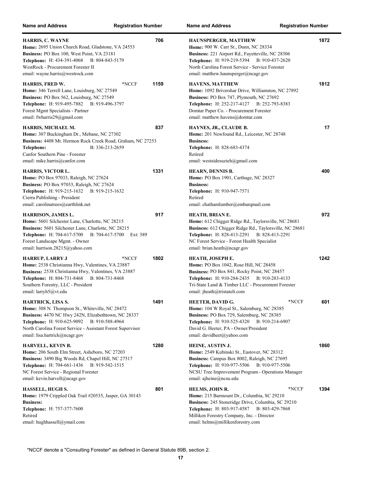| <b>Name and Address</b>                                                                                                                                                                                                                                                           | <b>Registration Number</b> | <b>Name and Address</b>                                                                                                                                                                                                                                         | <b>Registration Number</b>      |
|-----------------------------------------------------------------------------------------------------------------------------------------------------------------------------------------------------------------------------------------------------------------------------------|----------------------------|-----------------------------------------------------------------------------------------------------------------------------------------------------------------------------------------------------------------------------------------------------------------|---------------------------------|
| <b>HARRIS, C. WAYNE</b><br>Home: 2695 Union Church Road, Gladstone, VA 24553<br>Business: PO Box 100, West Point, VA 23181<br>Telephone: H: 434-391-4068<br>B: 804-843-5179<br>WestRock - Procurement Forester II<br>email: wayne.harris@westrock.com                             | 706                        | HAUNSPERGER, MATTHEW<br>Home: 900 W. Carr St., Dunn, NC 28334<br>Business: 221 Airport Rd., Fayetteville, NC 28306<br>Telephone: H: 919-219-5394 B: 910-437-2620<br>North Carolina Forest Service - Service Forester<br>email: matthew.haunsperger@ncagr.gov    | 1872                            |
| <b>HARRIS, FRED W.</b><br>Home: 346 Terrell Lane, Louisburg, NC 27549<br>Business: PO Box 562, Louisburg, NC 27549<br>Telephone: H: 919-495-7882<br>B: 919-496-3797<br>Forest Mgmt Specialists - Partner<br>email: fwharris $29$ @gmail.com                                       | 1159<br>*NCCF              | HAVENS, MATTHEW<br>Home: 1092 Brivershar Drive, Williamston, NC 27892<br>Business: PO Box 747, Plymouth, NC 27692<br><b>Telephone:</b> H: 252-217-4127<br>Domtar Paper Co. - Procurement Forester<br>email: matthew.havens@domtar.com                           | 1812<br>B: 252-793-8383         |
| HARRIS, MICHAEL M.<br>Home: 307 Buckingham Dr., Mebane, NC 27302<br>Business: 4408 Mt. Hermon Rock Creek Road, Graham, NC 27253<br>B: 336-213-2659<br><b>Telephone:</b><br>Canfor Southern Pine - Forester<br>email: mike.harris@canfor.com                                       | 837                        | HAYNES, JR., CLAUDE B.<br>Home: 201 Newfound Rd., Leicester, NC 28748<br><b>Business:</b><br>Telephone: H: 828-683-4374<br>Retired<br>email: westsidesuzieh@gmail.com                                                                                           | 17                              |
| HARRIS, VICTOR L.<br>Home: PO Box 97033, Raleigh, NC 27624<br>Business: PO Box 97033, Raleigh, NC 27624<br>Telephone: H: 919-215-1632<br>B: 919-215-1632<br>Cierra Publishing - President<br>email: carolinatrees@earthlink.net                                                   | 1331                       | HEARN, DENNIS B.<br>Home: PO Box 1901, Carthage, NC 28327<br><b>Business:</b><br><b>Telephone:</b> H: 910-947-7571<br>Retired<br>email: chathamlumber@embarqmail.com                                                                                            | 400                             |
| HARRISON, JAMES L.<br>Home: 5601 Silchester Lane, Charlotte, NC 28215<br>Business: 5601 Silchester Lane, Charlotte, NC 28215<br><b>Telephone:</b> H: 704-617-5700 B: 704-617-5700<br>Forest Landscape Mgmt. - Owner<br>email: harrison.28215@yahoo.com                            | 917<br>Ext: 389            | HEATH, BRIAN E.<br>Home: 612 Chigger Ridge Rd., Taylorsville, NC 28681<br>Business: 612 Chigger Ridge Rd., Taylorsville, NC 28681<br>Telephone: H: 828-413-2291 B: 828-413-2291<br>NC Forest Service - Forest Health Specialist<br>email: brian.heath@ncagr.gov | 972                             |
| <b>HARRUP, LARRY J</b><br>Home: 2538 Christianna Hwy, Valentines, VA 23887<br>Business: 2538 Christianna Hwy, Valentines, VA 23887<br>Telephone: H: 804-731-8468 B: 804-731-8468<br>Southern Forestry, LLC - President<br>email: larryh5@vt.edu                                   | 1802<br>*NCCF              | HEATH, JOSEPH E.<br><b>Home:</b> PO Box 1042, Rose Hill, NC 28458<br>Business: PO Box 841, Rocky Point, NC 28457<br>Telephone: H: 910-284-2435 B: 910-283-4133<br>Tri-State Land & Timber LLC - Procurement Forester<br>email: jheath@tristatelt.com            | 1242                            |
| HARTRICK, LISA S.<br><b>Home:</b> 308 N. Thompson St., Whiteville, NC 28472<br>Business: 4470 NC Hwy 242N, Elizabethtown, NC 28337<br>Telephone: H: 910-625-9092 B: 910-588-4964<br>North Carolina Forest Service - Assistant Forest Supervisor<br>email: lisa.hartrick@ncagr.gov | 1491                       | HEETER, DAVID G.<br><b>Home:</b> 104 W Royal St., Salemburg, NC 28385<br>Business: PO Box 729, Salemburg, NC 28385<br><b>Telephone:</b> H: 910-525-4320<br>David G. Heeter, PA - Owner/President<br>email: davidheet@yahoo.com                                  | 601<br>*NCCF<br>B: 910-214-6907 |
| HARVELL, KEVIN B.<br>Home: 206 South Elm Street, Asheboro, NC 27203<br>Business: 3490 Big Woods Rd, Chapel Hill, NC 27517<br>Telephone: H: 704-661-1436 B: 919-542-1515<br>NC Forest Service - Regional Forester<br>email: kevin.harvell@ncagr.gov                                | 1280                       | HEINE, AUSTIN J.<br>Home: 2549 Kubinski St., Eastover, NC 28312<br>Business: Campus Box 8002, Raleigh, NC 27695<br>Telephone: H: 910-977-5506 B: 910-977-5506<br>NCSU Tree Improvement Program - Operations Manager<br>email: ajheine@ncsu.edu                  | 1860                            |
| HASSELL, HUGH S.<br>Home: 1979 Crippled Oak Trail #20535, Jasper, GA 30143<br><b>Business:</b><br>Telephone: H: 757-377-7600<br>Retired<br>email: hughhassell@ymail.com                                                                                                           | 801                        | HELMS, JOHN R.<br>Home: 215 Barmount Dr., Columbia, SC 29210<br>Business: 245 Stoneridge Drive, Columbia, SC 29210<br>Telephone: H: 803-917-4587 B: 803-429-7868<br>Milliken Forestry Company, Inc. - Director<br>email: helms@millikenforestry.com             | *NCCF<br>1394                   |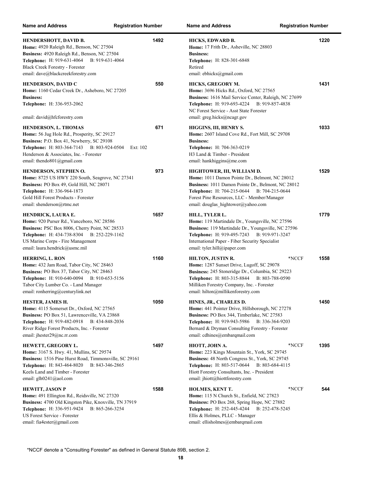| <b>Name and Address</b>                                                                                                                                                                                                                               | <b>Registration Number</b> | <b>Name and Address</b><br><b>Registration Number</b>                                                                                                                                                                                                                 |      |
|-------------------------------------------------------------------------------------------------------------------------------------------------------------------------------------------------------------------------------------------------------|----------------------------|-----------------------------------------------------------------------------------------------------------------------------------------------------------------------------------------------------------------------------------------------------------------------|------|
| HENDERSHOTT, DAVID B.<br>Home: 4920 Raleigh Rd., Benson, NC 27504<br>Business: 4920 Raleigh Rd., Benson, NC 27504<br><b>Telephone:</b> H: 919-631-4064<br>B: 919-631-4064<br>Black Creek Forestry - Forester<br>email: dave@blackcreekforestry.com    | 1492                       | HICKS, EDWARD B.<br>Home: 17 Frith Dr., Asheville, NC 28803<br><b>Business:</b><br><b>Telephone:</b> H: 828-301-6848<br>Retired<br>email: ebhicks@gmail.com                                                                                                           | 1220 |
| <b>HENDERSON, DAVID C</b><br>Home: 1160 Cedar Creek Dr., Asheboro, NC 27205<br><b>Business:</b><br>Telephone: H: 336-953-2062<br>email: david@hfcforestry.com                                                                                         | 550                        | HICKS, GREGORY M.<br><b>Home:</b> 3696 Hicks Rd., Oxford, NC 27565<br>Business: 1616 Mail Service Center, Raleigh, NC 27699<br>Telephone: H: 919-693-4224 B: 919-857-4838<br>NC Forest Service - Asst State Forester<br>email: greg.hicks@ncagr.gov                   | 1431 |
| <b>HENDERSON, L. THOMAS</b><br>Home: 56 Jug Hole Rd., Prosperity, SC 29127<br>Business: P.O. Box 41, Newberry, SC 29108<br><b>Telephone:</b> H: 803-364-7143 B: 803-924-0504<br>Henderson & Associates, Inc. - Forester<br>email: thendo801@gmail.com | 671<br>Ext: 102            | HIGGINS, III, HENRY S.<br>Home: 2607 Island Cove Rd., Fort Mill, SC 29708<br><b>Business:</b><br><b>Telephone:</b> H: 704-363-0219<br>H3 Land & Timber - President<br>email: hankhiggins@me.com                                                                       | 1033 |
| HENDERSON, STEPHEN O.<br><b>Home:</b> 8725 US HWY 220 South, Seagrove, NC 27341<br><b>Business: PO Box 49, Gold Hill, NC 28071</b><br>Telephone: H: 336-964-1873<br>Gold Hill Forest Products - Forester<br>email: shenderson@rtmc.net                | 973                        | HIGHTOWER, III, WILLIAM D.<br>Home: 1011 Damon Pointe Dr., Belmont, NC 28012<br>Business: 1011 Damon Pointe Dr., Belmont, NC 28012<br>Telephone: H: 704-215-0644 B: 704-215-0644<br>Forest Pine Resources, LLC - Member/Manager<br>email: douglas hightower@yahoo.com | 1529 |
| HENDRICK, LAURA E.<br>Home: 920 Purser Rd., Vanceboro, NC 28586<br>Business: PSC Box 8006, Cherry Point, NC 28533<br><b>Telephone:</b> H: 434-738-8304<br>B: 252-229-1162<br>US Marine Corps - Fire Management<br>email: laura.hendrick@usmc.mil      | 1657                       | HILL, TYLER L.<br>Home: 119 Martindale Dr., Youngsville, NC 27596<br>Business: 119 Martindale Dr., Youngsville, NC 27596<br>Telephone: H: 919-495-7243<br>B: 919-971-3247<br>International Paper - Fiber Security Specialist<br>email: tyler.hill@ipaper.com          | 1779 |
| <b>HERRING, L. RON</b><br>Home: 432 Jam Road, Tabor City, NC 28463<br>Business: PO Box 37, Tabor City, NC 28463<br>Telephone: H: 910-640-0094 B: 910-653-5156<br>Tabor City Lumber Co. - Land Manager<br>email: ronherring@centurylink.net            | 1160                       | *NCCF<br>HILTON, JUSTIN R.<br>Home: 1287 Sunset Drive, Lugoff, SC 29078<br>Business: 245 Stoneridge Dr., Columbia, SC 29223<br>Telephone: H: 803-315-8844 B: 803-788-0590<br>Milliken Forestry Company, Inc. - Forester<br>email: hilton@millikenforestry.com         | 1558 |
| HESTER, JAMES H.<br>Home: 4115 Somerset Dr., Oxford, NC 27565<br>Business: PO Box 51, Lawrenceville, VA 23868<br><b>Telephone:</b> H: 919-482-0918<br>B: 434-848-2036<br>River Ridge Forest Products, Inc. - Forester<br>email: ihester29@nc.rr.com   | 1050                       | HINES, JR., CHARLES D.<br>Home: 441 Pointer Drive, Hillsborough, NC 27278<br>Business: PO Box 344, Timberlake, NC 27583<br><b>Telephone:</b> H: 919-943-5986<br>B: 336-364-9203<br>Bernard & Dryman Consulting Forestry - Forester<br>email: cdhines@embarqmail.com   | 1450 |
| HEWETT, GREGORY L.<br>Home: 3167 S. Hwy. 41, Mullins, SC 29574<br>Business: 1516 Pine Hurst Road, Timmonsville, SC 29161<br><b>Telephone:</b> H: 843-464-8020<br>B: 843-346-2865<br>Keels Land and Timber - Forester<br>email: $glh0241$ @aol.com     | 1497                       | HIOTT, JOHN A.<br>*NCCF<br>Home: 223 Kings Mountain St., York, SC 29745<br>Business: 48 North Congress St., York, SC 29745<br><b>Telephone:</b> H: 803-517-0644<br>B: 803-684-4115<br>Hiott Forestry Consultants, Inc. - President<br>email: jhiott@hiottforestry.com | 1395 |
| <b>HEWITT, JASON P</b><br>Home: 491 Ellington Rd., Reidsville, NC 27320<br>Business: 4700 Old Kingston Pike, Knoxville, TN 37919<br>Telephone: H: 336-951-9424<br>B: 865-266-3254<br>US Forest Service - Forester<br>email: fia4ester@gmail.com       | 1588                       | HOLMES, KENT T.<br>*NCCF<br>Home: 115 N Church St., Enfield, NC 27823<br>Business: PO Box 268, Spring Hope, NC 27882<br>Telephone: H: 252-445-4244<br>B: 252-478-5245<br>Ellis & Holmes, PLLC - Manager<br>email: ellisholmes@embarqmail.com                          | 544  |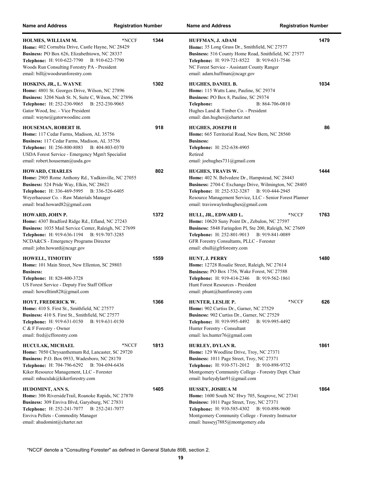| <b>Name and Address</b>                                                                                                                                                                                                                                        | <b>Registration Number</b> |      | <b>Name and Address</b><br><b>Registration Number</b>                                                                                                                                                                                                                                 |      |
|----------------------------------------------------------------------------------------------------------------------------------------------------------------------------------------------------------------------------------------------------------------|----------------------------|------|---------------------------------------------------------------------------------------------------------------------------------------------------------------------------------------------------------------------------------------------------------------------------------------|------|
| HOLMES, WILLIAM M.<br>Home: 402 Cornubia Drive, Castle Hayne, NC 28429<br>Business: PO Box 626, Elizabethtown, NC 28337<br>Telephone: H: 910-622-7790 B: 910-622-7790<br>Woods Run Consulting Forestry PA - President<br>email: bill@woodsrunforestry.com      | *NCCF                      | 1344 | HUFFMAN, J. ADAM<br>Home: 35 Long Grass Dr., Smithfield, NC 27577<br>Business: 516 County Home Road, Smithfield, NC 27577<br>Telephone: H: 919-721-8522 B: 919-631-7546<br>NC Forest Service - Assistant County Ranger<br>email: adam.huffman@ncagr.gov                               | 1479 |
| HOSKINS, JR., L. WAYNE<br>Home: 4801 St. Georges Drive, Wilson, NC 27896<br>Business: 3204 Nash St. N, Suite C, Wilson, NC 27896<br><b>Telephone:</b> H: 252-230-9065 B: 252-230-9065<br>Gator Wood, Inc. - Vice President<br>email: wayne@gatorwoodinc.com    |                            | 1302 | <b>HUGHES, DANIEL B.</b><br>Home: 115 Watts Lane, Pauline, SC 29374<br>Business: PO Box 8, Pauline, SC 29374<br>Telephone:<br>B: 864-706-0810<br>Hughes Land & Timber Co. - President<br>email: dan.hughes@charter.net                                                                | 1034 |
| HOUSEMAN, ROBERT H.<br>Home: 117 Cedar Farms, Madison, AL 35756<br>Business: 117 Cedar Farms, Madison, AL 35756<br><b>Telephone:</b> H: 256-800-8083<br>B: 404-803-0370<br>USDA Forest Service - Emergency Mgm't Specialist<br>email: robert.houseman@usda.gov |                            | 918  | <b>HUGHES, JOSEPH H</b><br>Home: 665 Territorial Road, New Bern, NC 28560<br><b>Business:</b><br>Telephone: H: 252-638-4905<br>Retired<br>email: joehughes731@gmail.com                                                                                                               | 86   |
| <b>HOWARD, CHARLES</b><br>Home: 2905 Rome Anthony Rd., Yadkinville, NC 27055<br>Business: 524 Pride Way, Elkin, NC 28621<br>Telephone: H: 336-469-5995 B: 336-526-6405<br>Weyerhaeuser Co. - Raw Materials Manager<br>email: brad.howard82@gmail.com           |                            | 802  | <b>HUGHES, TRAVIS W.</b><br>Home: 402 N. Belvedere Dr., Hampstead, NC 28443<br>Business: 2704-C Exchange Drive, Wilmington, NC 28405<br>Telephone: H: 252-532-3287 B: 910-444-2945<br>Resource Management Service, LLC - Senior Forest Planner<br>email: traviswaylonhughes@gmail.com | 1444 |
| HOWARD, JOHN P.<br>Home: 4307 Bradford Ridge Rd., Efland, NC 27243<br>Business: 1035 Mail Service Center, Raleigh, NC 27699<br><b>Telephone:</b> H: 919-636-1194 B: 919-707-3285<br>NCDA&CS - Emergency Programs Director<br>email: john.howard@ncagr.gov      |                            | 1372 | *NCCF<br>HULL, JR., EDWARD L.<br>Home: 10620 Suny Point Dr., Zebulon, NC 27597<br>Business: 5848 Faringdon Pl, Ste 200, Raleigh, NC 27609<br>Telephone: H: 252-801-9013 B: 919-841-0089<br>GFR Forestry Consultants, PLLC - Forester<br>email: ehull@gfrforestry.com                  | 1763 |
| HOWELL, TIMOTHY<br>Home: 101 Main Street, New Ellenton, SC 29803<br><b>Business:</b><br>Telephone: H: 828-400-3728<br>US Forest Service - Deputy Fire Staff Officer<br>email: howelltim828@gmail.com                                                           |                            | 1559 | <b>HUNT, J. PERRY</b><br>Home: 12728 Rosalie Street, Raleigh, NC 27614<br>Business: PO Box 1756, Wake Forest, NC 27588<br><b>Telephone:</b> H: 919-414-2346<br>B: 919-562-1861<br>Hunt Forest Resources - President<br>email: phunt@huntforestry.com                                  | 1480 |
| <b>HOYT, FREDERICK W.</b><br>Home: 410 S. First St., Smithfield, NC 27577<br>Business: 410 S. First St., Smithfield, NC 27577<br><b>Telephone:</b> H: 919-631-0150<br>B: 919-631-0150<br>C & F Forestry - Owner<br>email: fred@cfforestry.com                  |                            | 1366 | *NCCF<br>HUNTER, LESLIE P.<br>Home: 902 Curtiss Dr., Garner, NC 27529<br>Business: 902 Curtiss Dr., Garner, NC 27529<br><b>Telephone:</b> H: 919-995-4492<br>B: 919-995-4492<br>Hunter Forestry - Consultant<br>email: les.hunter76@gmail.com                                         | 626  |
| HUCULAK, MICHAEL<br>Home: 7050 Chrysanthemum Rd, Lancaster, SC 29720<br>Business: P.O. Box 0933, Wadesboro, NC 28170<br>Telephone: H: 704-796-6292<br>B: 704-694-6436<br>Kiker Resource Management, LLC - Forester<br>email: mhuculak@kikerforestry.com        | *NCCF                      | 1813 | HURLEY, DYLAN R.<br>Home: 129 Woodline Drive, Troy, NC 27371<br>Business: 1011 Page Street, Troy, NC 27371<br>Telephone: H: 910-571-2012 B: 910-898-9732<br>Montgomery Community College - Forestry Dept. Chair<br>email: hurleydylan91@gmail.com                                     | 1861 |
| HUDOMINT, ANN S.<br>Home: 306 Riverside Trail, Roanoke Rapids, NC 27870<br>Business: 309 Enviva Blvd, Garysburg, NC 27831<br>Telephone: H: 252-241-7077<br>B: 252-241-7077<br>Enviva Pellets - Commodity Manager<br>email: ahudomint@charter.net               |                            | 1405 | HUSSEY, JOSHUA M<br>Home: 1600 South NC Hwy 705, Seagrove, NC 27341<br>Business: 1011 Page Street, Troy, NC 27371<br><b>Telephone:</b> H: 910-585-4302<br>B: 910-898-9600<br>Montgomery Community College - Forestry Instructor<br>email: husseyj7885@montgomery.edu                  | 1864 |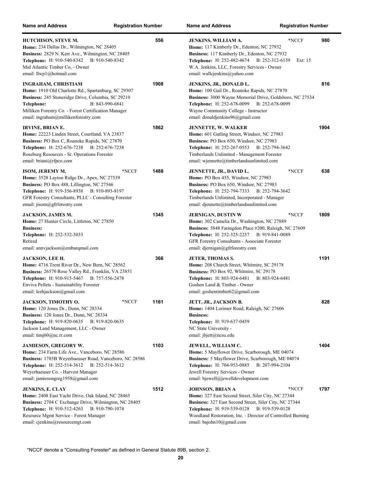| <b>Name and Address</b>                                                                                                                                                                                                                                                  | <b>Registration Number</b> | <b>Name and Address</b><br><b>Registration Number</b>                                                                                                                                                                                                                                         |      |
|--------------------------------------------------------------------------------------------------------------------------------------------------------------------------------------------------------------------------------------------------------------------------|----------------------------|-----------------------------------------------------------------------------------------------------------------------------------------------------------------------------------------------------------------------------------------------------------------------------------------------|------|
| HUTCHISON, STEVE M.<br>Home: 234 Dallas Dr., Wilmington, NC 28405<br>Business: 2829 N. Kerr Ave., Wilmington, NC 28405<br>Telephone: H: 910-540-8342 B: 910-540-8342<br>Mid Atlantic Timber Co, - Owner<br>email: llwp1@hotmail.com                                      | 556                        | *NCCF<br><b>JENKINS, WILLIAM A.</b><br>Home: 117 Kimberly Dr., Edenton, NC 27932<br>Business: 117 Kimberly Dr., Edenton, NC 27932<br>Telephone: H: 252-482-4674 B: 252-312-6139<br>Ext: $15$<br>W.A. Jenkins, LLC, Forestry Services - Owner<br>email: wallcjenkins@yahoo.com                 | 980  |
| <b>INGRAHAM, CHRISTIAM</b><br>Home: 1910 Old Charlotte Rd., Spartanburg, SC 29307<br>Business: 245 Stoneridge Drive, Columbia, SC 29210<br>B: 843-990-6841<br>Telephone:<br>Milliken Forestry Co. - Forest Certification Manager<br>email: ingraham@millikenforestry.com | 1908                       | JENKINS, JR., DONALD L.<br>Home: 100 Gail Dr., Roanoke Rapids, NC 27870<br>Business: 3000 Wayne Memorial Drive, Goldsboro, NC 27534<br>Telephone: H: 252-678-0099 B: 252-678-0099<br>Wayne Community College - Instructor<br>email: donaldjenkins96@gmail.com                                 | 816  |
| IRVINE, BRIAN E.<br>Home: 22223 Linden Street, Courtland, VA 23837<br>Business: PO Box C, Roanoke Rapids, NC 27870<br>Telephone: H: 252-676-7238 B: 252-676-7238<br>Roseburg Resources - Sr. Operations Forester<br>email: briani@rfpco.com                              | 1862                       | <b>JENNETTE, W. WALKER</b><br>Home: 601 Gatling Street, Windsor, NC 27983<br>Business: PO Box 650, Windsor, NC 27983<br>Telephone: H: 252-267-0553<br>B: 252-794-3642<br>Timberlands Unlimited - Management Forester<br>email: wjennette@timberlandsunlimited.com                             | 1904 |
| ISOM, JEREMY M.<br>Home: 3528 Layton Ridge Dr., Apex, NC 27539<br>Business: PO Box 488, Lillington, NC 27546<br>Telephone: H: 919-356-8938 B: 910-893-8197<br>GFR Forestry Consultants, PLLC - Consulting Forester<br>email: jisom@gfrforestry.com                       | 1488<br>*NCCF              | JENNETTE, JR., DAVID L.<br>*NCCF<br>Home: PO Box 455, Windsor, NC 27983<br>Business: PO Box 650, Windsor, NC 27983<br><b>Telephone:</b> H: 252-794-7333<br>B: 252-794-3642<br>Timberlands Unlimited, Incorporated - Manager<br>email: djennette@timberlandsunlimited.com                      | 638  |
| <b>JACKSON, JAMES M.</b><br>Home: 27 Hunter Circle, Littleton, NC 27850<br><b>Business:</b><br>Telephone: H: 252-532-3033<br>Retired<br>email: annvjackson@embarqmail.com                                                                                                | 1345                       | *NCCF<br><b>JERNIGAN, DUSTIN W</b><br>Home: 302 Camelia Dr., Washington, NC 27889<br>Business: 5848 Faringdon Place #200, Raleigh, NC 27609<br><b>Telephone:</b> H: 252-325-2257<br>B: 919-841-0089<br>GFR Forestry Consultants - Associate Forester<br>email: djernigan@gfrforestry.com      | 1809 |
| <b>JACKSON, LEE H.</b><br>Home: 4716 Trent River Dr., New Bern, NC 28562<br>Business: 26570 Rose Valley Rd., Franklin, VA 23851<br><b>Telephone:</b> H: 910-915-5467<br>B: 757-556-2478<br>Enviva Pellets - Sustainability Forester<br>email: leehjackson@gmail.com      | 366                        | <b>JETER, THOMAS S.</b><br>Home: 208 Church Street, Whitmire, SC 29178<br>Business: PO Box 92, Whitmire, SC 29178<br><b>Telephone:</b> H: 803-924-6481<br>B: 803-924-6481<br>Goshen Land & Timber - Owner<br>email: goshentimber62@gmail.com                                                  | 1191 |
| JACKSON, TIMOTHY O.<br>Home: 120 Jones Dr., Dunn, NC 28334<br>Business: 120 Jones Dr., Dunn, NC 28334<br><b>Telephone:</b> H: 919-820-0635<br>B: 919-820-0635<br>Jackson Land Management, LLC - Owner<br>email: $\text{timi}60$ @nc.rr.com                               | 1161<br>*NCCF              | JETT, JR., JACKSON B.<br>Home: 1404 Lorimer Road, Raleigh, NC 27606<br><b>Business:</b><br>Telephone: H: 919-637-0459<br>NC State University -<br>email: jbjett@ncsu.edu                                                                                                                      | 828  |
| <b>JAMIESON, GREGORY W.</b><br>Home: 234 Farm Life Ave., Vanceboro, NC 28586<br>Business: 1785B Weyerhaeuser Road, Vanceboro, NC 28586<br>Telephone: H: 252-514-3612<br>B: 252-514-3612<br>Weyerhaeuser Co. - Harvest Manager<br>email: jamiesongreg1958@gmail.com       | 1103                       | JEWELL, WILLIAM C.<br>Home: 5 Mayflower Drive, Scarborough, ME 04074<br>Business: 5 Mayflower Drive, Scarborough, ME 04074<br>Telephone: H: 704-953-0885<br>B: 207-994-2104<br>Jewell Forestry Services - Owner<br>email: bjewell@jewelldevelopment.com                                       | 1404 |
| JENKINS, E. CLAY<br>Home: 2408 East Yacht Drive, Oak Island, NC 28465<br>Business: 2704 C Exchange Drive, Wilmington, NC 28405<br>Telephone: H: 910-512-4263<br>B: 910-790-1074<br>Resource Mgmt Service - Forest Manager<br>email: cjenkins@resourcemgt.com             | 1512                       | JOHNSON, BRIAN A<br>*NCCF<br>Home: 327 East Second Street, Siler City, NC 27344<br>Business: 327 East Second Street, Siler City, NC 27344<br><b>Telephone:</b> H: 919-539-0128<br>B: 919-539-0128<br>Woodland Restoration, Inc. - Director of Controlled Burning<br>email: bajohn10@gmail.com | 1797 |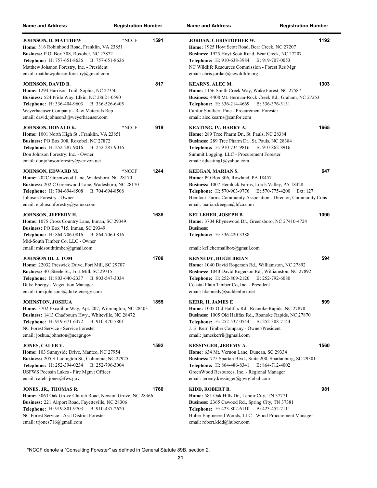| <b>Name and Address</b>                                                                                                                                                                                                                                                      | <b>Registration Number</b> |      | <b>Name and Address</b><br><b>Registration Number</b>                                                                                                                                                                                                                                 |      |
|------------------------------------------------------------------------------------------------------------------------------------------------------------------------------------------------------------------------------------------------------------------------------|----------------------------|------|---------------------------------------------------------------------------------------------------------------------------------------------------------------------------------------------------------------------------------------------------------------------------------------|------|
| JOHNSON, D. MATTHEW<br>Home: 316 Robinhood Road, Franklin, VA 23851<br>Business: P.O. Box 308, Roxobel, NC 27872<br>Telephone: H: 757-651-8636 B: 757-651-8636<br>Matthew Johsnon Forestry, Inc. - President<br>email: matthewjohnsonforestry@gmail.com                      | *NCCF                      | 1591 | JORDAN, CHRISTOPHER W.<br>Home: 1925 Hoyt Scott Road, Bear Creek, NC 27207<br>Business: 1925 Hoyt Scott Road, Bear Creek, NC 27207<br>Telephone: H: 910-638-3984 B: 919-707-0053<br>NC Wildlife Resources Commission - Forest Res Mgr<br>email: chris.jordan@ncwildlife.org           | 1192 |
| JOHNSON, DAVID B.<br>Home: 1294 Harrison Trail, Sophia, NC 27350<br>Business: 524 Pride Way, Elkin, NC 28621-0590<br>Telephone: H: 336-404-9603 B: 336-526-6405<br>Weyerhaeuser Company - Raw Materials Rep<br>email: david.johnson3@weyerhaeuser.com                        |                            | 817  | <b>KEARNS, ALEC M.</b><br>Home: 1156 Smith Creek Way, Wake Forest, NC 27587<br>Business: 4408 Mt. Herman-Rock Creek Rd., Graham, NC 27253<br>Telephone: H: 336-214-4669 B: 336-376-3131<br>Canfor Southern Pine - Procurement Forester<br>email: alec.kearns@canfor.com               | 1303 |
| JOHNSON, DONALD K.<br>Home: 1001 North High St., Franklin, VA 23851<br>Business: PO Box 308, Roxobel, NC 27872<br>Telephone: H: 252-287-9016 B: 252-287-9016<br>Don Johnson Forestry, Inc. - Owner<br>email: donjohnsonforestry@verizon.net                                  | *NCCF                      | 919  | KEATING, IV, HARRY A.<br>Home: 289 Tree Pharm Dr., St. Pauls, NC 28384<br>Business: 289 Tree Pharm Dr., St. Pauls, NC 28384<br>Telephone: H: 910-734-9816 B: 910-862-8916<br>Summit Logging, LLC - Procurement Forester<br>email: ajkeating1@yahoo.com                                | 1665 |
| JOHNSON, EDWARD M.<br>Home: 202C Greenwood Lane, Wadesboro, NC 28170<br>Business: 202 C Greenwood Lane, Wadesboro, NC 28170<br>Telephone: H: 704-694-8508<br>B: 704-694-8508<br>Johnson Forestry - Owner<br>email: ejohnsonforestry@yahoo.com                                | *NCCF                      | 1244 | <b>KEEGAN, MARIAN S.</b><br>Home: PO Box 306, Rowland, PA 18457<br>Business: 1007 Hemlock Farms, Lords Valley, PA 18428<br>Telephone: H: 570-903-9776 B: 570-775-4200<br>Ext: 127<br>Hemlock Farms Community Association - Director, Community Cons<br>email: marian.keegan@hfca.com  | 647  |
| <b>JOHNSON, JEFFERY H.</b><br>Home: 1075 Cross Country Lane, Inman, SC 29349<br>Business: PO Box 715, Inman, SC 29349<br>Telephone: H: 864-706-0816 B: 864-706-0816<br>Mid-South Timber Co. LLC - Owner<br>email: midsouthtimber@gmail.com                                   |                            | 1638 | <b>KELLEHER, JOSEPH B.</b><br>Home: 3704 Rhynewood Dr., Greensboro, NC 27410-4724<br><b>Business:</b><br>Telephone: H: 336-420-3388<br>email: kellehermailbox@gmail.com                                                                                                               | 1090 |
| <b>JOHNSON III, J. TOM</b><br>Home: 22032 Preswick Drive, Fort Mill, SC 29707<br>Business: 401Steele St., Fort Mill, SC 29715<br>Telephone: H: 803-640-2337 B: 803-547-3034<br>Duke Energy - Vegetation Manager<br>email: tom.johnson3@duke-energy.com                       |                            | 1708 | <b>KENNEDY, HUGH BRIAN</b><br>Home: 1040 David Rogerson Rd., Williamston, NC 27892<br>Business: 1040 David Rogerson Rd., Williamston, NC 27892<br>Telephone: H: 252-809-2120 B: 252-792-6080<br>Coastal Plain Timber Co, Inc. - President<br>email: hkennedy@suddenlink.net           | 594  |
| <b>JOHNSTON, JOSHUA</b><br>Home: 3702 Excalibur Way, Apt. 207, Wilmington, NC 28403<br>Business: 1413 Chadbourn Hwy., Whiteville, NC 28472<br><b>Telephone:</b> H: 919-671-6472 B: 910-470-7801<br>NC Forest Service - Service Forester<br>email: joshua.johnston@ncagr.gov  |                            | 1855 | KERR, II, JAMES E<br>Home: 1005 Old Halifax Rd., Roanoke Rapids, NC 27870<br>Business: 1005 Old Halifax Rd., Roanoke Rapids, NC 27870<br>Telephone: H: 252-537-0544 B: 252-308-7144<br>J. E. Kerr Timber Company - Owner/President<br>email: jameskerrii@gmail.com                    | 599  |
| JONES, CALEB Y.<br>Home: 103 Sunnyside Drive, Manteo, NC 27954<br>Business: 205 S Ludington St., Columbia, NC 27925<br><b>Telephone:</b> H: 252-394-0234<br>B: 252-796-3004<br>USFWS Pocosin Lakes - Fire Mgm't Officer<br>email: caleb jones@fws.gov                        |                            | 1592 | KESSINGER, JEREMY A.<br>Home: 634 Mt. Vernon Lane, Duncan, SC 29334<br>Business: 775 Spartan Blvd., Suite 200, Spartanburg, SC 29301<br><b>Telephone:</b> H: 864-486-8341<br>B: 864-712-4002<br>GreenWood Resources, Inc. - Regional Manager<br>email: jeremy.kessinger@gwrglobal.com | 1560 |
| JONES, JR., THOMAS R.<br>Home: 3063 Oak Grove Church Road, Newton Grove, NC 28366<br>Business: 221 Airport Road, Fayetteville, NC 28306<br><b>Telephone:</b> H: 919-801-9703<br>B: 910-437-2620<br>NC Forest Service - Asst District Forester<br>email: trjones716@gmail.com |                            | 1760 | KIDD, ROBERT B.<br>Home: 581 Oak Hills Dr., Lenoir City, TN 37771<br>Business: 2365 Cawood Rd., Spring City, TN 37381<br>Telephone: H: 423-802-6110 B: 423-452-7111<br>Huber Engineered Woods, LLC - Wood Procurement Manager<br>email: robert.kidd@huber.com                         | 981  |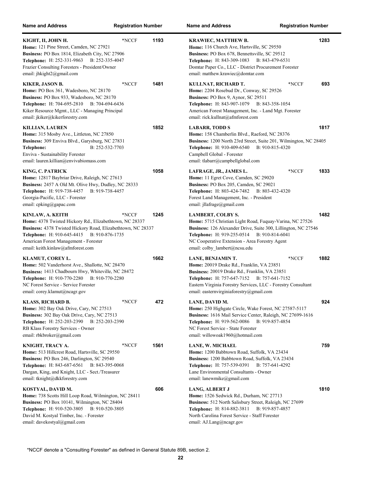| <b>Name and Address</b>                                                                                                                                                                                                                                                 | <b>Registration Number</b> |      | <b>Name and Address</b><br><b>Registration Number</b>                                                                                                                                                                                                                                             |      |
|-------------------------------------------------------------------------------------------------------------------------------------------------------------------------------------------------------------------------------------------------------------------------|----------------------------|------|---------------------------------------------------------------------------------------------------------------------------------------------------------------------------------------------------------------------------------------------------------------------------------------------------|------|
| KIGHT, II, JOHN H.<br>Home: 121 Pine Street, Camden, NC 27921<br>Business: PO Box 1814, Elizabeth City, NC 27906<br>Telephone: H: 252-331-9863 B: 252-335-4047<br>Frazier Consulting Foresters - President/Owner<br>email: jhkight2@gmail.com                           | *NCCF                      | 1193 | <b>KRAWIEC, MATTHEW B.</b><br>Home: 116 Church Ave, Hartsville, SC 29550<br>Business: PO Box 678, Bennettsville, SC 29512<br><b>Telephone:</b> H: 843-309-1083<br>B: 843-479-6531<br>Domtar Paper Co., LLC - District Procurement Forester<br>email: matthew.krawiec@domtar.com                   | 1283 |
| KIKER, JASON B.<br>Home: PO Box 361, Wadesboro, NC 28170<br>Business: PO Box 933, Wadesboro, NC 28170<br>Telephone: H: 704-695-2810 B: 704-694-6436<br>Kiker Resource Mgmt., LLC - Managing Principal<br>email: jkiker@kikerforestry.com                                | *NCCF                      | 1481 | KULLNAT, RICHARD T.<br>*NCCF<br>Home: 2204 Rosebud Dr., Conway, SC 29526<br>Business: PO Box 9, Aynor, SC 29511<br>Telephone: H: 843-907-1079 B: 843-358-1054<br>American Forest Management, Inc. - Land Mgt. Forester<br>email: rick.kullnat@afmforest.com                                       | 693  |
| <b>KILLIAN, LAUREN</b><br>Home: 315 Mosby Ave., Littleton, NC 27850<br>Business: 309 Enviva Blvd., Garysburg, NC 27831<br>B: 252-532-7703<br>Telephone:<br>Enviva - Sustainability Forester<br>email: lauren.killian@envivabiomass.com                                  |                            | 1852 | <b>LABARR, TODD S</b><br>Home: 158 Chamberlin Blvd., Raeford, NC 28376<br>Business: 1200 North 23rd Street, Suite 201, Wilmington, NC 28405<br>Telephone: H: 910-409-6540<br>B: 910-815-4320<br>Campbell Global - Forester<br>email: tlabarr@campbellglobal.com                                   | 1817 |
| KING, C. PATRICK<br>Home: 12817 Baybriar Drive, Raleigh, NC 27613<br>Business: 2457 A Old Mt. Olive Hwy, Dudley, NC 28333<br>Telephone: H: 919-738-4457 B: 919-738-4457<br>Georgia-Pacific, LLC - Forester<br>email: cpking@gapac.com                                   |                            | 1058 | *NCCF<br>LAFRAGE, JR., JAMES L.<br>Home: 11 Egret Cove, Camden, SC 29020<br>Business: PO Box 205, Camden, SC 29021<br>Telephone: H: 803-424-7482<br>B: 803-432-4320<br>Forest Land Management, Inc. - President<br>email: jllafrage@gmail.com                                                     | 1833 |
| KINLAW, A. KEITH<br>Home: 4378 Twisted Hickory Rd., Elizabethtown, NC 28337<br>Business: 4378 Twisted Hickory Road, Elizabethtown, NC 28337<br>Telephone: H: 910-645-4415 B: 910-876-1735<br>American Forest Management - Forester<br>email: keith.kinlaw@afmforest.com | *NCCF                      | 1245 | <b>LAMBERT, COLBY S.</b><br>Home: 5715 Christian Light Road, Fuquay-Varina, NC 27526<br>Business: 126 Alexander Drive, Suite 300, Lillington, NC 27546<br><b>Telephone:</b> H: 919-255-0514<br>B: 910-814-6041<br>NC Cooperative Extension - Area Forestry Agent<br>email: colby_lambert@ncsu.edu | 1482 |
| KLAMUT, COREY L.<br>Home: 502 Vanderhorst Ave., Shallotte, NC 28470<br>Business: 1413 Chadbourn Hwy, Whiteville, NC 28472<br>Telephone: H: 910-770-2280 B: 910-770-2280<br>NC Forest Service - Service Forester<br>email: corey.klamut@ncagr.gov                        |                            | 1662 | *NCCF<br>LANE, BENJAMIN T.<br>Home: 20019 Drake Rd., Franklin, VA 23851<br>Business: 20019 Drake Rd., Franklin, VA 23851<br>Telephone: H: 757-647-7152<br>B: 757-641-7152<br>Eastern Virginia Forestry Services, LLC - Forestry Consultant<br>email: easternvirginiaforestry@gmail.com            | 1882 |
| <b>KLASS, RICHARD B.</b><br>Home: 302 Bay Oak Drive, Cary, NC 27513<br>Business: 302 Bay Oak Drive, Cary, NC 27513<br><b>Telephone:</b> H: 252-203-2390<br>B: 252-203-2390<br>RB Klass Forestry Services - Owner<br>email: rbkbroker@gmail.com                          | *NCCF                      | 472  | LANE, DAVID M.<br>Home: 250 Highgate Circle, Wake Forest, NC 27587-5117<br>Business: 1616 Mail Service Center, Raleigh, NC 27699-1616<br><b>Telephone:</b> H: 919-562-0086<br>B: 919-857-4854<br>NC Forest Service - State Forester<br>email: willowoak1960@hotmail.com                           | 924  |
| KNIGHT, TRACY A.<br>Home: 513 Hillcrest Road, Hartsville, SC 29550<br>Business: PO Box 246, Darlington, SC 29540<br>Telephone: H: 843-687-6561 B: 843-395-0068<br>Dargan, King, and Knight, LLC - Sect./Treasurer<br>email: tknight@dkkforestry.com                     | *NCCF                      | 1561 | LANE, W. MICHAEL<br>Home: 1200 Babbtown Road, Suffolk, VA 23434<br>Business: 1200 Babbtown Road, Suffolk, VA 23434<br>Telephone: H: 757-539-0391<br>B: 757-641-4292<br>Lane Environmental Consultants - Owner<br>email: lanewmike@gmail.com                                                       | 759  |
| KOSTYAL, DAVID M.<br>Home: 738 Scotts Hill Loop Road, Wilmington, NC 28411<br>Business: PO Box 10141, Wilmington, NC 28404<br><b>Telephone:</b> H: 910-520-3805<br>B: 910-520-3805<br>David M. Kostyal Timber, Inc. - Forester<br>email: davekostyal@gmail.com          |                            | 606  | <b>LANG, ALBERT J</b><br>Home: 1526 Sedwick Rd., Durham, NC 27713<br>Business: 512 North Salisbury Street, Raleigh, NC 27699<br><b>Telephone:</b> H: 814-882-3811<br>B: 919-857-4857<br>North Carolina Forest Service - Staff Forester<br>email: AJ.Lang@ncagr.gov                                | 1810 |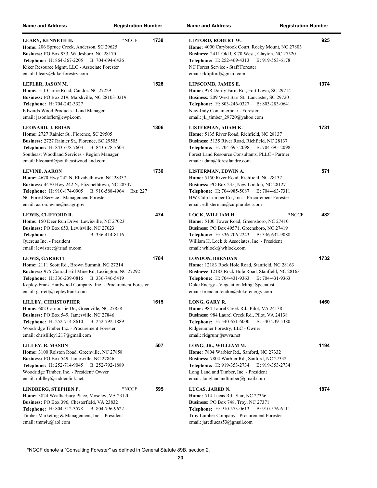| <b>Name and Address</b>                                                                                                                                                                                                                                                       | <b>Registration Number</b> |      | <b>Name and Address</b><br><b>Registration Number</b>                                                                                                                                                                                                                         |      |
|-------------------------------------------------------------------------------------------------------------------------------------------------------------------------------------------------------------------------------------------------------------------------------|----------------------------|------|-------------------------------------------------------------------------------------------------------------------------------------------------------------------------------------------------------------------------------------------------------------------------------|------|
| LEARY, KENNETH H.<br>Home: 206 Spruce Creek, Anderson, SC 29625<br>Business: PO Box 933, Wadesboro, NC 28170<br><b>Telephone:</b> H: 864-367-2205<br>B: 704-694-6436<br>Kiker Resource Mgmt, LLC - Associate Forester<br>email: hleary@kikerforestry.com                      | *NCCF                      | 1738 | LIPFORD, ROBERT W.<br>Home: 4000 Carybrook Court, Rocky Mount, NC 27803<br><b>Business:</b> 2411 Old US 70 West., Clayton, NC 27520<br>Telephone: H: 252-469-4313 B: 919-553-6178<br>NC Forest Service - Staff Forester<br>email: rklipford@gmail.com                         | 925  |
| LEFLER, JASON M.<br>Home: 511 Currie Road, Candor, NC 27229<br>Business: PO Box 219, Marshville, NC 28103-0219<br>Telephone: H: 704-242-3327<br>Edwards Wood Products - Land Manager<br>email: jasonlefler@ewpi.com                                                           |                            | 1528 | LIPSCOMB, JAMES E.<br>Home: 978 Dority Farm Rd., Fort Lawn, SC 29714<br>Business: 209 West Barr St., Lancaster, SC 29720<br><b>Telephone:</b> H: 803-246-0327<br>B: 803-283-0641<br>New-Indy Containerboar - Forester<br>email: jL timber $29720$ @yahoo.com                  | 1374 |
| <b>LEONARD, J. BRIAN</b><br>Home: 2727 Rainier St., Florence, SC 29505<br>Business: 2727 Rainier St., Florence, SC 29505<br>Telephone: H: 843-678-7603<br>B: 843-678-7603<br>Southeast Woodland Services - Region Manager<br>email: bleonard@southeastwoodland.com            |                            | 1306 | LISTERMAN, ADAM K.<br>Home: 5135 River Road, Richfield, NC 28137<br>Business: 5135 River Road, Richfield, NC 28137<br>Telephone: H: 704-695-2098 B: 704-695-2098<br>Forest Land Resource Consultants, PLLC - Partner<br>email: adam@forestlandrc.com                          | 1731 |
| <b>LEVINE, AARON</b><br>Home: 4670 Hwy 242 N, Elizabethtown, NC 28337<br>Business: 4470 Hwy 242 N, Elizabethtown, NC 28337<br>Telephone: H: 910-874-0905 B: 910-588-4964<br>NC Forest Service - Management Forester<br>email: aaron.levine@ncagr.gov                          | Ext: 227                   | 1730 | LISTERMAN, EDWIN A.<br>Home: 5150 River Road, Richfield, NC 28137<br>Business: PO Box 235, New London, NC 28127<br>Telephone: H: 704-985-5087 B: 704-463-7311<br>HW Culp Lumber Co., Inc. - Procurement Forester<br>email: edlisterman@culplumber.com                         | 571  |
| LEWIS, CLIFFORD R.<br>Home: 150 Deer Run Drive, Lewisville, NC 27023<br><b>Business:</b> PO Box 653, Lewisville, NC 27023<br>B: 336-414-8116<br>Telephone:<br>Quercus Inc. - President<br>email: lewistree@triad.rr.com                                                       |                            | 474  | *NCCF<br>LOCK, WILLIAM H.<br>Home: 5100 Tower Road, Greensboro, NC 27410<br>Business: PO Box 49571, Greensboro, NC 27419<br>Telephone: H: 336-706-2243 B: 336-632-9088<br>William H. Lock & Associates, Inc. - President<br>email: whlock@whlock.com                          | 482  |
| <b>LEWIS, GARRETT</b><br>Home: 2111 Scott Rd., Brown Summit, NC 27214<br>Business: 975 Conrad Hill Mine Rd, Lexington, NC 27292<br>Telephone: H: 336-239-0816 B: 336-746-5419<br>Kepley-Frank Hardwood Company, Inc. - Procurement Forester<br>email: garrett@kepleyfrank.com |                            | 1784 | <b>LONDON, BRENDAN</b><br>Home: 12183 Rock Hole Road, Stanfield, NC 28163<br>Business: 12183 Rock Hole Road, Stanfield, NC 28163<br><b>Telephone:</b> H: 704-431-9363<br>B: 704-431-9363<br>Duke Energy - Vegetation Mmgt Specialist<br>email: brendan.london@duke-energy.com | 1732 |
| LILLEY, CHRISTOPHER<br>Home: 602 Carnoustie Dr., Greenville, NC 27858<br>Business: PO Box 549, Jamesville, NC 27846<br>Telephone: H: 252-714-8610 B: 252-792-1889<br>Woodridge Timber Inc. - Procurement Forester<br>email: chrislilley1217@gmail.com                         |                            | 1615 | LONG, GARY R.<br>Home: 984 Laurel Creek Rd., Pilot, VA 24138<br><b>Business: 984 Laurel Creek Rd., Pilot, VA 24138</b><br>Telephone: H: 540-651-6000 B: 540-239-5380<br>Ridgerunner Forestry, LLC - Owner<br>email: ridgrunr@swva.net                                         | 1460 |
| LILLEY, R. MASON<br>Home: 3100 Rolston Road, Greenville, NC 27858<br>Business: PO Box 549, Jamesville, NC 27846<br>Telephone: H: 252-714-9045 B: 252-792-1889<br>Woodridge Timber, Inc. - President/ Owver<br>email: mlilley@suddenlink.net                                   |                            | 507  | LONG, JR., WILLIAM M.<br>Home: 7804 Warbler Rd., Sanford, NC 27332<br>Business: 7804 Warbler Rd., Sanford, NC 27332<br>Telephone: H: 919-353-2734 B: 919-353-2734<br>Long Land and Timber, Inc. - President<br>email: longlandandtimber@gmail.com                             | 1194 |
| LINDBERG, STEPHEN P.<br>Home: 3824 Weatherbury Place, Moseley, VA 23120<br>Business: PO Box 396, Chesterfield, VA 23832<br>Telephone: H: 804-512-3578 B: 804-796-9622<br>Timber Marketing & Management, Inc. - President<br>email: tmm4u@aol.com                              | *NCCF                      | 595  | LUCAS, JARED N.<br><b>Home:</b> 514 Lucas Rd., Star, NC 27356<br><b>Business: PO Box 748, Troy, NC 27371</b><br>Telephone: H: 910-573-0613 B: 910-576-6111<br>Troy Lumber Company - Procurement Forester<br>email: jaredlucas53@gmail.com                                     | 1874 |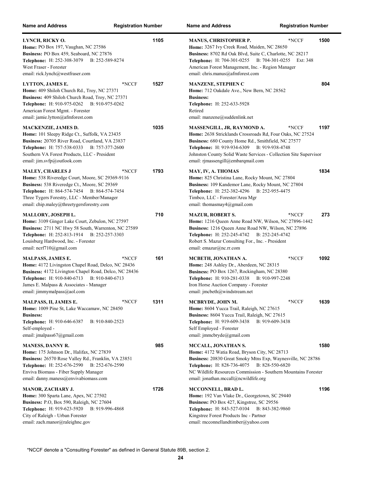| <b>Name and Address</b>                                                                                                                                                                                                                                              | <b>Registration Number</b> |      | <b>Name and Address</b><br><b>Registration Number</b>                                                                                                                                                                                                                                                               |      |
|----------------------------------------------------------------------------------------------------------------------------------------------------------------------------------------------------------------------------------------------------------------------|----------------------------|------|---------------------------------------------------------------------------------------------------------------------------------------------------------------------------------------------------------------------------------------------------------------------------------------------------------------------|------|
| LYNCH, RICKY O.<br>Home: PO Box 197, Vaughan, NC 27586<br>Business: PO Box 459, Seaboard, NC 27876<br><b>Telephone:</b> H: 252-308-3079<br>B: 252-589-8274<br>West Fraser - Forester<br>email: rick.lynch@westfraser.com                                             |                            | 1105 | *NCCF<br><b>MANUS, CHRISTOPHER P.</b><br>Home: 3267 Ivy Creek Road, Maiden, NC 28650<br>Business: 8702 Rd Oak Blvd, Suite C, Charlotte, NC 28217<br><b>Telephone:</b> H: 704-301-0255<br>B: 704-301-0255 Ext: 348<br>American Forest Management, Inc. - Region Manager<br>email: chris.manus@afmforest.com          | 1500 |
| <b>LYTTON, JAMES E.</b><br>Home: 409 Shiloh Church Rd., Troy, NC 27371<br>Business: 409 Shiloh Church Road, Troy, NC 27371<br>Telephone: H: 910-975-0262 B: 910-975-0262<br>American Forest Mgmt. - Forester<br>email: jamie.lytton@afmforest.com                    | *NCCF                      | 1527 | <b>MANZENE, STEPHEN C</b><br>Home: 712 Oakdale Ave., New Bern, NC 28562<br><b>Business:</b><br>Telephone: H: 252-633-5928<br>Retired<br>email: manzene@suddenlink.net                                                                                                                                               | 804  |
| <b>MACKENZIE, JAMES D.</b><br>Home: 101 Sleepy Ridge Ct., Suffolk, VA 23435<br>Business: 20705 River Road, Courtland, VA 23837<br>Telephone: H: 757-538-0333<br>B: 757-377-2600<br>Southern VA Forest Products, LLC - President<br>email: jim.svfp@outlook.com       |                            | 1035 | MASSENGILL, JR, RAYMOND A.<br>*NCCF<br>Home: 2638 Stricklands Crossroads Rd, Four Oaks, NC 27524<br>Business: 680 County Home Rd., Smithfield, NC 27577<br>Telephone: H: 919-934-6309<br>B: 919-938-4748<br>Johnston County Solid Waste Services - Collection Site Supervisor<br>email: rjmassengill@embarqmail.com | 1197 |
| <b>MALEY, CHARLES J</b><br>Home: 538 Riveredge Court, Moore, SC 29369-9116<br>Business: 538 Riveredge Ct., Moore, SC 29369<br>Telephone: H: 864-574-7454 B: 864-574-7454<br>Three Tygers Forestry, LLC - Member/Manager<br>email: chip.maley@threetygersforestry.com | *NCCF                      | 1793 | MAY, IV, A. THOMAS<br>Home: 825 Christina Lane, Rocky Mount, NC 27804<br>Business: 109 Kandemor Lane, Rocky Mount, NC 27804<br><b>Telephone: H: 252-382-4296</b><br>B: 252-955-4475<br>Timbco, LLC - Forester/Area Mgr<br>email: thomasmay $4@g$ mail.com                                                           | 1834 |
| <b>MALLORY, JOSEPH L.</b><br>Home: 3109 Ginger Lake Court, Zebulon, NC 27597<br>Business: 2711 NC Hwy 58 South, Warrenton, NC 27589<br>Telephone: H: 252-813-1914<br>B: 252-257-3303<br>Louisburg Hardwood, Inc. - Forester<br>email: ncrf710@gmail.com              |                            | 710  | *NCCF<br><b>MAZUR, ROBERT S.</b><br>Home: 1216 Queen Anne Road NW, Wilson, NC 27896-1442<br>Business: 1216 Queen Anne Road NW, Wilson, NC 27896<br>Telephone: H: 252-245-4742<br>B: 252-245-4742<br>Robert S. Mazur Consulting For., Inc. - President<br>email: emazur@nc.rr.com                                    | 273  |
| MALPASS, JAMES E.<br>Home: 4172 Livingston Chapel Road, Delco, NC 28436<br>Business: 4172 Livington Chapel Road, Delco, NC 28436<br>B: 910-840-6713<br><b>Telephone:</b> H: 910-840-6713<br>James E. Malpass & Associates - Manager<br>email: jimmymalpass@aol.com   | *NCCF                      | 161  | *NCCF<br>MCBETH, JONATHAN A.<br>Home: 248 Ashley Dr., Aberdeen, NC 28315<br>Business: PO Box 1267, Rockingham, NC 28380<br><b>Telephone:</b> H: 910-281-0338<br>B: 910-997-2248<br>Iron Horse Auction Company - Forester<br>email: jmcbeth@windstream.net                                                           | 1092 |
| MALPASS, II, JAMES E.<br>Home: 1009 Pine St, Lake Waccamaw, NC 28450<br><b>Business:</b><br>Telephone: H: 910-646-6387<br>B: 910-840-2523<br>Self-employed -<br>email: jmalpass67@gmail.com                                                                          | *NCCF                      | 1311 | MCBRYDE, JOHN M.<br>*NCCF<br>Home: 8604 Yucca Trail, Raleigh, NC 27615<br>Business: 8604 Yucca Trail, Raleigh, NC 27615<br>Telephone: H: 919-609-3438<br>B: 919-609-3438<br>Self Employed - Forester<br>email: jmmcbryde@gmail.com                                                                                  | 1639 |
| <b>MANESS, DANNY R.</b><br>Home: 175 Johnson Dr., Halifax, NC 27839<br>Business: 26570 Rose Valley Rd., Franklin, VA 23851<br><b>Telephone:</b> H: 252-676-2590<br>B: 252-676-2590<br>Enviva Biomass - Fiber Supply Manager<br>email: danny.maness@envivabiomass.com |                            | 985  | MCCALL, JONATHAN S.<br>Home: 4172 Watia Road, Bryson City, NC 28713<br>Business: 20830 Great Smoky Mtns Exp, Waynesville, NC 28786<br><b>Telephone: H: 828-736-4075</b><br>B: 828-550-6820<br>NC Wildlife Resources Commission - Southern Mountains Forester<br>email: jonathan.mccall@ncwildlife.org               | 1580 |
| MANOR, ZACHARY J.<br>Home: 300 Sparta Lane, Apex, NC 27502<br>Business: P.O., Box 590, Raleigh, NC 27604<br>Telephone: H: 919-623-5920 B: 919-996-4868<br>City of Raleigh - Urban Forester<br>email: zach.manor@raleighnc.gov                                        |                            | 1726 | MCCONNELL, BRAD L.<br>Home: 192 Van Vlake Dr., Georgetown, SC 29440<br>Business: PO Box 427, Kingstree, SC 29556<br><b>Telephone:</b> H: 843-527-0104<br>B: 843-382-9860<br>Kingstree Forest Products Inc - Partner<br>email: mcconnellandtimber@yahoo.com                                                          | 1196 |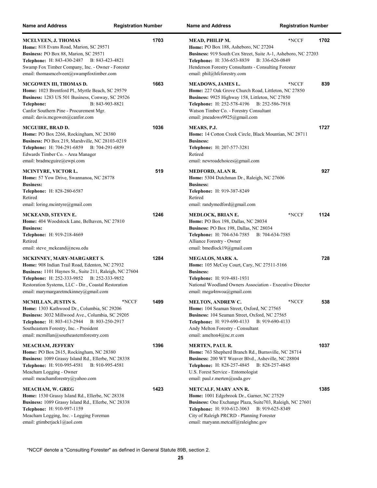| <b>Name and Address</b>                                                                                                                                                                                                                                                                | <b>Registration Number</b> | <b>Name and Address</b><br><b>Registration Number</b>                                                                                                                                                                                                                               |      |
|----------------------------------------------------------------------------------------------------------------------------------------------------------------------------------------------------------------------------------------------------------------------------------------|----------------------------|-------------------------------------------------------------------------------------------------------------------------------------------------------------------------------------------------------------------------------------------------------------------------------------|------|
| <b>MCELVEEN, J. THOMAS</b><br>Home: 818 Evans Road, Marion, SC 29571<br>Business: PO Box 88, Marion, SC 29571<br><b>Telephone: H: 843-430-2487</b><br>B: 843-423-4821<br>Swamp Fox Timber Company, Inc. - Owner - Forester<br>email: thomasmcelveen@swampfoxtimber.com                 | 1703                       | *NCCF<br>MEAD, PHILIP M.<br>Home: PO Box 188, Asheboro, NC 27204<br>Business: 919 South Cox Street, Suite A-1, Asheboro, NC 27203<br>Telephone: H: 336-653-8839 B: 336-626-0849<br>Henderson Forestry Consultants - Consulting Forester<br>email: phil@hfcforestry.com              | 1702 |
| MCGOWEN III, THOMAS D.<br>Home: 1023 Brentford Pl., Myrtle Beach, SC 29579<br>Business: 1283 US 501 Business, Conway, SC 29526<br>Telephone:<br>B: 843-903-8821<br>Canfor Southern Pine - Procurement Mgr.<br>email: davis.mcgowen@canfor.com                                          | 1663                       | <b>MEADOWS, JAMES L.</b><br>*NCCF<br>Home: 227 Oak Grove Church Road, Littleton, NC 27850<br>Business: 9925 Highway 158, Littleton, NC 27850<br>Telephone: H: 252-578-4196 B: 252-586-7918<br>Watson Timber Co. - Forestry Consultant<br>email: jmeadows9925@gmail.com              | 839  |
| MCGUIRE, BRAD D.<br>Home: PO Box 2266, Rockingham, NC 28380<br>Business: PO Box 219, Marshville, NC 28103-0219<br>Telephone: H: 704-291-6859 B: 704-291-6859<br>Edwards Timber Co. - Area Manager<br>email: bradmcguire@ewpi.com                                                       | 1036                       | MEARS, P.J.<br>Home: 14 Cotton Creek Circle, Black Mountian, NC 28711<br><b>Business:</b><br>Telephone: H: 207-577-3281<br>Retired<br>email: newroadchoices@gmail.com                                                                                                               | 1727 |
| MCINTYRE, VICTOR L.<br>Home: 57 Yow Drive, Swannanoa, NC 28778<br><b>Business:</b><br>Telephone: H: 828-280-6587<br>Retired<br>email: loring.mcintyre@gmail.com                                                                                                                        | 519                        | <b>MEDFORD, ALAN R.</b><br>Home: 5304 Dutchman Dr., Raleigh, NC 27606<br><b>Business:</b><br>Telephone: H: 919-387-8249<br>Retired<br>email: randymedford@gmail.com                                                                                                                 | 927  |
| MCKEAND, STEVEN E.<br>Home: 404 Woodstock Lane, Belhaven, NC 27810<br><b>Business:</b><br>Telephone: H: 919-218-4669<br>Retired<br>email: steve mckeand@ncsu.edu                                                                                                                       | 1246                       | *NCCF<br>MEDLOCK, BRIAN E.<br>Home: PO Box 198, Dallas, NC 28034<br>Business: PO Box 198, Dallas, NC 28034<br>Telephone: H: 704-634-7585<br>B: 704-634-7585<br>Alliance Forestry - Owner<br>email: bmedlock19@gmail.com                                                             | 1124 |
| MCKINNEY, MARY-MARGARET S.<br>Home: 908 Indian Trail Road, Edenton, NC 27932<br>Business: 1101 Haynes St., Suite 211, Raleigh, NC 27604<br>Telephone: H: 252-333-9852 B: 252-333-9852<br>Restoration Systems, LLC - Dir., Coastal Restoration<br>email: marymargaretmckinney@gmail.com | 1284                       | MEGALOS, MARK A.<br>Home: 105 McCoy Court, Cary, NC 27511-5166<br><b>Business:</b><br>Telephone: H: 919-481-1931<br>National Woodland Owners Association - Executive Director<br>email: mega4nwoa@gmail.com                                                                         | 728  |
| MCMILLAN, JUSTIN S.<br>Home: 1303 Kathwood Dr., Columbia, SC 29206<br>Business: 3032 Millwood Ave., Columbia, SC 29205<br><b>Telephone:</b> H: 803-413-2944<br>B: 803-250-2917<br>Southeastern Forestry, Inc. - President<br>email: mcmillan@southeasternforestry.com                  | 1499<br>*NCCF              | MELTON, ANDREW C.<br>*NCCF<br>Home: 104 Seaman Street, Oxford, NC 27565<br>Business: 104 Seaman Street, Oxford, NC 27565<br><b>Telephone:</b> H: 919-690-4133<br>B: 919-690-4133<br>Andy Melton Forestry - Consultant<br>email: amelton $4@nc.rr.com$                               | 538  |
| MEACHAM, JEFFERY<br>Home: PO Box 2615, Rockingham, NC 28380<br>Business: 1089 Grassy Island Rd., Ellerbe, NC 28338<br>Telephone: H: 910-995-4581<br>B: 910-995-4581<br>Meacham Logging - Owner<br>email: meachamforestry@yahoo.com                                                     | 1396                       | MERTEN, PAUL R.<br>Home: 763 Shepherd Branch Rd., Burnsville, NC 28714<br>Business: 200 WT Weaver Blvd., Asheville, NC 28804<br>Telephone: H: 828-257-4845 B: 828-257-4845<br>U.S. Forest Service - Entomologist<br>email: paul.r.merten@usda.gov                                   | 1037 |
| MEACHAM, W. GREG<br>Home: 1530 Grassy Island Rd., Ellerbe, NC 28338<br>Business: 1089 Grassy Island Rd., Ellerbe, NC 28338<br><b>Telephone:</b> H: 910-997-1159<br>Meacham Logging, Inc. - Logging Foreman<br>email: gtimberjack1@aol.com                                              | 1423                       | <b>METCALF, MARY ANN R.</b><br>Home: 1001 Edgebrook Dr., Garner, NC 27529<br>Business: One Exchange Plaza, Suite703, Raleigh, NC 27601<br><b>Telephone:</b> H: 910-612-3063<br>B: 919-625-8349<br>City of Raleigh PRCRD - Planning Forester<br>email: maryann.metcalf@raleighnc.gov | 1385 |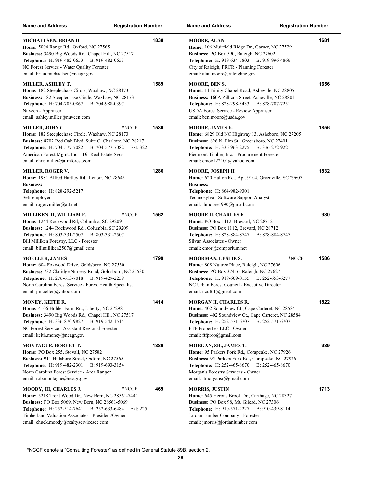| <b>Name and Address</b>                                                                                                                                                                                                                                                                       | <b>Registration Number</b> | <b>Name and Address</b>                                                                                                                                                                                                                                          | <b>Registration Number</b> |
|-----------------------------------------------------------------------------------------------------------------------------------------------------------------------------------------------------------------------------------------------------------------------------------------------|----------------------------|------------------------------------------------------------------------------------------------------------------------------------------------------------------------------------------------------------------------------------------------------------------|----------------------------|
| MICHAELSEN, BRIAN D<br>Home: 5004 Range Rd., Oxford, NC 27565<br>Business: 3490 Big Woods Rd., Chapel Hill, NC 27517<br>Telephone: H: 919-482-0653 B: 919-482-0653<br>NC Forest Service - Water Quality Forester<br>email: brian.michaelsen@ncagr.gov                                         | 1830                       | <b>MOORE, ALAN</b><br>Home: 106 Muirfield Ridge Dr., Garner, NC 27529<br>Business: PO Box 590, Raleigh, NC 27602<br>Telephone: H: 919-634-7803<br>City of Raleigh, PRCR - Planning Forester<br>email: alan.moore@raleighnc.gov                                   | 1681<br>B: 919-996-4866    |
| MILLER, ASHLEY T.<br>Home: 182 Steeplechase Circle, Waxhaw, NC 28173<br>Business: 182 Steeplechase Circle, Waxhaw, NC 28173<br>Telephone: H: 704-705-0867 B: 704-988-0397<br>Nuveen - Appraiser<br>email: ashley.miller@nuveen.com                                                            | 1589                       | <b>MOORE, BEN S.</b><br>Home: 11Trinity Chapel Road, Asheville, NC 28805<br>Business: 160A Zillicoa Street, Asheville, NC 28801<br><b>Telephone:</b> H: 828-298-3433<br><b>USDA Forest Service - Review Appraiser</b><br>email: ben.moore@usda.gov               | 1656<br>B: 828-707-7251    |
| <b>MILLER, JOHN C</b><br><b>Home:</b> 182 Steeplechase Circle, Waxhaw, NC 28173<br>Business: 8702 Red Oak Blvd, Suite C, Charlotte, NC 28217<br>Telephone: H: 704-577-7082 B: 704-577-7082<br>American Forest Mgmt. Inc. - Dir Real Estate Svcs<br>email: chris.miller@afmforest.com          | 1530<br>*NCCF<br>Ext: 322  | <b>MOORE, JAMES E.</b><br><b>Home:</b> 6829 Old NC Highway 13, Asheboro, NC 27205<br>Business: 826 N. Elm St., Greensboro, NC 27401<br>Telephone: H: 336-963-2275 B: 336-272-9221<br>Piedmont Timber, Inc. - Procurement Forester<br>email: emoo122101@yahoo.com | 1856                       |
| <b>MILLER, ROGER V.</b><br><b>Home:</b> 1981 Alfred Hartley Rd., Lenoir, NC 28645<br><b>Business:</b><br>Telephone: H: 828-292-5217<br>Self-employed -<br>email: rogervmiller@att.net                                                                                                         | 1286                       | MOORE, JOSEPH H<br><b>Home:</b> 620 Halton Rd., Apt. 9104, Greenville, SC 29607<br><b>Business:</b><br>Telephone: H: 864-982-9301<br>Technosylva - Software Support Analyst<br>email: jhmoore1990@gmail.com                                                      | 1832                       |
| MILLIKEN, II, WILLIAM F.<br>Home: 1244 Rockwood Rd, Columbia, SC 29209<br>Business: 1244 Rockwood Rd., Columbia, SC 29209<br>Telephone: H: 803-331-2507 B: 803-331-2507<br>Bill Milliken Forestry, LLC - Forester<br>email: billmilliken2507@gmail.com                                        | *NCCF<br>1562              | <b>MOORE II, CHARLES F.</b><br><b>Home: PO Box 1112, Brevard, NC 28712</b><br>Business: PO Box 1112, Brevard, NC 28712<br><b>Telephone: H: 828-884-8747</b><br>Silvan Associates - Owner<br>email: $cmor@comporium.net$                                          | 930<br>B: 828-884-8747     |
| <b>MOELLER, JAMES</b><br>Home: 604 Foxwood Drive, Goldsboro, NC 27530<br>Business: 732 Claridge Nursery Road, Goldsboro, NC 27530<br>Telephone: H: 276-613-7018 B: 919-429-2259<br>North Carolina Forest Service - Forest Health Specialist<br>email: jimoeller@yahoo.com                     | 1799                       | <b>MOORMAN, LESLIE S.</b><br>Home: 808 Nuttree Place, Raleigh, NC 27606<br>Business: PO Box 37416, Raleigh, NC 27627<br>Telephone: H: 919-609-0155 B: 252-653-6277<br>NC Urban Forest Council - Executive Director<br>email: ncufc1@gmail.com                    | 1586<br>*NCCF              |
| MONEY, KEITH R.<br><b>Home:</b> 4106 Holder Farm Rd., Liberty, NC 27298<br>Business: 3490 Big Woods Rd., Chapel Hill, NC 27517<br>Telephone: H: 336-870-9827 B: 919-542-1515<br>NC Forest Service - Assistant Regional Forester<br>email: keith.money@ncagr.gov                               | 1414                       | <b>MORGAN II, CHARLES R.</b><br><b>Home:</b> 402 Soundview Ct., Cape Carteret, NC 28584<br><b>Business:</b> 402 Soundview Ct., Cape Carteret, NC 28584<br><b>Telephone:</b> H: 252-571-6707<br>FTF Properties LLC - Owner<br>email: ftfprop@gmail.com            | 1822<br>B: 252-571-6707    |
| <b>MONTAGUE, ROBERT T.</b><br>Home: PO Box 255, Stovall, NC 27582<br><b>Business:</b> 911 Hillsboro Street, Oxford, NC 27565<br>Telephone: H: 919-482-2301<br>B: 919-693-3154<br>North Carolina Forest Service - Area Ranger<br>email: rob.montague@ncagr.gov                                 | 1386                       | MORGAN, SR., JAMES T.<br><b>Home:</b> 95 Parkers Fork Rd., Corapeake, NC 27926<br><b>Business:</b> 95 Parkers Fork Rd., Corapeake, NC 27926<br>Telephone: H: 252-465-8670 B: 252-465-8670<br>Morgan's Forestry Services - Owner<br>email: jtmorgansr@gmail.com   | 989                        |
| MOODY, III, CHARLES J.<br>Home: 5218 Trent Wood Dr., New Bern, NC 28561-7442<br><b>Business:</b> PO Box 5069, New Bern, NC 28561-5069<br><b>Telephone:</b> H: 252-514-7641<br>B: 252-633-6484<br>Timberland Valuation Associates - President/Owner<br>email: chuck.moody@realtyservicesec.com | 469<br>*NCCF<br>Ext: 225   | <b>MORRIS, JUSTIN</b><br><b>Home:</b> 645 Herons Brook Dr., Carthage, NC 28327<br>Business: PO Box 98, Mt. Gilead, NC 27306<br>Telephone: H: 910-571-2227 B: 910-439-8114<br>Jordan Lumber Company - Forester<br>email: jmorris@jordanlumber.com                 | 1713                       |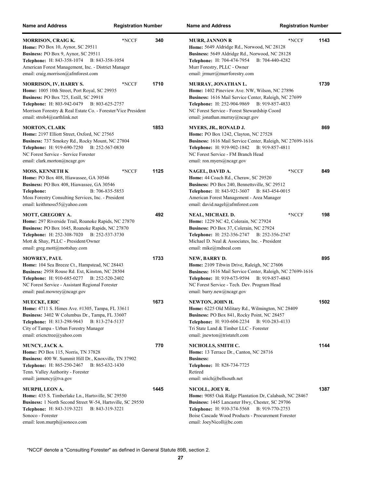| <b>Name and Address</b>                                                                                                                                                                                                                                                      | <b>Registration Number</b> |      | Name and Ad                                                                                                          |
|------------------------------------------------------------------------------------------------------------------------------------------------------------------------------------------------------------------------------------------------------------------------------|----------------------------|------|----------------------------------------------------------------------------------------------------------------------|
| <b>MORRISON, CRAIG K.</b><br>Home: PO Box 10, Aynor, SC 29511<br>Business: PO Box 9, Aynor, SC 29511<br>Telephone: H: 843-358-1074 B: 843-358-1054<br>American Forest Management, Inc. - District Manager<br>email: craig.morrison@afmforest.com                             | *NCCF                      | 340  | <b>MURR, JANI</b><br><b>Home:</b> 5649 A<br><b>Business: 564</b><br>Telephone: E<br>Murr Forestry,<br>email: jrmurr@ |
| <b>MORRISON, IV, HARRY S.</b><br>Home: 1005 10th Street, Port Royal, SC 29935<br><b>Business: PO Box 725, Estill, SC 29918</b><br>Telephone: H: 803-942-0479 B: 803-625-2757<br>Morrison Forestry & Real Estate Co. - Forester/Vice President<br>email: stroh4@earthlink.net | *NCCF                      | 1710 | <b>MURRAY, JO</b><br><b>Home: 1402 F</b><br><b>Business: 161</b><br>Telephone: H<br>NC Forest Ser<br>email: jonathai |
| <b>MORTON, CLARK</b><br>Home: 2197 Elliott Street, Oxford, NC 27565<br>Business: 737 Smokey Rd., Rocky Mount, NC 27804<br>Telephone: H: 919-690-7250 B: 252-567-0830<br>NC Forest Service - Service Forester<br>email: clark.morton@ncagr.gov                                |                            | 1853 | <b>MYERS, JR.,</b><br>Home: PO Bo<br><b>Business: 161</b><br>Telephone: E<br>NC Forest Ser<br>email: ron.mye         |
| <b>MOSS, KENNETH K</b><br>Home: PO Box 408, Hiawassee, GA 30546<br>Business: PO Box 408, Hiawassee, GA 30546<br>B: 706-835-5853<br>Telephone:<br>Moss Forestry Consulting Services, Inc. - President<br>email: keithmoss55@yahoo.com                                         | *NCCF                      | 1125 | NAGEL, DAV<br><b>Home: 44 Coa</b><br><b>Business: PO</b><br>Telephone: <b>H</b><br>American Fore<br>email: david.na  |
| <b>MOTT, GREGORY A.</b><br>Home: 297 Riverside Trail, Roanoke Rapids, NC 27870<br>Business: PO Box 1645, Roanoke Rapids, NC 27870<br>Telephone: H: 252-308-7020 B: 252-537-3730<br>Mott & Shay, PLLC - President/Owner<br>email: greg.mott@mottshay.com                      |                            | 492  | NEAL, MICH<br>Home: 1229 N<br><b>Business: PO</b><br>Telephone: E<br>Michael D. Ne<br>email: mike@n                  |
| <b>MOWREY, PAUL</b><br>Home: 104 Sea Breeze Ct., Hampstead, NC 28443<br>Business: 2958 Rouse Rd. Ext, Kinston, NC 28504<br>Telephone: H: 910-685-0277 B: 252-520-2402<br>NC Forest Service - Assistant Regional Forester<br>email: paul.mowrey@ncagr.gov                     |                            | 1733 | <b>NEW, BARR</b><br><b>Home: 2109 T</b><br><b>Business: 161</b><br>Telephone: E<br>NC Forest Ser<br>email: barry.ne  |
| <b>MUECKE, ERIC</b><br>Home: 4711 S. Himes Ave. #1305, Tampa, FL 33611<br>Business: 3402 W Columbus Dr., Tampa, FL 33607<br><b>Telephone:</b> H: 813-298-9643<br>B: 813-274-5137<br>City of Tampa - Urban Forestry Manager<br>email: ericnctree@yahoo.com                    |                            | 1673 | NEWTON, JO<br>Home: 6225 C<br><b>Business: PO</b><br>Telephone: <b>H</b><br>Tri State Land<br>email: jnewton         |
| MUNCY, JACK A.<br><b>Home: PO Box 115, Norris, TN 37828</b><br>Business: 400 W. Summit Hill Dr., Knoxville, TN 37902<br>Telephone: H: 865-250-2467 B: 865-632-1430<br>Tenn. Valley Authority - Forester<br>email: jamuncy@tva.gov                                            |                            | 770  | NICHOLLS,<br>Home: 13 Ter<br><b>Business:</b><br>Telephone: E<br>Retired<br>email: snich@                            |
| MURPH, LEON A.<br>Home: 435 S. Timberlake Ln., Hartsville, SC 29550<br>Business: 1 North Second Street W-54, Hartsville, SC 29550<br><b>Telephone:</b> H: 843-319-3221 B: 843-319-3221<br>Sonoco - Forester<br>email: leon.murph@sonoco.com                                  |                            | 1445 | NICOLL, JOI<br>Home: 9085 C<br><b>Business: 144</b><br>Telephone: E<br><b>Boise Cascade</b><br>email: JoeyNic        |

| Name and Address                                                                                                                                                                                                                                                          | <b>Registration Number</b> |      |
|---------------------------------------------------------------------------------------------------------------------------------------------------------------------------------------------------------------------------------------------------------------------------|----------------------------|------|
| <b>MURR, JANNON R</b><br>Home: 5649 Aldridge Rd., Norwood, NC 28128<br>Business: 5649 Aldridge Rd., Norwood, NC 28128<br>Telephone: H: 704-474-7954 B: 704-440-4282<br>Murr Forestry, PLLC - Owner<br>email: jrmurr@murrforestry.com                                      | *NCCF                      | 1143 |
| MURRAY, JONATHAN L.<br>Home: 1402 Pineview Ave. NW, Wilson, NC 27896<br>Business: 1616 Mail Service Center, Raleigh, NC 27699<br><b>Telephone:</b> H: 252-904-9869<br>B: 919-857-4833<br>NC Forest Service - Forest Stewardship Coord<br>email: jonathan.murray@ncagr.gov |                            | 1739 |
| MYERS, JR., RONALD J.<br>Home: PO Box 1242, Clayton, NC 27528<br>Business: 1616 Mail Service Center, Raleigh, NC 27699-1616<br>Telephone: H: 919-902-1842 B: 919-857-4811<br>NC Forest Service - FM Branch Head<br>email: ron.myers@ncagr.gov                             |                            | 869  |
| NAGEL, DAVID A.<br>Home: 44 Coach Rd., Cheraw, SC 29520<br><b>Business:</b> PO Box 240, Bennettsville, SC 29512<br>Telephone: H: 843-921-3607 B: 843-454-0015<br>American Forest Management - Area Manager<br>email: david.nagel@afmforest.com                            | *NCCF                      | 849  |
| NEAL, MICHAEL D.<br>Home: 1229 NC 42, Colerain, NC 27924<br>Business: PO Box 37, Colerain, NC 27924<br>Telephone: H: 252-356-2747 B: 252-356-2747<br>Michael D. Neal & Associates, Inc. - President<br>email: mike@mdneal.com                                             | *NCCF                      | 198  |
| NEW, BARRY D.<br>Home: 2109 Tibwin Drive, Raleigh, NC 27606<br>Business: 1616 Mail Service Center, Raleigh, NC 27699-1616<br>B: 919-857-4843<br><b>Telephone:</b> H: 919-673-9594<br>NC Forest Service - Tech. Dev. Program Head<br>email: barry.new@ncagr.gov            |                            | 895  |
| NEWTON, JOHN H.<br>Home: 6225 Old Military Rd., Wilmington, NC 28409<br>Business: PO Box 841, Rocky Point, NC 28457<br>Telephone: H: 910-604-2234<br>B: 910-283-4133<br>Tri State Land & Timber LLC - Forester<br>email: jnewton@tristatelt.com                           |                            | 1502 |
| NICHOLLS, SMITH C.<br>Home: 13 Terrace Dr., Canton, NC 28716<br><b>Business:</b><br>Telephone: H: 828-734-7725<br>Retired<br>email: snich@bellsouth.net                                                                                                                   |                            | 1144 |
| NICOLL, JOEY R.<br>Home: 9085 Oak Ridge Plantation Dr, Calabash, NC 28467<br>Business: 1445 Lancaster Hwy, Chester, SC 29706<br>Telephone: H: 910-374-5568 B: 919-770-2753<br>Boise Cascade Wood Products - Procurement Forester<br>email: JoeyNicoll@bc.com              |                            | 1387 |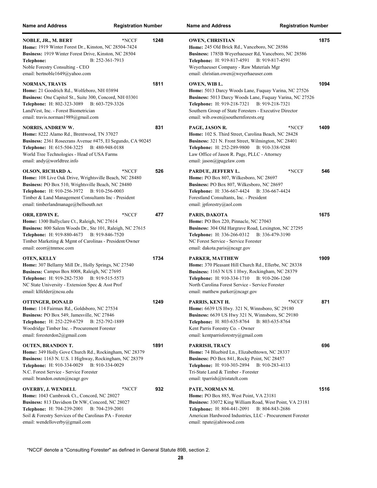| <b>Name and Address</b>                                                                                                                                                                                                                                                          | <b>Registration Number</b> |      | <b>Name and Address</b><br><b>Registration Number</b>                                                                                                                                                                                                                           |      |
|----------------------------------------------------------------------------------------------------------------------------------------------------------------------------------------------------------------------------------------------------------------------------------|----------------------------|------|---------------------------------------------------------------------------------------------------------------------------------------------------------------------------------------------------------------------------------------------------------------------------------|------|
| NOBLE, JR., M. BERT<br>Home: 1919 Winter Forest Dr., Kinston, NC 28504-7424<br>Business: 1919 Winter Forest Drive, Kinston, NC 28504<br>B: 252-361-7913<br>Telephone:<br>Noble Forestry Consulting - CEO<br>email: bertnoble1649@yahoo.com                                       | *NCCF                      | 1248 | <b>OWEN, CHRISTIAN</b><br>Home: 245 Old Brick Rd., Vanceboro, NC 28586<br>Business: 1785B Weyerhaeuser Rd, Vanceboro, NC 28586<br><b>Telephone:</b> H: 919-817-4591<br>B: 919-817-4591<br>Weyerhaeuser Company - Raw Materials Mgr<br>email: christian.owen@weyerhaeuser.com    | 1875 |
| <b>NORMAN, TRAVIS</b><br>Home: 21 Goodrich Rd., Wolfeboro, NH 03894<br>Business: One Capitol St., Suite 300, Concord, NH 03301<br>Telephone: H: 802-323-3089 B: 603-729-3326<br>LandVest, Inc. - Forest Biometrician<br>email: travis.norman1989@gmail.com                       |                            | 1811 | OWEN, WIB L.<br>Home: 5013 Darcy Woods Lane, Fuquay Varina, NC 27526<br>Business: 5013 Darcy Woods Lane, Fuquay Varina, NC 27526<br>Telephone: H: 919-218-7321 B: 919-218-7321<br>Southern Group of State Foresters - Executive Director<br>email: wib.owen@southernforests.org | 1094 |
| <b>NORRIS, ANDREW W.</b><br>Home: 8222 Alamo Rd., Brentwood, TN 37027<br>Business: 2361 Rosecrans Avenue #475, El Segundo, CA 90245<br>Telephone: H: 615-504-3225 B: 480-948-0188<br>World Tree Technologies - Head of USA Farms<br>email: andy@worldtree.info                   |                            | 831  | PAGE, JASON R.<br>*NCCF<br>Home: 102 S. Third Street, Carolina Beach, NC 28428<br>Business: 321 N. Front Street, Wilmington, NC 28401<br>Telephone: H: 252-289-9800 B: 910-338-9288<br>Law Office of Jason R. Page, PLLC - Attorney<br>email: jason@jpagelaw.com                | 1409 |
| OLSON, RICHARD A.<br>Home: 108 Live Oak Drive, Wrightsville Beach, NC 28480<br>Business: PO Box 510, Wrightsville Beach, NC 28480<br>Telephone: H: 910-256-3972 B: 910-256-0003<br>Timber & Land Management Consultants Inc - President<br>email: timberlandmanage@bellsouth.net | *NCCF                      | 526  | PARDUE, JEFFERY L.<br>*NCCF<br>Home: PO Box 807, Wilkesboro, NC 28697<br>Business: PO Box 807, Wilkesboro, NC 28697<br>Telephone: H: 336-667-4424 B: 336-667-4424<br>Forestland Consultants, Inc. - President<br>email: jpforestry@aol.com                                      | 546  |
| ORR, EDWIN E.<br>Home: 1300 Ballyclare Ct., Raleigh, NC 27614<br>Business: 800 Salem Woods Dr., Ste 101, Raleigh, NC 27615<br>Telephone: H: 919-880-4673 B: 919-846-7520<br>Timber Marketing & Mgmt of Carolinas - President/Owner<br>email: eeorr@tmmoc.com                     | *NCCF                      | 477  | PARIS, DAKOTA<br>Home: PO Box 220, Pinnacle, NC 27043<br>Business: 304 Old Hargrave Road, Lexington, NC 27295<br>Telephone: H: 336-266-0312 B: 336-479-3190<br>NC Forest Service - Service Forester<br>email: dakota.paris@ncagr.gov                                            | 1675 |
| <b>OTEN, KELLY</b><br>Home: 307 Bellamy Mill Dr., Holly Springs, NC 27540<br>Business: Campus Box 8008, Raleigh, NC 27695<br>Telephone: H: 919-282-7530 B: 919-515-5573<br>NC State University - Extension Spec & Asst Prof<br>email: klfelder@ncsu.edu                          |                            | 1734 | PARKER, MATTHEW<br>Home: 370 Pleasant Hill Church Rd., Ellerbe, NC 28338<br>Business: 1163 N US 1 Hwy, Rockingham, NC 28379<br>Telephone: H: 910-334-1710 B: 910-206-1260<br>North Carolina Forest Service - Service Forester<br>email: matthew.parker@ncagr.gov                | 1909 |
| OTTINGER, DONALD<br>Home: 114 Fairmax Rd., Goldsboro, NC 27534<br>Business: PO Box 549, Jamesville, NC 27846<br>Telephone: H: 252-229-6729 B: 252-792-1889<br>Woodridge Timber Inc. - Procurement Forester<br>email: foresterdon2@gmail.com                                      |                            | 1249 | PARRIS, KENT H.<br>*NCCF<br>Home: 6639 US Hwy. 321 N, Winnsboro, SC 29180<br>Business: 6639 US Hwy 321 N, Winnsboro, SC 29180<br>Telephone: H: 803-635-8764 B: 803-635-8764<br>Kent Parris Forestry Co. - Owner<br>email: kentparrisforestry@gmail.com                          | 871  |
| <b>OUTEN, BRANDON T.</b><br>Home: 349 Holly Gove Church Rd., Rockingham, NC 28379<br>Business: 1163 N. U.S. 1 Highway, Rockingham, NC 28379<br>Telephone: H: 910-334-0029 B: 910-334-0029<br>N.C. Forest Service - Service Forester<br>email: brandon.outen@ncagr.gov            |                            | 1891 | PARRISH, TRACY<br>Home: 74 Bluebird Ln., Elizabethtown, NC 28337<br>Business: PO Box 841, Rocky Point, NC 28457<br>Telephone: H: 910-303-2894 B: 910-283-4133<br>Tri-State Land & Timber - Forester<br>email: tparrish@tristatelt.com                                           | 696  |
| <b>OVERBY, J. WENDELL</b><br>Home: 1043 Cambrook Ct., Concord, NC 28027<br>Business: 813 Davidson Dr NW, Concord, NC 28027<br>Telephone: H: 704-239-2001 B: 704-239-2001<br>Soil & Forestry Services of the Carolinas PA - Forester<br>email: wendelloverby@gmail.com            | *NCCF                      | 932  | PATE, NORMAN M.<br>Home: PO Box 885, West Point, VA 23181<br>Business: 33072 King William Road, West Point, VA 23181<br><b>Telephone:</b> H: 804-441-2091<br>B: 804-843-2686<br>American Hardwood Industries, LLC - Procurement Forester<br>email: npate@ahiwood.com            | 1516 |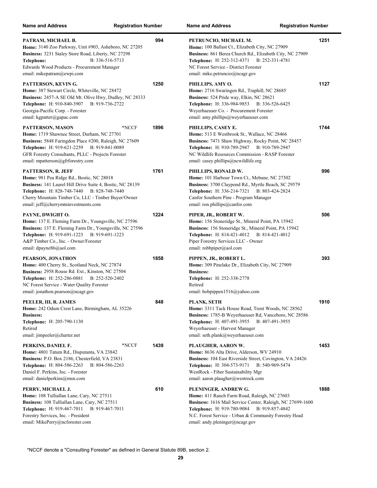| <b>Name and Address</b>                                                                                                                                                                                                                                                          | <b>Registration Number</b>       | <b>Name and Address</b>                                                                                                                                                                                                                                                          | <b>Registration Number</b> |
|----------------------------------------------------------------------------------------------------------------------------------------------------------------------------------------------------------------------------------------------------------------------------------|----------------------------------|----------------------------------------------------------------------------------------------------------------------------------------------------------------------------------------------------------------------------------------------------------------------------------|----------------------------|
| PATRAM, MICHAEL B.<br>Home: 3140 Zoo Parkway, Unit #903, Asheboro, NC 27205<br>Business: 3231 Staley Store Road, Liberty, NC 27298<br>Telephone:<br>Edwards Wood Products - Procurement Manager<br>email: mikepatram@ewpi.com                                                    | 994<br>B: 336-516-5713           | PETRUNCIO, MICHAEL M.<br>Home: 100 Ballast Ct., Elizabeth City, NC 27909<br>Business: 861 Berea Church Rd., Elizabeth City, NC 27909<br><b>Telephone:</b> H: 252-312-4371<br>NC Forest Service - District Forester<br>email: mike.petruncio@ncagr.gov                            | 1251<br>B: 252-331-4781    |
| PATTERSON, KEVIN G.<br>Home: 387 Stewart Circle, Whiteville, NC 28472<br>Business: 2457-A SE Old Mt. Olive Hwy, Dudley, NC 28333<br>Telephone: H: 910-840-3907 B: 919-736-2722<br>Georgia-Pacific Corp. - Forester<br>email: kgpatter@gapac.com                                  | 1250                             | PHILLIPS, AMY O.<br>Home: 2716 Swaringen Rd., Traphill, NC 28685<br>Business: 524 Pride way, Elkin, NC 28621<br>Telephone: H: 336-984-9853 B: 336-526-6425<br>Weyerhaeuser Co. - Procurement Forester<br>email: amy.phillips@weyerhaeuser.com                                    | 1127                       |
| PATTERSON, MASON<br><b>Home:</b> 1719 Shawnee Street, Durham, NC 27701<br>Business: 5848 Faringdon Place #200, Raleigh, NC 27609<br>Telephone: H: 919-621-2259 B: 919-841-0089<br>GFR Forestry Consultants, PLLC - Projects Forester<br>email: mpatterson@gfrforestry.com        | 1896<br>*NCCF                    | PHILLIPS, CASEY E.<br><b>Home:</b> 513 E Westbrook St., Wallace, NC 28466<br><b>Business:</b> 7471 Shaw Highway, Rocky Point, NC 28457<br>Telephone: H: 910-789-2947 B: 910-789-2947<br>NC Wildlife Resources Commission - RASP Forester<br>email: casey.phillips@ncwildlife.org | 1744                       |
| <b>PATTERSON, R. JEFF</b><br>Home: 981 Pea Ridge Rd., Bostic, NC 28018<br>Business: 141 Laurel Hill Drive Suite 4, Bostic, NC 28139<br>Telephone: H: 828-748-7440 B: 828-748-7440<br>Cherry Mountain Timber Co, LLC - Timber Buyer/Owner<br>email: jeff@cherrymtninvestments.com | 1761                             | PHILLIPS, RONALD W.<br>Home: 101 Harbour Town Ct., Mebane, NC 27302<br>Business: 3700 Claypond Rd., Myrtle Beach, SC 29579<br>Telephone: H: 336-214-7321 B: 803-424-2824<br>Canfor Southern Pine - Program Manager<br>email: ron.phillips@canfor.com                             | 996                        |
| PAYNE, DWIGHT O.<br>Home: 137 E. Fleming Farm Dr., Youngsville, NC 27596<br>Business: 137 E. Fleming Farm Dr., Youngsville, NC 27596<br>Telephone: H: 919-691-1223 B: 919-691-1223<br>A&P Timber Co., Inc. - Owner/Forester<br>email: $dpayne86$ @aol.com                        | 1224                             | PIPER, JR., ROBERT W.<br>Home: 156 Stoneridge St., Mineral Point, PA 15942<br>Business: 156 Stoneridge St., Mineral Point, PA 15942<br>Telephone: H: 814-421-4012 B: 814-421-4012<br>Piper Forestry Services LLC - Owner<br>email: robbpiper@aol.com                             | 506                        |
| PEARSON, JONATHON<br>Home: 400 Cherry St., Scotland Neck, NC 27874<br>Business: 2958 Rouse Rd. Ext., Kinston, NC 27504<br>Telephone: H: 252-286-0881 B: 252-520-2402<br>NC Forest Service - Water Quality Forester<br>email: jonathon.pearson@ncagr.gov                          | 1858                             | PIPPEN, JR., ROBERT L.<br>Home: 309 Pinelake Dr., Elizabeth City, NC 27909<br><b>Business:</b><br>Telephone: H: 252-338-2778<br>Retired<br>email: bobpippen1516@yahoo.com                                                                                                        | 393                        |
| PEELER, III, R. JAMES<br>Home: 242 Odum Crest Lane, Birmingham, AL 35226<br><b>Business:</b><br>Telephone: H: 205-790-1130<br>Retired<br>email: jimpeeler@charter.net                                                                                                            | 848                              | PLANK, SETH<br>Home: 3311 Tack House Road, Trent Woods, NC 28562<br>Business: 1785-B Weyerhaeuser Rd, Vanceboro, NC 28586<br>Telephone: H: 407-491-3955 B: 407-491-3955<br>Weyerhaeuser - Harvest Manager<br>email: seth.plank@weyerhaeuser.com                                  | 1910                       |
| PERKINS, DANIEL F.<br>Home: 4801 Tatum Rd., Disputanta, VA 23842<br>Business: P.O. Box 2186, Chesterfield, VA 23831<br><b>Telephone:</b> H: 804-586-2263<br>Daniel F. Perkins, Inc. - Forester<br>email: danielperkins@msn.com                                                   | 1439<br>*NCCF<br>B: 804-586-2263 | PLAUGHER, AARON W.<br>Home: 8636 Alta Drive, Alderson, WV 24910<br>Business: 104 East Riverside Street, Covington, VA 24426<br>Telephone: H: 304-573-9171<br>WestRock - Fiber Sustainability Mgr<br>email: aaron.plaugher@westrock.com                                           | 1453<br>B: 540-969-5474    |
| PERRY, MICHAEL J.<br>Home: 108 Tulliallan Lane, Cary, NC 27511<br>Business: 108 Tulliallan Lane, Cary, NC 27511<br>Telephone: H: 919-467-7011 B: 919-467-7011<br>Forestry Services, Inc. - President<br>email: MikePerry@ncforester.com                                          | 610                              | PLENINGER, ANDREW G.<br>Home: 411 Ranch Farm Road, Raleigh, NC 27603<br>Business: 1616 Mail Service Center, Raleigh, NC 27699-1600<br><b>Telephone:</b> H: 919-780-9084<br>N.C. Forest Service - Urban & Community Forestry Head<br>email: andy.pleninger@ncagr.gov              | 1888<br>B: 919-857-4842    |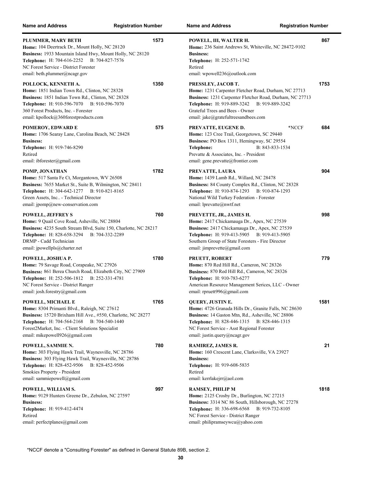| <b>Name and Address</b>                                                                                                                                                                                                                                                   | <b>Registration Number</b> |     | <b>Name and Address</b><br><b>Registration Number</b>                                                                                                                                                                                                           |      |
|---------------------------------------------------------------------------------------------------------------------------------------------------------------------------------------------------------------------------------------------------------------------------|----------------------------|-----|-----------------------------------------------------------------------------------------------------------------------------------------------------------------------------------------------------------------------------------------------------------------|------|
| PLUMMER, MARY BETH<br>Home: 104 Deertrack Dr., Mount Holly, NC 28120<br>Business: 1933 Mountain Island Hwy, Mount Holly, NC 28120<br>Telephone: H: 704-616-2252 B: 704-827-7576<br>NC Forest Service - District Forester<br>email: beth.plummer@ncagr.gov                 | 1573                       |     | POWELL, III, WALTER H.<br>Home: 236 Saint Andrews St, Whiteville, NC 28472-9102<br><b>Business:</b><br>Telephone: H: 252-571-1742<br>Retired<br>email: wpowell $236$ @outlook.com                                                                               | 867  |
| POLLOCK, KENNETH A.<br>Home: 1851 Indian Town Rd., Clinton, NC 28328<br>Business: 1851 Indian Town Rd., Clinton, NC 28328<br>Telephone: H: 910-596-7070 B: 910-596-7070<br>360 Forest Products, Inc. - Forester<br>email: kpollock@360forestproducts.com                  | 1350                       |     | PRESSLEY, JACOB T.<br>Home: 1231 Carpenter Fletcher Road, Durham, NC 27713<br>Business: 1231 Carpenter Fletcher Road, Durham, NC 27713<br>Telephone: H: 919-889-3242 B: 919-889-3242<br>Grateful Trees and Bees - Owner<br>email: jake@gratefultreesandbees.com | 1753 |
| POMEROY, EDWARD E<br><b>Home:</b> 1706 Searay Lane, Carolina Beach, NC 28428<br><b>Business:</b><br>Telephone: H: 919-746-8290<br>Retired<br>email: ibforester@gmail.com                                                                                                  |                            | 575 | PREVATTE, EUGENE D.<br>*NCCF<br>Home: 123 Cree Trail, Georgetown, SC 29440<br>Business: PO Box 1311, Hemingway, SC 29554<br>Telephone:<br>B: 843-833-1534<br>Prevatte & Associates, Inc. - President<br>email: gene.prevatte@frontier.com                       | 684  |
| POMP, JONATHAN<br>Home: 517 Santa Fe Ct, Morgantown, WV 26508<br>Business: 7655 Market St., Suite B, Wilmington, NC 28411<br>Telephone: H: 304-642-1277 B: 910-821-8165<br>Green Assets, Inc - Technical Director<br>email: jpomp@new-conservation.com                    | 1782                       |     | PREVATTE, LAURA<br>Home: 1439 Lamb Rd., Willard, NC 28478<br>Business: 84 County Complex Rd., Clinton, NC 28328<br>Telephone: H: 910-874-1293 B: 910-874-1293<br>National Wild Turkey Federation - Forester<br>email: lprevatte@nwtf.net                        | 904  |
| POWELL, JEFFREY S<br>Home: 9 Quail Cove Road, Asheville, NC 28804<br>Business: 4235 South Stream Blvd, Suite 150, Charlotte, NC 28217<br><b>Telephone:</b> H: 828-658-3294<br>B: 704-332-2289<br>DRMP - Cadd Technician<br>email: jpowellpls@charter.net                  |                            | 760 | PREVETTE, JR., JAMES H.<br>Home: 2417 Chickamauga Dr., Apex, NC 27539<br>Business: 2417 Chickamauga Dr., Apex, NC 27539<br>Telephone: H: 919-413-5905 B: 919-413-5905<br>Southern Group of State Foresters - Fire Director<br>email: jimprevette@gmail.com      | 998  |
| POWELL, JOSHUA P.<br>Home: 79 Savage Road, Corapeake, NC 27926<br>Business: 861 Berea Church Road, Elizabeth City, NC 27909<br>Telephone: H: 252-506-1812 B: 252-331-4781<br>NC Forest Service - District Ranger<br>email: josh.forestry@gmail.com                        | 1780                       |     | <b>PRUETT, ROBERT</b><br>Home: 870 Red Hill Rd., Cameron, NC 28326<br>Business: 870 Red Hill Rd., Cameron, NC 28326<br>Telephone: H: 910-783-6277<br>American Resource Management Serices, LLC - Owner<br>email: rpruett $996$ @gmail.com                       | 779  |
| POWELL, MICHAEL E<br>Home: 8304 Primanti Blvd., Raleigh, NC 27612<br>Business: 15720 Brixham Hill Ave., #550, Charlotte, NC 28277<br>Telephone: H: 704-564-2168<br>B: 704-540-1440<br>Forest2Market, Inc. - Client Solutions Specialist<br>email: mikepowell926@gmail.com | 1765                       |     | QUERY, JUSTIN E.<br>Home: 4726 Granada Hills Dr., Granite Falls, NC 28630<br>Business: 14 Gaston Mtn, Rd., Asheville, NC 28806<br>Telephone: H: 828-446-1315 B: 828-446-1315<br>NC Forest Service - Asst Regional Forester<br>email: justin.query@ncagr.gov     | 1581 |
| POWELL, SAMMIE N.<br>Home: 303 Flying Hawk Trail, Waynesville, NC 28786<br>Business: 303 Flying Hawk Trail, Waynesville, NC 28786<br>Telephone: H: 828-452-9506<br>B: 828-452-9506<br>Smokies Property - President<br>email: sammiepowell@gmail.com                       |                            | 780 | RAMIREZ, JAMES R.<br>Home: 160 Crescent Lane, Clarksville, VA 23927<br><b>Business:</b><br>Telephone: H: 919-608-5835<br>Retired<br>email: kerrlakejrr@aol.com                                                                                                  | 21   |
| POWELL, WILLIAM S.<br>Home: 9129 Hunters Greene Dr., Zebulon, NC 27597<br><b>Business:</b><br>Telephone: H: 919-412-4474<br>Retired<br>email: perfectplanes@gmail.com                                                                                                     |                            | 997 | <b>RAMSEY, PHILIP M</b><br>Home: 2125 Crosby Dr., Burlington, NC 27215<br>Business: 3314 NC 86 South, Hillsborough, NC 27278<br>Telephone: H: 336-698-6568<br>B: 919-732-8105<br>NC Forest Service - District Ranger<br>email: philipramseywcu@yahoo.com        | 1818 |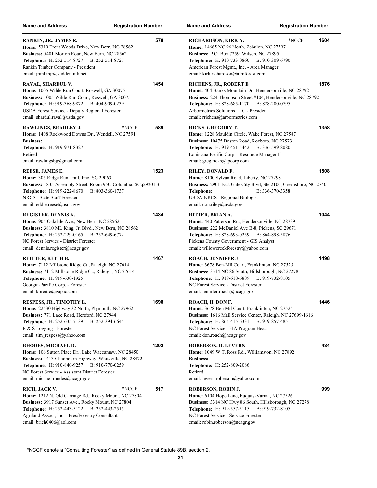| <b>Name and Address</b>                                                                                                                                                                                                                                                 | <b>Registration Number</b>      | <b>Name and Address</b>                                                                                                                                                                                                                                                      | <b>Registration Number</b>       |
|-------------------------------------------------------------------------------------------------------------------------------------------------------------------------------------------------------------------------------------------------------------------------|---------------------------------|------------------------------------------------------------------------------------------------------------------------------------------------------------------------------------------------------------------------------------------------------------------------------|----------------------------------|
| RANKIN, JR., JAMES R.<br>Home: 5310 Trent Woods Drive, New Bern, NC 28562<br>Business: 5401 Morton Road, New Bern, NC 28562<br><b>Telephone:</b> H: 252-514-8727 B: 252-514-8727<br>Rankin Timber Company - President<br>email: jrankinjr@suddenlink.net                | 570                             | RICHARDSON, KIRK A.<br><b>Home:</b> 14665 NC 96 North, Zebulon, NC 27597<br>Business: P.O. Box 7259, Wilson, NC 27895<br><b>Telephone:</b> H: 910-733-0860<br>American Forest Mgmt., Inc. - Area Manager<br>email: kirk.richardson@afmforest.com                             | 1604<br>*NCCF<br>B: 910-309-6790 |
| RAVAL, SHARDUL V.<br>Home: 1005 Wilde Run Court, Roswell, GA 30075<br>Business: 1005 Wilde Run Court, Roswell, GA 30075<br>Telephone: H: 919-368-9872 B: 404-909-0239<br>USDA Forest Service - Deputy Regional Forester<br>email: shardul.raval@usda.gov                | 1454                            | RICHENS, JR., ROBERT E<br>Home: 404 Banks Mountain Dr., Hendersonville, NC 28792<br>Business: 224 Thompson Street #104, Hendersonville, NC 28792<br>Telephone: H: 828-685-1170 B: 828-200-0795<br>Arbormetrics Solutions LLC - President<br>email: rrichens@arbormetrics.com | 1876                             |
| RAWLINGS, BRADLEY J.<br><b>Home:</b> 1408 Rockwood Downs Dr., Wendell, NC 27591<br><b>Business:</b><br>Telephone: H: 919-971-8327<br>Retired<br>email: rawlingsbj $@g$ mail.com                                                                                         | 589<br>*NCCF                    | <b>RICKS, GREGORY T.</b><br>Home: 1228 Mauldin Circle, Wake Forest, NC 27587<br>Business: 10475 Boston Road, Roxboro, NC 27573<br>Telephone: H: 919-451-5442 B: 336-599-8080<br>Louisiana Pacific Corp. - Resource Manager II<br>email: greg.ricks@lpcorp.com                | 1358                             |
| REESE, JAMES E.<br>Home: 305 Ridge Run Trail, Imo, SC 29063<br>Business: 1835 Assembly Street, Room 950, Columbia, SCq29201 3<br>Telephone: H: 919-222-8670<br>NRCS - State Staff Forester<br>email: eddie.reese@usda.gov                                               | 1523<br>B: 803-360-1737         | RILEY, DONALD F.<br>Home: 8100 Sylvan Road, Liberty, NC 27298<br>Business: 2901 East Gate City Blvd, Ste 2100, Greensboro, NC 2740<br>Telephone:<br><b>USDA-NRCS - Regional Biologist</b><br>email: don.riley@usda.gov                                                       | 1508<br>B: 336-370-3358          |
| <b>REGISTER, DENNIS K.</b><br>Home: 905 Oakdale Ave., New Bern, NC 28562<br>Business: 3810 ML King, Jr. Blvd., New Bern, NC 28562<br><b>Telephone:</b> H: 252-229-0165 B: 252-649-6772<br>NC Forest Service - District Forester<br>email: dennis.register@ncagr.gov     | 1434                            | RITTER, BRIAN A.<br>Home: 440 Patterson Rd., Hendersonville, NC 28739<br>Business: 222 McDaniel Ave B-8, Pickens, SC 29671<br><b>Telephone:</b> H: 828-693-0259 B: 864-898-5876<br>Pickens County Government - GIS Analyst<br>email: willowcreekforestry@yahoo.com           | 1044                             |
| REITTER, KEITH B.<br>Home: 7112 Millstone Ridge Ct., Raleigh, NC 27614<br>Business: 7112 Millstone Ridge Ct., Raleigh, NC 27614<br>Telephone: H: 919-630-1925<br>Georgia-Pacific Corp. - Forester<br>email: kbreitte@gapac.com                                          | 1467                            | <b>ROACH, JENNIFER J</b><br>Home: 3678 Ben-Mil Court, Franklinton, NC 27525<br>Business: 3314 NC 86 South, Hillsborough, NC 27278<br><b>Telephone:</b> H: 919-618-6889 B: 919-732-8105<br>NC Forest Service - District Forester<br>email: jennifer.roach@ncagr.gov           | 1498                             |
| RESPESS, JR., TIMOTHY L.<br>Home: 22530 Highway 32 North, Plymouth, NC 27962<br>Business: 771 Lake Road, Hertford, NC 27944<br>Telephone: H: 252-635-7139<br>R & S Logging - Forester<br>email: tim_respess@yahoo.com                                                   | 1698<br>B: 252-394-6644         | ROACH, II, DON F.<br>Home: 3678 Ben Mil Court, Franklinton, NC 27525<br>Business: 1616 Mail Service Center, Raleigh, NC 27699-1616<br><b>Telephone:</b> H: 864-415-6331<br>NC Forest Service - FIA Program Head<br>email: don.roach@ncagr.gov                                | 1446<br>B: 919-857-4851          |
| RHODES, MICHAEL D.<br>Home: 106 Sutton Place Dr., Lake Waccamaw, NC 28450<br>Business: 1413 Chadbourn Highway, Whiteville, NC 28472<br>Telephone: H: 910-840-9257 B: 910-770-0259<br>NC Forest Service - Assistant District Forester<br>email: michael.rhodes@ncagr.gov | 1202                            | <b>ROBERSON, D. LEVERN</b><br>Home: 1049 W.T. Ross Rd., Williamston, NC 27892<br><b>Business:</b><br>Telephone: H: 252-809-2086<br>Retired<br>email: levern.roberson@yahoo.com                                                                                               | 434                              |
| RICH, JACK V.<br>Home: 1212 N. Old Carriage Rd., Rocky Mount, NC 27804<br>Business: 3917 Sunset Ave., Rocky Mount, NC 27804<br>Telephone: H: 252-443-5122<br>Agriland Assoc., Inc. - Pres/Forestry Consultant<br>email: brich0406@aol.com                               | 517<br>*NCCF<br>B: 252-443-2515 | ROBERSON, ROBIN J.<br>Home: 6104 Hope Lane, Fuquay-Varina, NC 27526<br>Business: 3314 NC Hwy 86 South, Hillsborough, NC 27278<br>Telephone: H: 919-557-5115 B: 919-732-8105<br>NC Forest Service - Service Forester<br>email: robin.roberson@ncagr.gov                       | 999                              |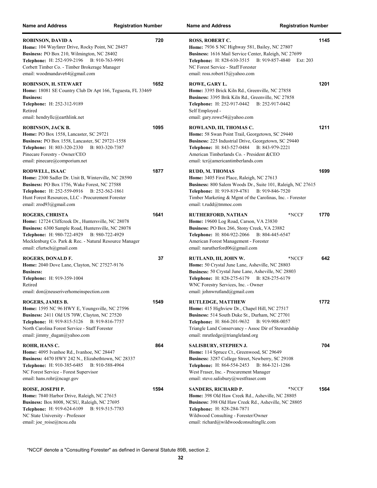| <b>Name and Address</b>                                                                                                                                                                                                                                                                | <b>Registration Number</b> | <b>Name and Address</b><br><b>Registration Number</b>                                                                                                                                                                                                                      |      |
|----------------------------------------------------------------------------------------------------------------------------------------------------------------------------------------------------------------------------------------------------------------------------------------|----------------------------|----------------------------------------------------------------------------------------------------------------------------------------------------------------------------------------------------------------------------------------------------------------------------|------|
| <b>ROBINSON, DAVID A</b><br>Home: 104 Wayfarer Drive, Rocky Point, NC 28457<br>Business: PO Box 210, Wilmington, NC 28402<br>Telephone: H: 252-939-2196 B: 910-763-9991<br>Corbett Timber Co. - Timber Brokerage Manager<br>email: woodmandave64@gmail.com                             | 720                        | ROSS, ROBERT C.<br>Home: 7936 S NC Highway 581, Bailey, NC 27807<br>Business: 1616 Mail Service Center, Raleigh, NC 27699<br>Telephone: H: 828-610-3515 B: 919-857-4840<br>Ext: 203<br>NC Forest Service - Staff Forester<br>email: ross.robert15@yahoo.com                | 1145 |
| ROBINSON, H. STEWART<br>Home: 18081 SE Country Club Dr Apt 166, Teguesta, FL 33469<br><b>Business:</b><br>Telephone: H: 252-312-9189<br>Retired<br>email: hendryllc@earthlink.net                                                                                                      | 1652                       | ROWE, GARY L.<br>Home: 3395 Brick Kiln Rd., Greenville, NC 27858<br>Business: 3395 Brik Kiln Rd., Greenville, NC 27858<br>Telephone: H: 252-917-0442 B: 252-917-0442<br>Self Employed -<br>email: gary.rowe54@yahoo.com                                                    | 1201 |
| ROBINSON, JACK B.<br>Home: PO Box 1558, Lancaster, SC 29721<br>Business: PO Box 1558, Lancaster, SC 29721-1558<br><b>Telephone:</b> H: 803-320-2330<br>B: 803-320-7387<br>Pinecare Forestry - Owner/CEO<br>email: pinecare@comporium.net                                               | 1095                       | ROWLAND, III, THOMAS C.<br>Home: 58 Swan Point Trail, Georgetown, SC 29440<br>Business: 225 Industrial Drive, Georgetown, SC 29440<br><b>Telephone:</b> H: 843-527-0484 B: 843-979-2221<br>American Timberlands Co. - President &CEO<br>email: tcr@americantimberlands.com | 1211 |
| RODWELL, ISAAC<br>Home: 2300 Sadler Dr. Unit B, Winterville, NC 28590<br><b>Business:</b> PO Box 1756, Wake Forest, NC 27588<br>Telephone: H: 252-559-0916 B: 252-562-1861<br>Hunt Forest Resources, LLC - Procurement Forester<br>email: zrod93@gmail.com                             | 1877                       | RUDD, M. THOMAS<br>Home: 3405 First Place, Raleigh, NC 27613<br>Business: 800 Salem Woods Dr., Suite 101, Raleigh, NC 27615<br>Telephone: H: 919-819-4781 B: 919-846-7520<br>Timber Marketing & Mgmt of the Carolinas, Inc. - Forester<br>email: t.rudd@tmmoc.com          | 1699 |
| <b>ROGERS, CHRISTA</b><br>Home: 12724 Cliffcreek Dr., Huntersville, NC 28078<br>Business: 6300 Sample Road, Huntersville, NC 28078<br><b>Telephone:</b> H: 980-722-4929<br>B: 980-722-4929<br>Mecklenburg Co. Park & Rec. - Natural Resource Manager<br>email: cfurtsch@gmail.com      | 1641                       | *NCCF<br>RUTHERFORD, NATHAN<br><b>Home:</b> 19600 Log Road, Carson, VA 23830<br>Business: PO Box 266, Stony Creek, VA 23882<br>Telephone: H: 804-922-2066 B: 804-445-6547<br>American Forest Management - Forester<br>email: narutherford06@gmail.com                      | 1770 |
| ROGERS, DONALD F.<br>Home: 2040 Dove Lane, Clayton, NC 27527-9176<br><b>Business:</b><br>Telephone: H: 919-359-1004<br>Retired<br>email: don@neuseriverhomeinspection.com                                                                                                              | 37                         | *NCCF<br>RUTLAND, III, JOHN W.<br>Home: 50 Crystal June Lane, Asheville, NC 28803<br>Business: 50 Crystal June Lane, Asheville, NC 28803<br>Telephone: H: 828-275-6179 B: 828-275-6179<br>WNC Forestry Services, Inc. - Owner<br>email: johnwrutland@gmail.com             | 642  |
| ROGERS, JAMES B.<br><b>Home:</b> 1595 NC 96 HWY E, Youngsville, NC 27596<br><b>Business:</b> 2411 Old US 70W, Clayton, NC 27520<br><b>Telephone:</b> H: 919-815-5126<br>B: 919-816-7757<br>North Carolina Forest Service - Staff Forester<br>email: $\lim_{\text{my}}$ dugan@yahoo.com | 1549                       | <b>RUTLEDGE, MATTHEW</b><br>Home: 415 Highview Dr., Chapel Hill, NC 27517<br>Business: 514 South Duke St., Durham, NC 27701<br>Telephone: H: 864-201-9632 B: 919-908-0057<br>Triangle Land Conservancy - Assoc Dir of Stewardship<br>email: mrutledge@triangleland.org     | 1772 |
| ROHR, HANS C.<br>Home: 4095 Ivanhoe Rd., Ivanhoe, NC 28447<br>Business: 4470 HWY 242 N., Elizabethtown, NC 28337<br><b>Telephone:</b> H: 910-385-6485<br>B: 910-588-4964<br>NC Forest Service - Forest Supervisor<br>email: hans.rohr@ncagr.gov                                        | 864                        | SALISBURY, STEPHEN J.<br>Home: 114 Spruce Ct., Greenwood, SC 29649<br>Business: 3287 College Street, Newberry, SC 29108<br>Telephone: H: 864-554-2453 B: 864-321-1286<br>West Fraser, Inc. - Procurement Manager<br>email: steve.salisbury@westfraser.com                  | 704  |
| ROISE, JOSEPH P.<br>Home: 7840 Harbor Drive, Raleigh, NC 27615<br>Business: Box 8008, NCSU, Raleigh, NC 27695<br>Telephone: H: 919-624-6109<br>B: 919-515-7783<br>NC State University - Professor<br>email: joe roise@ncsu.edu                                                         | 1594                       | SANDERS, RICHARD P.<br>*NCCF<br>Home: 398 Old Haw Creek Rd., Asheville, NC 28805<br>Business: 398 Old Haw Creek Rd., Asheville, NC 28805<br>Telephone: H: 828-284-7871<br>Wildwood Consulting - Forester/Owner<br>email: richard@wildwoodconsultingllc.com                 | 1564 |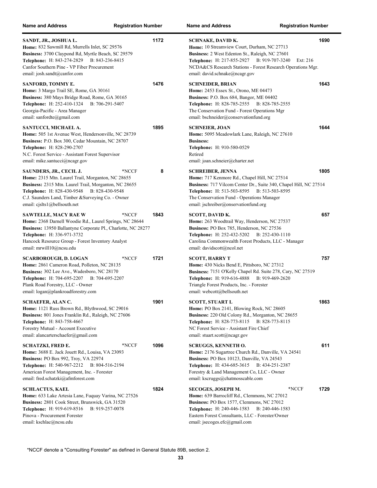| <b>Name and Address</b>                                                                                                                                                                                                                                                             | <b>Registration Number</b> | <b>Name and Address</b><br><b>Registration Number</b>                                                                                                                                                                                                                                 |      |
|-------------------------------------------------------------------------------------------------------------------------------------------------------------------------------------------------------------------------------------------------------------------------------------|----------------------------|---------------------------------------------------------------------------------------------------------------------------------------------------------------------------------------------------------------------------------------------------------------------------------------|------|
| SANDT, JR., JOSHUA L.<br>Home: 832 Sawmill Rd, Murrells Inlet, SC 29576<br>Business: 3700 Claypond Rd, Myrtle Beach, SC 29579<br>Telephone: H: 843-274-2829 B: 843-236-8415<br>Canfor Southern Pine - VP Fiber Procurement<br>email: josh.sandt@canfor.com                          | 1172                       | <b>SCHNAKE, DAVID K.</b><br>Home: 10 Streamview Court, Durham, NC 27713<br>Business: 2 West Edenton St., Raleigh, NC 27601<br>Telephone: H: 217-855-2927 B: 919-707-3240<br>Ext: 216<br>NCDA&CS Research Stations - Forest Research Operations Mgr.<br>email: david.schnake@ncagr.gov | 1690 |
| SANFORD, TOMMY E.<br>Home: 3 Margo Trail SE, Rome, GA 30161<br>Business: 380 Mays Bridge Road, Rome, GA 30165<br>Telephone: H: 252-410-1324 B: 706-291-5407<br>Georgia-Pacific - Area Manager<br>email: sanfordte@gmail.com                                                         | 1476                       | <b>SCHNEIDER, BRIAN</b><br>Home: 2453 Essex St., Orono, ME 04473<br><b>Business: P.O. Box 684, Bangor, ME 04402</b><br>Telephone: H: 828-785-2555 B: 828-785-2555<br>The Conservation Fund - Forest Operations Mgr<br>email: bschneider@conservationfund.org                          | 1643 |
| SANTUCCI, MICHAEL A.<br>Home: 505 1st Avenue West, Hendersonville, NC 28739<br>Business: P.O. Box 300, Cedar Mountain, NC 28707<br>Telephone: H: 828-290-2707<br>N.C. Forest Service - Assistant Forest Supervisor<br>email: mike.santucci@ncagr.gov                                | 1895                       | <b>SCHNEIER, JOAN</b><br>Home: 5095 Meadowlark Lane, Raleigh, NC 27610<br><b>Business:</b><br>Telephone: H: 910-580-0529<br>Retired<br>email: joan.schneier@charter.net                                                                                                               | 1644 |
| SAUNDERS, JR., CECIL J.<br>Home: 2315 Mtn. Laurel Trail, Morganton, NC 28655<br>Business: 2315 Mtn. Laurel Trail, Morganton, NC 28655<br><b>Telephone:</b> H: 828-430-9548<br>B: 828-430-9548<br>C.J. Saunders Land, Timber & Surveying Co. - Owner<br>email: cjslts1@bellsouth.net | 8<br>*NCCF                 | <b>SCHREIBER, JENNA</b><br>Home: 717 Kenmore Rd., Chapel Hill, NC 27514<br>Business: 717 Vilcom Center Dr., Suite 340, Chapel Hill, NC 27514<br>Telephone: H: 513-503-8595 B: 513-503-8595<br>The Conservation Fund - Operations Manager<br>email: jschreiber@onservationfund.org     | 1805 |
| <b>SAWTELLE, MACY RAE W</b><br>Home: 2368 Darnell Woodie Rd., Laurel Springs, NC 28644<br>Business: 13950 Ballantyne Corporate Pl., Charlotte, NC 28277<br>Telephone: H: 336-971-3732<br>Hancock Resource Group - Forest Inventory Analyst<br>email: mrwill10@ncsu.edu              | *NCCF<br>1843              | <b>SCOTT, DAVID K.</b><br>Home: 263 Woodtrail Way, Henderson, NC 27537<br>Business: PO Box 785, Henderson, NC 27536<br>Telephone: H: 252-432-5202<br>B: 252-430-1110<br>Carolina Commonwealth Forest Products, LLC - Manager<br>email: davidscott@ncol.net                            | 657  |
| <b>SCARBOROUGH, D. LOGAN</b><br>Home: 2861 Cameron Road, Polleton, NC 28135<br>Business: 302 Lee Ave., Wadesboro, NC 28170<br>Telephone: H: 704-695-2207 B: 704-695-2207<br>Plank Road Forestry, LLC - Owner<br>email: logan@plankroadforestry.com                                  | 1721<br>*NCCF              | <b>SCOTT, HARRY T</b><br>Home: 430 Nicks Bend E, Pittsboro, NC 27312<br>Business: 7151 O'Kelly Chapel Rd. Suite 278, Cary, NC 27519<br>Telephone: H: 919-616-4888<br>B: 919-469-2620<br>Triangle Forest Products, Inc. - Forester<br>email: webcott@bellsouth.net                     | 757  |
| <b>SCHAEFER, ALAN C.</b><br>Home: 1121 Russ Brown Rd., Blythwood, SC 29016<br>Business: 801 Jones Franklin Rd., Raleigh, NC 27606<br>Telephone: H: 843-758-4667<br>Forestry Mutual - Account Executive<br>email: alancarterschaefer@gmail.com                                       | 1901                       | <b>SCOTT, STUART L</b><br>Home: PO Box 2141, Blowing Rock, NC 28605<br>Business: 220 Old Colony Rd., Morganton, NC 28655<br>Telephone: H: 828-773-8115 B: 828-773-8115<br>NC Forest Service - Assistant Fire Chief<br>email: stuart.scott@ncagr.gov                                   | 1863 |
| <b>SCHATZKI, FRED E.</b><br>Home: 3688 E. Jack Jouett Rd., Louisa, VA 23093<br><b>Business: PO Box 992, Troy, VA 22974</b><br>Telephone: H: 540-967-2212 B: 804-516-2194<br>American Forest Management, Inc. - Forester<br>email: fred.schatzki@afmforest.com                       | 1096<br>*NCCF              | <b>SCRUGGS, KENNETH O.</b><br>Home: 2176 Sugartree Church Rd., Danville, VA 24541<br>Business: PO Box 10123, Danville, VA 24543<br><b>Telephone:</b> H: 434-685-3615<br>B: 434-251-2387<br>Forestry & Land Management Co, LLC - Owner<br>email: kscruggs@chatmosscable.com            | 611  |
| <b>SCHLACTUS, KAEL</b><br>Home: 633 Lake Artesia Lane, Fuquay Varina, NC 27526<br>Business: 2801 Cook Street, Brunswick, GA 31520<br><b>Telephone:</b> H: 919-619-8516<br>B: 919-257-0078<br>Pinova - Procurement Forester<br>email: kschlac@ncsu.edu                               | 1824                       | SECOGES, JOSEPH M.<br>*NCCF<br>Home: 639 Barrocliff Rd., Clemmons, NC 27012<br>Business: PO Box 1577, Clemmons, NC 27012<br>Telephone: H: 240-446-1583<br>B: 240-446-1583<br>Eastern Forest Consultants, LLC - Forester/Owner<br>email: jsecoges.efc@gmail.com                        | 1729 |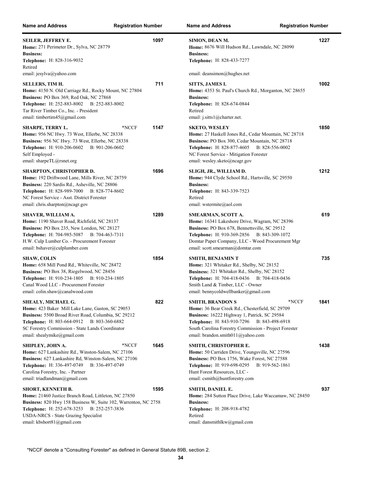| <b>Name and Address</b>                                                                                                                                                                                                                                                           | <b>Registration Number</b> | <b>Name and Address</b><br><b>Registration Number</b>                                                                                                                                                                                                                               |      |
|-----------------------------------------------------------------------------------------------------------------------------------------------------------------------------------------------------------------------------------------------------------------------------------|----------------------------|-------------------------------------------------------------------------------------------------------------------------------------------------------------------------------------------------------------------------------------------------------------------------------------|------|
| <b>SEILER, JEFFREY E.</b><br>Home: 271 Perimeter Dr., Sylva, NC 28779<br><b>Business:</b><br><b>Telephone:</b> H: 828-316-9032<br>Retired<br>email: jesylva@yahoo.com                                                                                                             | 1097                       | SIMON, DEAN M.<br>Home: 8676 Will Hudson Rd., Lawndale, NC 28090<br><b>Business:</b><br><b>Telephone: H: 828-433-7277</b><br>email: deansimon@hughes.net                                                                                                                            | 1227 |
| <b>SELLERS, TIM H.</b><br>Home: 4150 N. Old Carriage Rd., Rocky Mount, NC 27804<br>Business: PO Box 369, Red Oak, NC 27868<br>Telephone: H: 252-883-8002<br>B: 252-883-8002<br>Tar River Timber Co., Inc. - President<br>email: timbertim45@gmail.com                             | 711                        | SITTS, JAMES I.<br>Home: 4353 St. Paul's Church Rd., Morganton, NC 28655<br><b>Business:</b><br><b>Telephone:</b> H: 828-674-0844<br>Retired<br>email: j.sitts $l$ @charter.net.                                                                                                    | 1002 |
| <b>SHARPE, TERRY L.</b><br>Home: 956 NC Hwy. 73 West, Ellerbe, NC 28338<br>Business: 956 NC Hwy. 73 West, Ellerbe, NC 28338<br>Telephone: H: 910-206-0602<br>B: 901-206-0602<br>Self Employed -<br>email: sharpeTL@rsnet.org                                                      | 1147<br>*NCCF              | <b>SKETO, WESLEY</b><br>Home: 27 Haskell Jones Rd., Cedar Mountain, NC 28718<br>Business: PO Box 300, Cedar Mountain, NC 28718<br>Telephone: H: 828-877-4605<br>B: 828-556-0002<br>NC Forest Service - Mitigation Forester<br>email: wesley.sketo@ncagr.gov                         | 1850 |
| <b>SHARPTON, CHRISTOPHER D.</b><br>Home: 192 Driftwood Lane, Mills River, NC 28759<br>Business: 220 Sardis Rd., Asheville, NC 28806<br>Telephone: H: 828-989-7000<br>B: 828-774-8602<br>NC Forest Service - Asst. District Forester<br>email: chris.sharpton@ncagr.gov            | 1696                       | SLIGH, JR., WILLIAM D.<br>Home: 944 Clyde School Rd., Hartsville, SC 29550<br><b>Business:</b><br>Telephone: H: 843-339-7523<br>Retired<br>email: wstermite@aol.com                                                                                                                 | 1212 |
| <b>SHAVER, WILLIAM A.</b><br>Home: 1190 Shaver Road, Richfield, NC 28137<br>Business: PO Box 235, New London, NC 28127<br><b>Telephone:</b> H: 704-985-5087<br>B: 704-463-7311<br>H.W. Culp Lumber Co. - Procurement Forester<br>email: bshaver@culplumber.com                    | 1289                       | SMEARMAN, SCOTT A.<br>Home: 16341 Lakeshore Drive, Wagram, NC 28396<br>Business: PO Box 678, Bennettsville, SC 29512<br>Telephone: H: 910-369-2856 B: 843-309-1072<br>Domtar Paper Company, LLC - Wood Procurement Mgr<br>email: scott.smearman@domtar.com                          | 619  |
| <b>SHAW, COLIN</b><br>Home: 658 Mill Pond Rd., Whiteville, NC 28472<br>Business: PO Box 38, Riegelwood, NC 28456<br>Telephone: H: 910-234-1805 B: 910-234-1805<br>Canal Wood LLC - Procurement Forester<br>email: colin.shaw@canalwood.com                                        | 1854                       | SMITH, BENJAMIN T<br>Home: 321 Whitaker Rd., Shelby, NC 28152<br>Business: 321 Whitaker Rd., Shelby, NC 28152<br>Telephone: H: 704-418-0436 B: 704-418-0436<br>Smith Land & Timber, LLC - Owner<br>email: bennycoldwellbanker@gmail.com                                             | 735  |
| SHEALY, MICHAEL G.<br>Home: 423 Baker Mill Lake Lane, Gaston, SC 29053<br>Business: 5500 Broad River Road, Columbia, SC 29212<br>Telephone: H: 803-664-0912<br>B: 803-360-6882<br>SC Forestry Commission - State Lands Coordinator<br>email: shealymike@gmail.com                 | 822                        | <b>SMITH, BRANDON S</b><br>*NCCF<br>Home: 36 Bear Creek Rd., Chesterfield, SC 29709<br>Business: 16222 Highway 1, Patrick, SC 29584<br>Telephone: H: 843-910-7296 B: 843-498-6918<br>South Carolina Forestry Commission - Project Forester<br>email: brandon.smith $011$ @yahoo.com | 1841 |
| SHIPLEY, JOHN A.<br>Home: 627 Lankashire Rd., Winston-Salem, NC 27106<br>Business: 627 Lankashire Rd, Winston-Salem, NC 27106<br><b>Telephone:</b> H: 336-497-0749<br>B: 336-497-0749<br>Carolina Forestry, Inc. - Partner<br>email: triadlandman@gmail.com                       | 1645<br>*NCCF              | SMITH, CHRISTOPHER E.<br>Home: 50 Carriden Drive, Youngsville, NC 27596<br>Business: PO Box 1756, Wake Forest, NC 27588<br>Telephone: H: 919-698-0295<br>B: 919-562-1861<br>Hunt Forest Resources, LLC -<br>email: csmith@huntforestry.com                                          | 1438 |
| <b>SHORT, KENNETH B.</b><br>Home: 21460 Justice Branch Road, Littleton, NC 27850<br>Business: 820 Hwy 158 Business W, Suite 102, Warrenton, NC 2758<br><b>Telephone:</b> H: 252-678-3253<br>B: 252-257-3836<br>USDA-NRCS - State Grazing Specialist<br>email: kbshort81@gmail.com | 1595                       | SMITH, DANIEL E.<br><b>Home:</b> 284 Sutton Place Drive, Lake Waccamaw, NC 28450<br><b>Business:</b><br>Telephone: H: 208-918-4782<br>Retired<br>email: dansmithlkw@gmail.com                                                                                                       | 937  |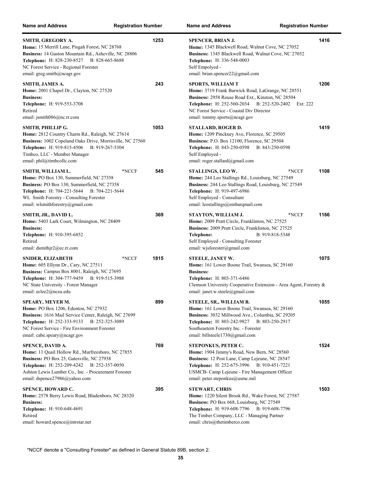| <b>Name and Address</b>                                                                                                                                                                                                                                           | <b>Registration Number</b> |      | <b>Name and Address</b><br><b>Registration Number</b>                                                                                                                                                                                                                            |      |
|-------------------------------------------------------------------------------------------------------------------------------------------------------------------------------------------------------------------------------------------------------------------|----------------------------|------|----------------------------------------------------------------------------------------------------------------------------------------------------------------------------------------------------------------------------------------------------------------------------------|------|
| SMITH, GREGORY A.<br>Home: 15 Merrill Lane, Pisgah Forest, NC 28768<br>Business: 14 Gaston Mountain Rd., Asheville, NC 28806<br>Telephone: H: 828-230-8527 B: 828-665-8688<br>NC Forest Service - Regional Forester<br>email: greg.smith@ncagr.gov                |                            | 1253 | <b>SPENCER, BRIAN J.</b><br>Home: 1345 Blackwell Road, Walnut Cove, NC 27052<br>Business: 1345 Blackwell Road, Walnut Cove, NC 27052<br>Telephone: H: 336-548-0003<br>Self Empolyed -<br>email: brian.spencer22@gmail.com                                                        | 1416 |
| SMITH, JAMES A.<br>Home: 2001 Chapel Dr., Clayton, NC 27520<br><b>Business:</b><br>Telephone: H: 919-553-3708<br>Retired<br>email: jsmith $086@nc.rr.com$                                                                                                         |                            | 243  | <b>SPORTS, WILLIAM T</b><br>Home: 3719 Frank Barwick Road, LaGrange, NC 28551<br>Business: 2958 Rouse Road Ext., Kinston, NC 28504<br><b>Telephone:</b> H: 252-560-2034 B: 252-520-2402<br>Ext: 222<br>NC Forest Service - Coastal Div Director<br>email: tommy.sports@ncagr.gov | 1206 |
| SMITH, PHILLIP G.<br>Home: 2812 Country Charm Rd., Raleigh, NC 27614<br>Business: 1002 Copeland Oaks Drive, Morrisville, NC 27560<br><b>Telephone:</b> H: 919-815-4506<br>B: 919-267-5304<br>Timbco, LLC - Member Manager<br>email: phil@timbcollc.com            |                            | 1053 | STALLARD, ROGER D.<br>Home: 1209 Pinckney Ave, Florence, SC 29505<br><b>Business: P.O. Box 12100, Florence, SC 29504</b><br>Telephone: H: 843-250-0598<br>B: 843-250-0598<br>Self Employed -<br>email: roger.stallard@gmail.com                                                  | 1419 |
| SMITH, WILLIAM L.<br>Home: PO Box 130, Summerfield, NC 27358<br>Business: PO Box 130, Summerfield, NC 27358<br><b>Telephone:</b> H: 704-221-5644<br>B: 704-221-5644<br>WL Smith Forestry - Consulting Forester<br>email: wlsmithforestry@gmail.com                | *NCCF                      | 545  | STALLINGS, LEO W.<br>*NCCF<br>Home: 244 Leo Stallings Rd., Louisburg, NC 27549<br>Business: 244 Leo Stallings Road, Louisburg, NC 27549<br>Telephone: H: 919-497-6986<br>Self Employed - Consultant<br>email: leostallings@embarqmail.com                                        | 1108 |
| SMITH, JR., DAVID L.<br>Home: 5403 Lark Court, Wilmington, NC 28409<br><b>Business:</b><br>Telephone: H: 910-395-6852<br>Retired<br>email: $d$ smithjr2@ec.rr.com                                                                                                 |                            | 369  | *NCCF<br>STAYTON, WILLIAM J.<br>Home: 2009 Pratt Circle, Franklinton, NC 27525<br><b>Business:</b> 2009 Pratt Circle, Franklinton, NC 27525<br>Telephone:<br>B: 919-818-5348<br>Self Employed - Consulting Forester<br>email: wjsforester@gmail.com                              | 1166 |
| <b>SNIDER, ELIZABETH</b><br>Home: 605 Ellynn Dr., Cary, NC 27511<br>Business: Campus Box 8001, Raleigh, NC 27695<br>Telephone: H: 304-777-9459<br>B: 919-515-3988<br>NC State University - Forest Manager<br>email: eclee2@ncsu.edu                               | *NCCF                      | 1815 | <b>STEELE, JANET W.</b><br>Home: 161 Lower Boone Trail, Swansea, SC 29160<br><b>Business:</b><br>Telephone: H: 803-371-6486<br>Clemson University Cooperative Extension - Area Agent, Forestry &<br>email: janet.w.steele@gmail.com                                              | 1075 |
| SPEARY, MEYER M.<br><b>Home:</b> PO Box 1206, Edenton, NC 27932<br>Business: 1616 Mail Service Center, Raleigh, NC 27699<br><b>Telephone:</b> H: 252-333-9133<br>B: 252-325-3089<br>NC Forest Service - Fire Environment Forester<br>email: cabe.speary@ncagr.gov |                            | 899  | STEELE, SR., WILLIAM B.<br>Home: 161 Lower Boone Trail, Swansea, SC 29160<br>Business: 3032 Millwood Ave., Columbia, SC 29205<br><b>Telephone:</b> H: 803-242-9827<br>B: 803-250-2917<br>Southeastern Forestry Inc. - Forester<br>email: billsteele1730@gmail.com                | 1055 |
| SPENCE, DAVID A.<br>Home: 11 Quail Hollow Rd., Murfreesboro, NC 27855<br>Business: PO Box 25, Gatesville, NC 27938<br>Telephone: H: 252-209-4242<br>B: 252-357-0050<br>Ashton Lewis Lumber Co., Inc. - Procurement Forester<br>email: dspence27986@yahoo.com      |                            | 769  | <b>STEPONKUS, PETER C.</b><br>Home: 1904 Jimmy's Road, New Bern, NC 28560<br>Business: 12 Post Lane, Camp Lejeune, NC 28547<br>Telephone: H: 252-675-3996 B: 910-451-7221<br>USMCB- Camp Lejeune - Fire Management Officer<br>email: peter.steponkus@usmc.mil                    | 1524 |
| <b>SPENCE, HOWARD C.</b><br>Home: 2578 Berry Lewis Road, Bladenboro, NC 28320<br><b>Business:</b><br>Telephone: H: 910-648-4691<br>Retired<br>email: howard.spence@intrstar.net                                                                                   |                            | 395  | <b>STEWART, CHRIS</b><br>Home: 1220 Silent Brook Rd., Wake Forest, NC 27587<br>Business: PO Box 668, Louisburg, NC 27549<br><b>Telephone:</b> H: 919-608-7796<br>B: 919-608-7796<br>The Timber Company, LLC - Managing Partner<br>email: chris@thetimberco.com                   | 1503 |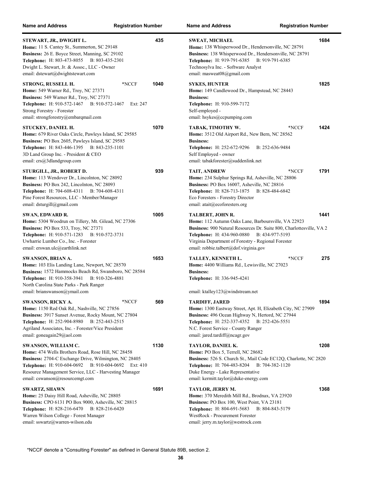| <b>Name and Address</b>                                                                                                                                                                                                                                                               | <b>Registration Number</b> |      | <b>Name and Address</b><br><b>Registration Number</b>                                                                                                                                                                                                                                                           |                  |
|---------------------------------------------------------------------------------------------------------------------------------------------------------------------------------------------------------------------------------------------------------------------------------------|----------------------------|------|-----------------------------------------------------------------------------------------------------------------------------------------------------------------------------------------------------------------------------------------------------------------------------------------------------------------|------------------|
| STEWART, JR., DWIGHT L.<br><b>Home:</b> 11 S. Cantey St., Summerton, SC 29148<br>Business: 26 E. Boyce Street, Manning, SC 29102<br><b>Telephone:</b> H: 803-473-8055<br>B: 803-435-2301<br>Dwight L. Stewart, Jr. & Assoc., LLC - Owner<br>email: dstewart@dwightstewart.com         |                            | 435  | <b>SWEAT, MICHAEL</b><br>Home: 138 Whisperwood Dr., Hendersonville, NC 28791<br>Business: 138 Whisperwood Dr., Hendersonville, NC 28791<br><b>Telephone:</b> H: 919-791-6385<br>B: 919-791-6385<br>Technosylva Inc. - Software Analyst<br>email: masweat08@gmail.com                                            | 168              |
| STRONG, RUSSELL H.<br>Home: 549 Warner Rd., Troy, NC 27371<br>Business: 549 Warner Rd., Troy, NC 27371<br><b>Telephone:</b> H: 910-572-1467<br>B: 910-572-1467<br>Strong Forestry - Forester<br>email: strongforestry@embarqmail.com                                                  | *NCCF<br>Ext: 247          | 1040 | <b>SYKES, HUNTER</b><br>Home: 149 Candlewood Dr., Hampstead, NC 28443<br><b>Business:</b><br>Telephone: H: 910-599-7172<br>Self-employed -<br>email: hsykes@ccpumping.com                                                                                                                                       | 182              |
| STUCKEY, DANIEL H.<br>Home: 679 River Oaks Circle, Pawleys Island, SC 29585<br>Business: PO Box 2605, Pawleys Island, SC 29585<br>Telephone: H: 843-446-1395 B: 843-235-1101<br>3D Land Group Inc. - President & CEO<br>email: crs@3dlandgroup.com                                    |                            | 1070 | TABAK, TIMOTHY W.<br>*NCCF<br>Home: 3512 Old Airport Rd., New Bern, NC 28562<br><b>Business:</b><br><b>Telephone:</b> H: 252-672-9296<br>B: 252-636-9484<br>Self Employed - owner<br>email: tabakforester@suddenlink.net                                                                                        | 142 <sub>4</sub> |
| STURGILL, JR., ROBERT D.<br>Home: 113 Wendover Dr., Lincolnton, NC 28092<br>Business: PO Box 242, Lincolnton, NC 28093<br><b>Telephone:</b> H: 704-608-4311<br>B: 704-608-4311<br>Pine Forest Resources, LLC - Member/Manager<br>email: $dsturgill@gmail.com$                         |                            | 939  | *NCCF<br>TAIT, ANDREW<br>Home: 234 Sulphur Springs Rd, Asheville, NC 28806<br>Business: PO Box 16007, Asheville, NC 28816<br><b>Telephone:</b> H: 828-713-1875<br>B: 828-484-6842<br>Eco Foresters - Forestry Director<br>email: atait@ecoforesters.org                                                         | 179'             |
| SWAN, EDWARD R.<br>Home: 5304 Woodrun on Tillery, Mt. Gilead, NC 27306<br><b>Business: PO Box 533, Troy, NC 27371</b><br>Telephone: H: 910-571-1283<br>B: 910-572-3731<br>Uwharrie Lumber Co., Inc. - Forester<br>email: erswan.ulc@earthlink.net                                     |                            | 1005 | TALBERT, JOHN R.<br>Home: 112 Autumn Oaks Lane, Barboursville, VA 22923<br><b>Business:</b> 900 Natural Resources Dr. Suite 800, Charlottesville, VA 2<br><b>Telephone:</b> H: 434-960-0880<br>B: 434-977-5193<br>Virginia Department of Forestry - Regional Forester<br>email: robbie.talbert@dof.virginia.gov | $144^{\circ}$    |
| SWANSON, BRIAN A.<br>Home: 103 Elis Landing Lane, Newport, NC 28570<br>Business: 1572 Hammocks Beach Rd, Swansboro, NC 28584<br>Telephone: H: 910-358-3941<br>B: 910-326-4881<br>North Carolina State Parks - Park Ranger<br>email: brianswanson@ymail.com                            |                            | 1653 | *NCCF<br>TALLEY, KENNETH L.<br>Home: 4400 Williams Rd., Lewisville, NC 27023<br><b>Business:</b><br>Telephone: H: 336-945-4241<br>email: ktalley123@windstream.net                                                                                                                                              | 275              |
| SWANSON, RICKY A.<br>Home: 1150 Red Oak Rd., Nashville, NC 27856<br><b>Business:</b> 3917 Sunset Avenue, Rocky Mount, NC 27804<br>Telephone: H: 252-904-8980 B: 252-443-2515<br>Agriland Associates, Inc. - Forester/Vice President<br>email: goneagain29@aol.com                     | *NCCF                      | 569  | TARDIFF, JARED<br>Home: 1300 Eastway Street, Apt. H, Elizabeth City, NC 27909<br>Business: 496 Ocean Highway N, Hertord, NC 27944<br>Telephone: H: 252-337-4352 B: 252-426-5551<br>N.C. Forest Service - County Ranger<br>email: jared.tardiff@ncagr.gov                                                        | 189              |
| SWANSON, WILLIAM C.<br>Home: 474 Wells Brothers Road, Rose Hill, NC 28458<br>Business: 2704-C Exchange Drive, Wilmington, NC 28405<br>Telephone: H: 910-604-0692 B: 910-604-0692 Ext: 410<br>Resource Management Service, LLC - Harvesting Manager<br>email: cswanson@resourcemgt.com |                            | 1130 | TAYLOR, DANIEL K.<br>Home: PO Box 5, Terrell, NC 28682<br>Business: 526 S. Church St., Mail Code EC12Q, Charlotte, NC 2820<br>Telephone: H: 704-483-8204 B: 704-382-1120<br>Duke Energy - Lake Representative<br>email: kermitt.taylor@duke-energy.com                                                          | 120              |
| <b>SWARTZ, SHAWN</b><br>Home: 25 Daisy Hill Road, Asheville, NC 28805<br>Business: CPO 6131 PO Box 9000, Asheville, NC 28815<br><b>Telephone:</b> H: 828-216-6470<br>B: 828-216-6420<br>Warren Wilson College - Forest Manager<br>email: sswartz@warren-wilson.edu                    |                            | 1691 | TAYLOR, JERRY M.<br>Home: 370 Meredith Mill Rd., Brodnax, VA 23920<br>Business: PO Box 100, West Point, VA 23181<br><b>Telephone:</b> H: 804-691-5683<br>B: 804-843-5179<br>WestRock - Procurement Forester<br>email: jerry.m.taylor@westrock.com                                                               | 136              |

| lame and Address                                                                                                                                                                                                                                                                                      | <b>Registration Number</b> |      |
|-------------------------------------------------------------------------------------------------------------------------------------------------------------------------------------------------------------------------------------------------------------------------------------------------------|----------------------------|------|
| <b>SWEAT, MICHAEL</b><br>Home: 138 Whisperwood Dr., Hendersonville, NC 28791<br>Business: 138 Whisperwood Dr., Hendersonville, NC 28791<br><b>Telephone:</b> H: 919-791-6385<br>B: 919-791-6385<br>Technosylva Inc. - Software Analyst<br>email: masweat08@gmail.com                                  |                            | 1684 |
| <b>SYKES, HUNTER</b><br>Home: 149 Candlewood Dr., Hampstead, NC 28443<br><b>Business:</b><br>Telephone: H: 910-599-7172<br>Self-employed -<br>email: hsykes@ccpumping.com                                                                                                                             |                            | 1825 |
| TABAK, TIMOTHY W.<br>Home: 3512 Old Airport Rd., New Bern, NC 28562<br><b>Business:</b><br><b>Telephone:</b> H: 252-672-9296<br>B: 252-636-9484<br>Self Employed - owner<br>email: tabakforester@suddenlink.net                                                                                       | *NCCF                      | 1424 |
| TAIT, ANDREW<br>Home: 234 Sulphur Springs Rd, Asheville, NC 28806<br>Business: PO Box 16007, Asheville, NC 28816<br><b>Telephone: H: 828-713-1875</b><br>B: 828-484-6842<br>Eco Foresters - Forestry Director<br>email: atait@ecoforesters.org                                                        | *NCCF                      | 1791 |
| TALBERT, JOHN R.<br>Home: 112 Autumn Oaks Lane, Barboursville, VA 22923<br><b>Business:</b> 900 Natural Resources Dr. Suite 800, Charlottesville, VA 2<br>Telephone: H: 434-960-0880 B: 434-977-5193<br>Virginia Department of Forestry - Regional Forester<br>email: robbie.talbert@dof.virginia.gov |                            | 1441 |
| TALLEY, KENNETH L.<br>Home: 4400 Williams Rd., Lewisville, NC 27023<br><b>Business:</b><br><b>Telephone:</b> H: 336-945-4241<br>email: ktalley123@windstream.net                                                                                                                                      | *NCCF                      | 275  |
| TARDIFF, JARED<br>Home: 1300 Eastway Street, Apt. H, Elizabeth City, NC 27909<br>Business: 496 Ocean Highway N, Hertord, NC 27944<br><b>Telephone:</b> H: 252-337-4352 B: 252-426-5551<br>N.C. Forest Service - County Ranger<br>email: jared.tardiff@ncagr.gov                                       |                            | 1894 |
| TAYLOR, DANIEL K.<br>Home: PO Box 5, Terrell, NC 28682<br>Business: 526 S. Church St., Mail Code EC12Q, Charlotte, NC 2820<br>Telephone: H: 704-483-8204 B: 704-382-1120<br>Duke Energy - Lake Representative<br>email: kermitt.taylor@duke-energy.com                                                |                            | 1208 |
| TAYLOR, JERRY M.<br>Home: 370 Meredith Mill Rd., Brodnax, VA 23920<br><b>Business: PO Box 100, West Point, VA 23181</b><br>Telephone: H: 804-691-5683<br>B: 804-843-5179<br>WestRock - Procurement Forester                                                                                           |                            | 1368 |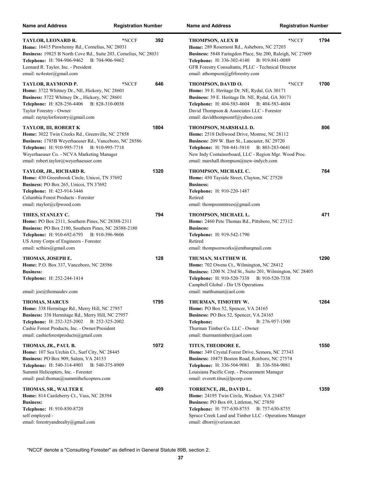| <b>Name and Address</b>                                                                                                                                                                                                                                                | <b>Registration Number</b> |      | <b>Name and Address</b>                                                                                                                                                                                                                                                      | <b>Registration Number</b> |      |
|------------------------------------------------------------------------------------------------------------------------------------------------------------------------------------------------------------------------------------------------------------------------|----------------------------|------|------------------------------------------------------------------------------------------------------------------------------------------------------------------------------------------------------------------------------------------------------------------------------|----------------------------|------|
| TAYLOR, LEONARD R.<br>Home: 16415 Pinwhenny Rd., Cornelius, NC 28031<br>Business: 19825 B North Cove Rd., Suite 203, Cornelius, NC 28031<br><b>Telephone:</b> H: 704-906-9462<br>Leonard R. Taylor, Inc. - President<br>email: nc4ester@gmail.com                      | *NCCF<br>B: 704-906-9462   | 392  | <b>THOMPSON, ALEX B</b><br>Home: 289 Rosemont Rd., Asheboro, NC 27203<br>Business: 5848 Faringdon Place, Ste 200, Raleigh, NC 27609<br>Telephone: H: 336-302-4140 B: 919-841-0089<br>GFR Forestry Consultants, PLLC - Technical Director<br>email: athompson@gfrforestry.com | *NCCF                      | 1794 |
| TAYLOR, RAYMOND P.<br>Home: 3722 Whitney Dr., NE, Hickory, NC 28601<br>Business: 3722 Whitney Dr.,, Hickory, NC 28601<br><b>Telephone:</b> H: 828-256-4406<br>B: 828-310-0038<br>Taylor Forestry - Owner<br>email: raytaylorforestry@gmail.com                         | *NCCF                      | 646  | THOMPSON, DAVID O.<br>Home: 39 E. Heritage Dr. NE, Rydal, GA 30171<br>Business: 39 E. Heritage Dr. NE, Rydal, GA 30171<br>Telephone: H: 404-583-4604 B: 404-583-4604<br>David Thompson & Associates LLC - Forester<br>email: davidthompsonrf@yahoo.com                       | *NCCF                      | 1700 |
| TAYLOR, III, ROBERT K<br>Home: 3022 Twin Creeks Rd., Greenville, NC 27858<br>Business: 1785B Weyerhaeuser Rd., Vanceboro, NC 28586<br>Telephone: H: 910-995-7718 B: 910-995-7718<br>Weyerhaeuser Co. - NCVA Marketing Manager<br>email: robert.taylor@weyerhaeuser.com |                            | 1804 | THOMPSON, MARSHALL D.<br>Home: 2518 Dellwood Drive, Monroe, NC 28112<br>Business: 209 W. Barr St., Lancaster, SC 29720<br>Telephone: H: 704-441-5810 B: 803-283-0641<br>New Indy Containerboard, LLC - Region Mgr. Wood Proc.<br>email: marshall.thompson@new-indycb.com     |                            | 806  |
| TAYLOR, JR., RICHARD R.<br>Home: 430 Greenbrook Circle, Unicoi, TN 37692<br>Business: PO Box 265, Unicoi, TN 37692<br><b>Telephone:</b> H: 423-914-3446<br>Columbia Forest Products - Forester<br>email: rtaylor@cfpwood.com                                           |                            | 1320 | THOMPSON, MICHAEL C.<br>Home: 450 Tayside Street, Clayton, NC 27520<br><b>Business:</b><br>Telephone: H: 910-220-1487<br>Retired<br>email: thompsonmtrees $@g$ mail.com                                                                                                      |                            | 764  |
| THIES, STANLEY C.<br>Home: PO Box 2311, Southern Pines, NC 28388-2311<br>Business: PO Box 2180, Southern Pines, NC 28388-2180<br>Telephone: H: 910-692-6793 B: 910-396-9606<br>US Army Corps of Engineers - Forester<br>email: scthies@gmail.com                       |                            | 794  | THOMPSON, MICHAEL L.<br>Home: 2460 Pete Thomas Rd., Pittsboro, NC 27312<br><b>Business:</b><br><b>Telephone:</b> H: 919-542-1790<br>Retired<br>email: thompsonworks@embarqmail.com                                                                                           |                            | 471  |
| THOMAS, JOSEPH E.<br>Home: P.O. Box 337, Vanceboro, NC 28586<br><b>Business:</b><br>Telephone: H: 252-244-1414<br>email: joe@thomasdev.com                                                                                                                             |                            | 128  | THUMAN, MATTHEW H.<br>Home: 702 Owens Ct., Wilmington, NC 28412<br>Business: 1200 N. 23rd St., Suite 201, Wilmington, NC 28405<br><b>Telephone:</b> H: 910-520-7338<br>Campbell Global - Dir US Operations<br>email: matthuman@aol.com                                       | B: 910-520-7338            | 1290 |
| <b>THOMAS, MARCUS</b><br>Home: 338 Hermitage Rd., Merry Hill, NC 27957<br>Business: 338 Hermitage Rd., Merry Hill, NC 27957<br>Telephone: H: 252-325-2002 B: 252-325-2002<br>Cashie Forest Products, Inc. - Owner/President<br>email: cashieforestproducts@gmail.com   |                            | 1795 | THURMAN, TIMOTHY W.<br>Home: PO Box 52, Spencer, VA 24165<br>Business: PO Box 52, Spencer, VA 24165<br>Telephone:<br>Thurman Timber Co. LLC - Owner<br>email: thurmantimber@aol.com                                                                                          | B: 276-957-1500            | 1264 |
| THOMAS, JR., PAUL B.<br>Home: 107 Sea Urchin Ct., Surf City, NC 28445<br>Business: PO Box 909, Salem, VA 24153<br>Telephone: H: 540-314-4903<br>Summit Helicopters, Inc. - Forester<br>email: paul.thomas@summithelicopters.com                                        | B: 540-375-8909            | 1072 | TITUS, THEODORE E.<br>Home: 349 Crystal Forest Drive, Semora, NC 27343<br>Business: 10475 Boston Road, Roxboro, NC 27574<br><b>Telephone:</b> H: 336-504-9081<br>Louisiana Pacific Corp. - Procurement Manager<br>email: everett.titus@lpcorp.com                            | B: 336-504-9081            | 1550 |
| THOMAS, SR., WALTER E<br>Home: 814 Castleberry Ct., Vass, NC 28394<br><b>Business:</b><br>Telephone: H: 910-850-8720<br>self employed -<br>email: forestryandrealty@gmail.com                                                                                          |                            | 409  | TORRENCE, JR., DAVID L.<br>Home: 24195 Twin Circle, Windsor, VA 23487<br>Business: PO Box 69, Littleton, NC 27850<br><b>Telephone:</b> H: 757-630-8755<br>Spruce Creek Land and Timber LLC - Operations Manager<br>email: dltorr@verizon.net                                 | B: 757-630-8755            | 1359 |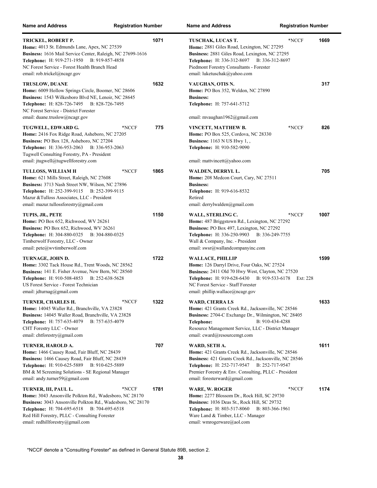| <b>Name and Address</b>                                                                                                                                                                                                                                                                   | <b>Registration Number</b> |      | <b>Name and Address</b>                                                                                                                                                                                                                                              | <b>Registration Number</b> |      |
|-------------------------------------------------------------------------------------------------------------------------------------------------------------------------------------------------------------------------------------------------------------------------------------------|----------------------------|------|----------------------------------------------------------------------------------------------------------------------------------------------------------------------------------------------------------------------------------------------------------------------|----------------------------|------|
| TRICKEL, ROBERT P.<br>Home: 4013 St. Edmunds Lane, Apex, NC 27539<br>Business: 1616 Mail Service Center, Raleigh, NC 27699-1616<br><b>Telephone:</b> H: 919-271-1950<br>B: 919-857-4858<br>NC Forest Service - Forest Health Branch Head<br>email: rob.trickel@ncagr.gov                  |                            | 1071 | TUSCHAK, LUCAS T.<br>Home: 2881 Giles Road, Lexington, NC 27295<br>Business: 2881 Giles Road, Lexington, NC 27295<br><b>Telephone:</b> H: 336-312-8697<br>B: 336-312-8697<br>Piedmont Forestry Consultants - Forester<br>email: luketuschak@yahoo.com                | *NCCF                      | 1669 |
| TRUSLOW, DUANE<br>Home: 6009 Hollow Springs Circle, Boomer, NC 28606<br>Business: 1543 Wilkesboro Blvd NE, Lenoir, NC 28645<br>Telephone: H: 828-726-7495 B: 828-726-7495<br>NC Forest Service - District Forester<br>email: duane.truslow@ncagr.gov                                      |                            | 1632 | VAUGHAN, OTIS N.<br>Home: PO Box 352, Weldon, NC 27890<br><b>Business:</b><br>Telephone: H: 757-641-5712<br>email: mvaughan1962@gmail.com                                                                                                                            |                            | 317  |
| TUGWELL, EDWARD G.<br>Home: 2416 Fox Ridge Road, Asheboro, NC 27205<br>Business: PO Box 128, Asheboro, NC 27204<br><b>Telephone:</b> H: 336-953-2063<br>B: 336-953-2063<br>Tugwell Consulting Forestry, PA - President<br>email: jtugwell@tugwellforestry.com                             | *NCCF                      | 775  | VINCETT, MATTHEW B.<br>Home: PO Box 525, Cordova, NC 28330<br><b>Business:</b> 1163 N US Hwy 1,,<br>Telephone: H: 910-582-9090<br>email: mattvincett@yahoo.com                                                                                                       | *NCCF                      | 826  |
| TULLOSS, WILLIAM H<br>Home: 621 Mills Street, Raleigh, NC 27608<br>Business: 3713 Nash Street NW, Wilson, NC 27896<br>Telephone: H: 252-399-9115 B: 252-399-9115<br>Mazur &Tulloss Associates, LLC - President<br>email: mazur.tullossforestry@gmail.com                                  | *NCCF                      | 1865 | WALDEN, DERRYL L.<br>Home: 208 Medcon Court, Cary, NC 27511<br><b>Business:</b><br>Telephone: H: 919-616-8532<br>Retired<br>email: derrylwalden@gmail.com                                                                                                            |                            | 705  |
| TUPIS, JR., PETE<br>Home: PO Box 652, Richwood, WV 26261<br>Business: PO Box 652, Richwood, WV 26261<br><b>Telephone:</b> H: 304-880-0325 B: 304-880-0325<br>Timberwolf Forestry, LLC - Owner<br>email: pete@wvtimberwolf.com                                                             |                            | 1150 | WALL, STERLING C.<br>Home: 487 Briggstown Rd., Lexington, NC 27292<br>Business: PO Box 497, Lexington, NC 27292<br>Telephone: H: 336-250-9903<br>B: 336-249-7755<br>Wall & Company, Inc. - President<br>email: swsr@wallandcompanyinc.com                            | *NCCF                      | 1007 |
| TURNAGE, JOHN D.<br>Home: 3302 Tack House Rd., Trent Woods, NC 28562<br>Business: 141 E. Fisher Avenue, New Bern, NC 28560<br><b>Telephone:</b> H: 910-508-4853<br>B: 252-638-5628<br>US Forest Service - Forest Technician<br>email: $idturnag@gmail.com$                                |                            | 1722 | <b>WALLACE, PHILLIP</b><br>Home: 126 Darryl Drive, Four Oaks, NC 27524<br>Business: 2411 Old 70 Hwy West, Clayton, NC 27520<br><b>Telephone:</b> H: 919-628-6430<br>B: 919-533-6178<br>NC Forest Service - Staff Forester<br>email: phillip.wallace@ncagr.gov        | Ext: 228                   | 1599 |
| TURNER, CHARLES H.<br>Home: 14045 Waller Rd., Branchville, VA 23828<br>Business: 14045 Waller Road, Branchville, VA 23828<br>Telephone: H: 757-635-4079<br>B: 757-635-4079<br>CHT Forestry LLC - Owner<br>email: chtforestry@gmail.com                                                    | *NCCF                      | 1322 | <b>WARD, CIERRA LS</b><br>Home: 421 Grants Creek Rd., Jacksonville, NC 28546<br>Business: 2704-C Exchange Dr., Wilmington, NC 28405<br>Telephone:<br>B: 910-434-4288<br>Resource Management Service, LLC - District Manager<br>email: cward@resourcemgt.com          |                            | 1633 |
| TURNER, HAROLD A.<br>Home: 1466 Causey Road, Fair Bluff, NC 28439<br>Business: 1466 Causey Road, Fair Bluff, NC 28439<br>Telephone: H: 910-625-5889<br>B: 910-625-5889<br>BM & M Screening Solutions - SE Regional Manager<br>email: andy.turner59@gmail.com                              |                            | 707  | WARD, SETH A.<br>Home: 421 Grants Creek Rd., Jacksonville, NC 28546<br>Business: 421 Grants Creek Rd., Jacksonville, NC 28546<br>Telephone: H: 252-717-9547 B: 252-717-9547<br>Premier Forestry & Env. Consulting, PLLC - President<br>email: foresterward@gmail.com |                            | 1611 |
| TURNER, III, PAUL L.<br>Home: 3043 Ansonville Polkton Rd., Wadesboro, NC 28170<br>Business: 3043 Ansonville Polkton Rd., Wadesboro, NC 28170<br><b>Telephone:</b> H: 704-695-6518<br>B: 704-695-6518<br>Red Hill Forestry, PLLC - Consulting Forester<br>email: redhillforestry@gmail.com | *NCCF                      | 1781 | WARE, W. ROGER<br>Home: 2277 Blossom Dr., Rock Hill, SC 29730<br>Business: 1036 Deas St., Rock Hill, SC 29732<br><b>Telephone:</b> H: 803-517-8060<br>B: 803-366-1961<br>Ware Land & Timber, LLC - Manager<br>email: wmrogerware@aol.com                             | *NCCF                      | 1174 |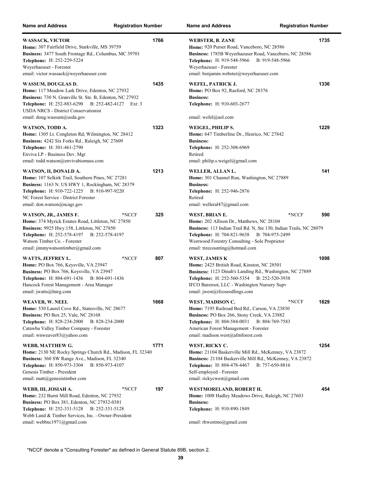| <b>Name and Address</b>                                                                                                                                                                                                                                                   | <b>Registration Number</b>     | <b>Name and Address</b>                                                                                                                                                                                                                                              | <b>Registration Number</b>       |
|---------------------------------------------------------------------------------------------------------------------------------------------------------------------------------------------------------------------------------------------------------------------------|--------------------------------|----------------------------------------------------------------------------------------------------------------------------------------------------------------------------------------------------------------------------------------------------------------------|----------------------------------|
| <b>WASSACK, VICTOR</b><br>Home: 307 Fairfield Drive, Starkville, MS 39759<br>Business: 3477 South Frontage Rd., Columbus, MC 39701<br>Telephone: H: 252-229-5224<br>Weyerhaeuser - Forester<br>email: victor.wassack@weyerhaeuser.com                                     | 1766                           | <b>WEBSTER, B. ZANE</b><br>Home: 920 Purser Road, Vanceboro, NC 28586<br>Business: 1785B Weyerhaeuser Road, Vanceboro, NC 28586<br><b>Telephone:</b> H: 919-548-5966<br>Weyerhaeuser - Forester<br>email: benjamin.webster@weyerhaeuser.com                          | 1735<br>B: 919-548-5966          |
| WASSUM, DOUGLAS D.<br>Home: 117 Meadow Lark Drive, Edenton, NC 27932<br>Business: 730 N. Granville St. Ste. B, Edenton, NC 27932<br><b>Telephone:</b> H: 252-883-6290<br><b>USDA NRCS - District Conservationist</b><br>email: doug.wassum@usda.gov                       | 1435<br>B: 252-482-4127 Ext: 3 | WEFEL, PATRICK J.<br>Home: PO Box 92, Raeford, NC 28376<br><b>Business:</b><br><b>Telephone:</b> H: 910-603-2677<br>email: wefel@aol.com                                                                                                                             | 1336                             |
| WATSON, TODD A.<br><b>Home:</b> 1305 Lt. Congleton Rd, Wilmington, NC 28412<br>Business: 4242 Six Forks Rd., Raleigh, NC 27609<br>Telephone: H: 301-461-2790<br>Enviva LP - Business Dev. Mgr<br>email: todd.watson@envivabiomass.com                                     | 1323                           | WEIGEL, PHILIP S.<br>Home: 647 Timberline Dr., Henrico, NC 27842<br><b>Business:</b><br>Telephone: H: 252-308-6969<br>Retired<br>email: philip.s.weigel@gmail.com                                                                                                    | 1229                             |
| WATSON, II, DONALD A.<br>Home: 107 Selkirk Trail, Southern Pines, NC 27281<br>Business: 1163 N. US HWY 1, Rockingham, NC 28379<br>Telephone: H: 910-722-1225<br>B: 910-997-9220<br>NC Forest Service - District Forester<br>email: don.watson@ncagr.gov                   | 1213                           | WELLER, ALLAN L.<br>Home: 301 Channel Run, Washington, NC 27889<br><b>Business:</b><br>Telephone: H: 252-946-2876<br>Retired<br>email: welleral $47$ @gmail.com                                                                                                      | 141                              |
| WATSON, JR., JAMES F.<br><b>Home:</b> 374 Myrick Estates Road, Littleton, NC 27850<br>Business: 9925 Hwy.158, Littleton, NC 27850<br>Telephone: H: 252-578-4197<br>B: 252-578-4197<br>Watson Timber Co. - Forester<br>email: jimmywatsontimber@gmail.com                  | 325<br>*NCCF                   | WEST, BRIAN E.<br>Home: 202 Allison Dr., Matthews, NC 28104<br>Business: 113 Indian Trail Rd. N, Ste 130, Indian Trails, NC 28079<br>Telephone: H: 704-821-9638 B: 704-975-2499<br>Westwood Forestry Consulting - Sole Proprietor<br>email: treecounting@hotmail.com | *NCCF<br>590                     |
| WATTS, JEFFREY L.<br>Home: PO Box 766, Keysville, VA 23947<br>Business: PO Box 766, Keysville, VA 23947<br><b>Telephone:</b> H: 804-691-1436<br>B: 804-691-1436<br>Hancock Forest Management - Area Manager<br>email: jwatts@hnrg.com                                     | 807<br>*NCCF                   | <b>WEST, JAMES K</b><br>Home: 2425 British Road, Kinston, NC 28501<br>Business: 1123 Dinah's Landing Rd., Washington, NC 27889<br>Telephone: H: 252-560-5354 B: 252-520-3938<br>IFCO Bareroot, LLC - Washington Nursery Supv<br>email: jwest@ifcoseedlings.com       | 1098                             |
| WEAVER, W. NEEL<br>Home: 530 Laurel Cove Rd., Statesville, NC 28677<br>Business: PO Box 25, Vale, NC 28168<br><b>Telephone:</b> H: 828-234-2000<br>B: 828-234-2000<br>Catawba Valley Timber Company - Forester<br>email: wnweaver83@yahoo.com                             | 1668                           | WEST, MADISON C.<br>Home: 7195 Railroad Bed Rd., Carson, VA 23830<br>Business: PO Box 266, Stony Creek, VA 23882<br>Telephone: H: 804-584-0031<br>American Forest Management - Forester<br>email: madison.west@afmforest.com                                         | 1829<br>*NCCF<br>B: 804-769-7583 |
| WEBB, MATTHEW G.<br>Home: 2130 NE Rocky Springs Church Rd., Madison, FL 32340<br>Business: 360 SW Range Ave., Madison, FL 32340<br>B: 850-973-4107<br><b>Telephone:</b> H: 850-973-3304<br>Genesis Timber - President<br>email: matt@genesistimber.com                    | 1771                           | WEST, RICKY C.<br>Home: 21104 Baskerville Mill Rd., McKenney, VA 23872<br>Business: 21104 Baskerville Mill Rd., McKenney, VA 23872<br>Telephone: H: 804-478-4467<br>Self-employed - Forester<br>email: rickycwest@gmail.com                                          | 1254<br>B: 757-650-8816          |
| WEBB, III, JOSIAH A.<br>Home: 232 Burnt Mill Road, Edenton, NC 27932<br><b>Business:</b> PO Box 381, Edenton, NC 27932-0381<br><b>Telephone:</b> H: 252-331-5128<br>B: 252-331-5128<br>Webb Land & Timber Services, Inc. - Owner-President<br>email: webbnc1971@gmail.com | 197<br>*NCCF                   | WESTMORELAND, ROBERT H.<br><b>Home:</b> 1008 Hadley Meadows Drive, Raleigh, NC 27603<br><b>Business:</b><br>Telephone: H: 910-890-1849<br>email: rhwestmo@gmail.com                                                                                                  | 454                              |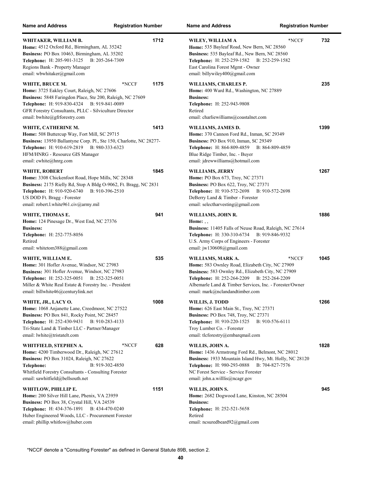| <b>Name and Address</b>                                                                                                                                                                                                                                              | <b>Registration Number</b>      | <b>Name and Address</b>                                                                                                                                                                                                                                                | <b>Registration Number</b>      |
|----------------------------------------------------------------------------------------------------------------------------------------------------------------------------------------------------------------------------------------------------------------------|---------------------------------|------------------------------------------------------------------------------------------------------------------------------------------------------------------------------------------------------------------------------------------------------------------------|---------------------------------|
| WHITAKER, WILLIAM B.<br>Home: 4512 Oxford Rd., Birmingham, AL 35242<br>Business: PO Box 10463, Birmingham, AL 35202<br>Telephone: H: 205-901-3125<br>Regions Bank - Property Manager<br>email: wbwhitaker@gmail.com                                                  | 1712<br>B: 205-264-7309         | WILEY, WILLIAM A<br>Home: 535 Bayleaf Road, New Bern, NC 28560<br>Business: 535 Bayleaf Rd., New Bern, NC 28560<br><b>Telephone:</b> H: 252-259-1582<br>East Carolina Forest Mgmt - Owner<br>email: billywiley400@gmail.com                                            | *NCCF<br>732<br>B: 252-259-1582 |
| WHITE, BRUCE M.<br>Home: 3725 Eakley Court, Raleigh, NC 27606<br>Business: 5848 Faringdon Place, Ste 200, Raleigh, NC 27609<br>Telephone: H: 919-830-4324 B: 919-841-0089<br>GFR Forestry Consultants, PLLC - Silviculture Director<br>email: bwhite@gfrforestry.com | 1175<br>*NCCF                   | WILLIAMS, CHARLES P.<br>Home: 400 Ward Rd., Washington, NC 27889<br><b>Business:</b><br>Telephone: H: 252-943-9808<br>Retired<br>email: charliewilliams@coastalnet.com                                                                                                 | 235                             |
| WHITE, CATHERINE M.<br>Home: 508 Buttercup Way, Fort Mill, SC 29715<br>Business: 13950 Ballantyne Corp. Pl., Ste 150, Charlotte, NC 28277-<br>Telephone: H: 910-619-2819 B: 980-333-6323<br>HFM/HNRG - Resource GIS Manager<br>email: cwhite@hnrg.com                | 1413                            | WILLIAMS, JAMES D.<br>Home: 370 Cannon Ford Rd., Inman, SC 29349<br>Business: PO Box 910, Inman, SC 29349<br>Telephone: H: 864-809-4859 B: 864-809-4859<br>Blue Ridge Timber, Inc. - Buyer<br>email: jdrewwilliams@hotmail.com                                         | 1399                            |
| WHITE, ROBERT<br>Home: 3308 Chickenfoot Road, Hope Mills, NC 28348<br>Business: 2175 Rielly Rd, Stop A Bldg O-9062, Ft. Bragg, NC 2831<br><b>Telephone:</b> H: 910-920-6740<br>US DOD Ft. Bragg - Forester<br>email: robert.l.white961.civ@army.mil                  | 1845<br>B: 910-396-2510         | WILLIAMS, JERRY<br>Home: PO Box 673, Troy, NC 27371<br><b>Business: PO Box 622, Troy, NC 27371</b><br>Telephone: H: 910-572-2698 B: 910-572-2698<br>DeBerry Land & Timber - Forester<br>email: selectharvesting@gmail.com                                              | 1267                            |
| WHITE, THOMAS E.<br><b>Home:</b> 124 Pinesage Dr., West End, NC 27376<br><b>Business:</b><br>Telephone: H: 252-775-8056<br>Retired<br>email: whitetom388@gmail.com                                                                                                   | 941                             | WILLIAMS, JOHN R.<br>Home: $, ,$<br>Business: 11405 Falls of Neuse Road, Raleigh, NC 27614<br>Telephone: H: 330-310-6734 B: 919-846-9332<br>U.S. Army Corps of Engineers - Forester<br>email: jw130608@gmail.com                                                       | 1886                            |
| WHITE, WILLIAM E.<br>Home: 301 Hofler Avenue, Windsor, NC 27983<br>Business: 301 Hofler Avenue, Windsor, NC 27983<br><b>Telephone:</b> H: 252-325-0051<br>Miller & White Real Estate & Forestry Inc. - President<br>email: billwhite46@centurylink.net               | 535<br>B: 252-325-0051          | WILLIAMS, MARK A.<br>Home: 583 Ownley Road, Elizabeth City, NC 27909<br>Business: 583 Ownley Rd., Elizabeth City, NC 27909<br>Telephone: H: 252-264-2209 B: 252-264-2209<br>Albemarle Land & Timber Services, Inc. - Forester/Owner<br>email: mark@nclandandtimber.com | 1045<br>*NCCF                   |
| WHITE, JR., LACY O.<br>Home: 1068 Anjanette Lane, Creedmoor, NC 27522<br>Business: PO Box 841, Rocky Point, NC 28457<br><b>Telephone:</b> H: 252-430-9431<br>Tri-State Land & Timber LLC - Partner/Manager<br>email: lwhite@tristatelt.com                           | 1008<br>B: 910-283-4133         | WILLIS, J. TODD<br><b>Home:</b> 626 East Main St., Troy, NC 27371<br><b>Business: PO Box 748, Troy, NC 27371</b><br><b>Telephone:</b> H: 910-220-1525<br>Troy Lumber Co. - Forester<br>email: tlcforestry@embarqmail.com                                               | 1266<br>B: 910-576-6111         |
| WHITFIELD, STEPHEN A.<br>Home: 4200 Timberwood Dr., Raleigh, NC 27612<br>Business: PO Box 31024, Raleigh, NC 27622<br>Telephone:<br>Whitfield Forestry Consultants - Consulting Forester<br>email: sawhitfield@bellsouth.net                                         | *NCCF<br>628<br>B: 919-302-4850 | WILLIS, JOHN A.<br>Home: 1436 Armstrong Ford Rd., Belmont, NC 28012<br>Business: 1933 Mountain Island Hwy, Mt. Holly, NC 28120<br>Telephone: H: 980-293-0888 B: 704-827-7576<br>NC Forest Service - Service Forester<br>email: john.a.willlis@ncagr.gov                | 1828                            |
| WHITLOW, PHILLIP E.<br>Home: 200 Silver Hill Lane, Phenix, VA 23959<br>Business: PO Box 38, Crystal Hill, VA 24539<br>Telephone: H: 434-376-1891 B: 434-470-0240<br>Huber Engineered Woods, LLC - Procurement Forester<br>email: phillip.whitlow@huber.com           | 1151                            | WILLIS, JOHN S.<br>Home: 2682 Dogwood Lane, Kinston, NC 28504<br><b>Business:</b><br><b>Telephone:</b> H: 252-521-5658<br>Retired<br>email: ncsuredbeard92@gmail.com                                                                                                   | 945                             |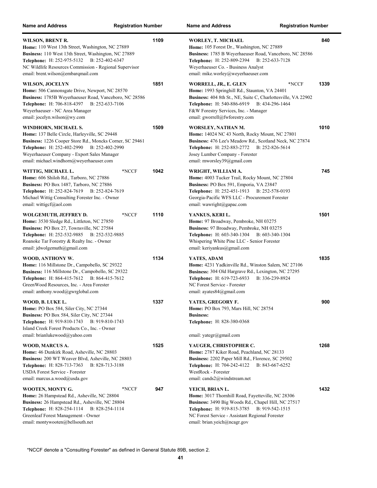| <b>Name and Address</b>                                                                                                                                                                                                                                                       | <b>Registration Number</b> |      | <b>Name and Address</b>                                                                                                                                                                                                                                                    | <b>Registration Number</b> |  |
|-------------------------------------------------------------------------------------------------------------------------------------------------------------------------------------------------------------------------------------------------------------------------------|----------------------------|------|----------------------------------------------------------------------------------------------------------------------------------------------------------------------------------------------------------------------------------------------------------------------------|----------------------------|--|
| WILSON, BRENT R.<br>Home: 110 West 13th Street, Washington, NC 27889<br>Business: 110 West 13th Street, Washington, NC 27889<br>Telephone: H: 252-975-5132<br>B: 252-402-6347<br>NC Wildlife Resources Commission - Regional Supervisor<br>email: brent.wilson@embarqmail.com |                            | 1109 | <b>WORLEY, T. MICHAEL</b><br>Home: 105 Forest Dr., Washington, NC 27889<br>Business: 1785 B Weyerhaeuser Road, Vanceboro, NC 28586<br>Telephone: H: 252-809-2394<br>B: 252-633-7128<br>Weyerhaeuser Co. - Business Analyst<br>email: mike.worley@weyerhaeuser.com          | 840                        |  |
| <b>WILSON, JOCELYN</b><br>Home: 506 Cannonsgate Drive, Newport, NC 28570<br>Business: 1785B Weyerhaeuser Road, Vanceboro, NC 28586<br>Telephone: H: 706-818-4397<br>Weyerhaeuser - NC Area Manager<br>email: jocelyn.wilson@wy.com                                            | B: 252-633-7106            | 1851 | WORRELL, JR., E. GLEN<br>Home: 1993 Springhill Rd., Staunton, VA 24401<br>Business: 404 8th St., NE, Suite C, Charlottesville, VA 22902<br><b>Telephone:</b> H: 540-886-6919<br>B: 434-296-1464<br>F&W Forestry Services, Inc. - Manager<br>email: gworrell@fwforestry.com | 1339<br>*NCCF              |  |
| WINDHORN, MICHAEL S.<br>Home: 137 Belle Circle, Harleyville, SC 29448<br>Business: 1226 Cooper Store Rd., Moncks Corner, SC 29461<br>Telephone: H: 252-402-2990<br>Weyerhaeuser Company - Export Sales Manager<br>email: michael.windhorn@weyerhaeuser.com                    | B: 252-402-2990            | 1509 | WORSLEY, NATHAN M.<br>Home: 14024 NC 43 North, Rocky Mount, NC 27801<br>Business: 476 Lee's Meadow Rd., Scotland Neck, NC 27874<br><b>Telephone:</b> H: 252-883-2772<br>B: 252-826-5614<br>Josey Lumber Company - Forester<br>email: mworsley39@gmail.com                  | 1010                       |  |
| WITTIG, MICHAEL L.<br>Home: 606 Shiloh Rd., Tarboro, NC 27886<br>Business: PO Box 1487, Tarboro, NC 27886<br>Telephone: H: 252-824-7619<br>Michael Wittig Consulting Forester Inc. - Owner<br>email: wittigcf@aol.com                                                         | *NCCF<br>B: 252-824-7619   | 1042 | WRIGHT, WILLIAM A.<br>Home: 4003 Tucker Trail, Rocky Mount, NC 27804<br>Business: PO Box 591, Emporia, VA 23847<br>Telephone: H: 252-451-1913<br>B: 252-578-0193<br>Georgia-Pacific WFS LLC - Procurement Forester<br>email: wawright@gapac.com                            | 745                        |  |
| WOLGEMUTH, JEFFREY D.<br><b>Home:</b> 3530 Sledge Rd., Littleton, NC 27850<br>Business: PO Box 27, Townsville, NC 27584<br><b>Telephone:</b> H: 252-532-9885<br>Roanoke Tar Forestry & Realty Inc. - Owner<br>email: jdwolgemuth@gmail.com                                    | *NCCF<br>B: 252-532-9885   | 1110 | YANKUS, KERI L.<br>Home: 97 Broadway, Pembroke, NH 03275<br>Business: 97 Broadway, Pembroke, NH 03275<br>Telephone: H: 603-340-1304 B: 603-340-1304<br>Whispering White Pine LLC - Senior Forester<br>email: keriyankus@gmail.com                                          | 1501                       |  |
| WOOD, ANTHONY W.<br>Home: 116 Millstone Dr., Campobello, SC 29322<br>Business: 116 Millstone Dr., Campobello, SC 29322<br>Telephone: H: 864-415-7612 B: 864-415-7612<br>Green Wood Resources, Inc. - Area Forester<br>email: anthony.wood@gwrglobal.com                       |                            | 1134 | YATES, ADAM<br>Home: 4231 Yadkinville Rd., Winston Salem, NC 27106<br>Business: 304 Old Hargrave Rd., Lexington, NC 27295<br>Telephone: H: 619-723-6933<br>B: 336-239-8924<br>NC Forest Service - Forester<br>email: ayates84@gmail.com                                    | 1835                       |  |
| WOOD, B. LUKE L.<br>Home: PO Box 584, Siler City, NC 27344<br>Business: PO Box 584, Siler City, NC 27344<br><b>Telephone:</b> H: 919-810-1743 B: 919-810-1743<br>Island Creek Forest Products Co., Inc. - Owner<br>email: brianlukewood@yahoo.com                             |                            | 1337 | YATES, GREGORY F.<br>Home: PO Box 793, Mars Hill, NC 28754<br><b>Business:</b><br><b>Telephone:</b> H: 828-380-0368<br>email: yategr@gmail.com                                                                                                                             | 900                        |  |
| WOOD, MARCUS A.<br>Home: 46 Dunkirk Road, Asheville, NC 28803<br>Business: 200 WT Weaver Blvd, Asheville, NC 28803<br><b>Telephone:</b> H: 828-713-7363<br><b>USDA Forest Service - Forester</b><br>email: marcus.a.wood@usda.gov                                             | B: 828-713-3188            | 1525 | YAUGER, CHRISTOPHER C.<br>Home: 2787 Kiker Road, Peachland, NC 28133<br>Business: 2202 Paper Mill Rd., Florence, SC 29502<br><b>Telephone:</b> H: 704-242-4122<br>B: 843-667-6252<br>WestRock - Forester<br>email: cands2@windstream.net                                   | 1268                       |  |
| WOOTEN, MONTY G.<br><b>Home:</b> 26 Hampstead Rd., Asheville, NC 28804<br>Business: 26 Hampstead Rd., Asheville, NC 28804<br><b>Telephone:</b> H: 828-254-1114<br>Greenleaf Forest Management - Owner<br>email: montywooten@bellsouth.net                                     | *NCCF<br>B: 828-254-1114   | 947  | YEICH, BRIAN L.<br><b>Home:</b> 3017 Thornhill Road, Fayetteville, NC 28306<br>Business: 3490 Big Woods Rd., Chapel Hill, NC 27517<br>Telephone: H: 919-815-3785 B: 919-542-1515<br>NC Forest Service - Assistant Regional Forester<br>email: brian.yeich@ncagr.gov        | 1432                       |  |